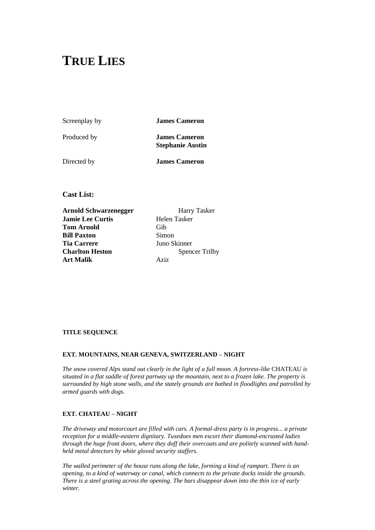# **TRUE LIES**

Screenplay by **James Cameron**

Produced by **James Cameron Stephanie Austin**

Directed by **James Cameron**

**Cast List:** 

**Arnold Schwarzenegger** Harry Tasker **Jamie Lee Curtis** Helen Tasker **Tom Arnold** Gib **Bill Paxton** Simon **Tia Carrere** Juno Skinner **Charlton Heston** Spencer Trilby **Art Malik** Aziz

# **TITLE SEQUENCE**

# **EXT. MOUNTAINS, NEAR GENEVA, SWITZERLAND – NIGHT**

*The snow covered Alps stand out clearly in the light of a full moon. A fortress-like* CHATEAU *is situated in a flat saddle of forest partway up the mountain, next to a frozen lake. The property is surrounded by high stone walls, and the stately grounds are bathed in floodlights and patrolled by armed guards with dogs.*

# **EXT. CHATEAU – NIGHT**

*The driveway and motorcourt are filled with cars. A formal-dress party is in progress... a private reception for a middle-eastern dignitary. Tuxedoes men escort their diamond-encrusted ladies through the huge front doors, where they doff their overcoats and are politely scanned with handheld metal detectors by white gloved security staffers.*

*The walled perimeter of the house runs along the lake, forming a kind of rampart. There is an opening, to a kind of waterway or canal, which connects to the private docks inside the grounds. There is a steel grating across the opening. The bars disappear down into the thin ice of early winter.*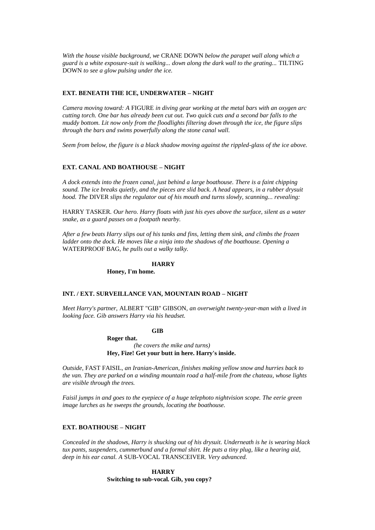*With the house visible background, we* CRANE DOWN *below the parapet wall along which a guard is a white exposure-suit is walking... down along the dark wall to the grating...* TILTING DOWN *to see a glow pulsing under the ice.*

### **EXT. BENEATH THE ICE, UNDERWATER – NIGHT**

*Camera moving toward: A* FIGURE *in diving gear working at the metal bars with an oxygen arc cutting torch. One bar has already been cut out. Two quick cuts and a second bar falls to the muddy bottom. Lit now only from the floodlights filtering down through the ice, the figure slips through the bars and swims powerfully along the stone canal wall.*

*Seem from below, the figure is a black shadow moving against the rippled-glass of the ice above.*

#### **EXT. CANAL AND BOATHOUSE – NIGHT**

*A dock extends into the frozen canal, just behind a large boathouse. There is a faint chipping sound. The ice breaks quietly, and the pieces are slid back. A head appears, in a rubber drysuit hood. The* DIVER *slips the regulator out of his mouth and turns slowly, scanning... revealing:*

HARRY TASKER*. Our hero. Harry floats with just his eyes above the surface, silent as a water snake, as a guard passes on a footpath nearby.*

*After a few beats Harry slips out of his tanks and fins, letting them sink, and climbs the frozen ladder onto the dock. He moves like a ninja into the shadows of the boathouse. Opening a* WATERPROOF BAG*, he pulls out a walky talky.*

#### **HARRY**

**Honey, I'm home.**

### **INT. / EXT. SURVEILLANCE VAN, MOUNTAIN ROAD – NIGHT**

*Meet Harry's partner,* ALBERT "GIB" GIBSON*, an overweight twenty-year-man with a lived in looking face. Gib answers Harry via his headset.*

### **GIB**

**Roger that.** 

*(he covers the mike and turns)* **Hey, Fize! Get your butt in here. Harry's inside.**

*Outside,* FAST FAISIL*, an Iranian-American, finishes making yellow snow and hurries back to the van. They are parked on a winding mountain road a half-mile from the chateau, whose lights are visible through the trees.*

*Faisil jumps in and goes to the eyepiece of a huge telephoto nightvision scope. The eerie green image lurches as he sweeps the grounds, locating the boathouse.*

#### **EXT. BOATHOUSE – NIGHT**

*Concealed in the shadows, Harry is shucking out of his drysuit. Underneath is he is wearing black tux pants, suspenders, cummerbund and a formal shirt. He puts a tiny plug, like a hearing aid, deep in his ear canal. A* SUB-VOCAL TRANSCEIVER*. Very advanced.*

> **HARRY Switching to sub-vocal. Gib, you copy?**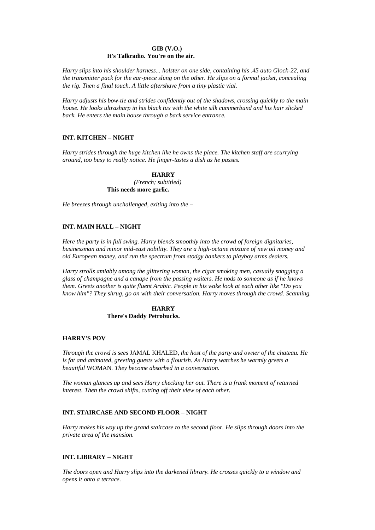# **GIB (V.O.)**

# **It's Talkradio. You're on the air.**

*Harry slips into his shoulder harness... holster on one side, containing his .45 auto Glock-22, and the transmitter pack for the ear-piece slung on the other. He slips on a formal jacket, concealing the rig. Then a final touch. A little aftershave from a tiny plastic vial.*

*Harry adjusts his bow-tie and strides confidently out of the shadows, crossing quickly to the main house. He looks ultrasharp in his black tux with the white silk cummerbund and his hair slicked back. He enters the main house through a back service entrance.*

# **INT. KITCHEN – NIGHT**

*Harry strides through the huge kitchen like he owns the place. The kitchen staff are scurrying around, too busy to really notice. He finger-tastes a dish as he passes.*

# **HARRY**

*(French; subtitled)* **This needs more garlic.**

*He breezes through unchallenged, exiting into the –*

# **INT. MAIN HALL – NIGHT**

*Here the party is in full swing. Harry blends smoothly into the crowd of foreign dignitaries, businessman and minor mid-east nobility. They are a high-octane mixture of new oil money and old European money, and run the spectrum from stodgy bankers to playboy arms dealers.*

*Harry strolls amiably among the glittering woman, the cigar smoking men, casually snagging a glass of champagne and a canape from the passing waiters. He nods to someone as if he knows them. Greets another is quite fluent Arabic. People in his wake look at each other like "Do you know him"? They shrug, go on with their conversation. Harry moves through the crowd. Scanning.*

> **HARRY There's Daddy Petrobucks.**

### **HARRY'S POV**

*Through the crowd is sees* JAMAL KHALED*, the host of the party and owner of the chateau. He is fat and animated, greeting guests with a flourish. As Harry watches he warmly greets a beautiful* WOMAN*. They become absorbed in a conversation.*

*The woman glances up and sees Harry checking her out. There is a frank moment of returned interest. Then the crowd shifts, cutting off their view of each other.*

# **INT. STAIRCASE AND SECOND FLOOR – NIGHT**

*Harry makes his way up the grand staircase to the second floor. He slips through doors into the private area of the mansion.*

# **INT. LIBRARY – NIGHT**

*The doors open and Harry slips into the darkened library. He crosses quickly to a window and opens it onto a terrace.*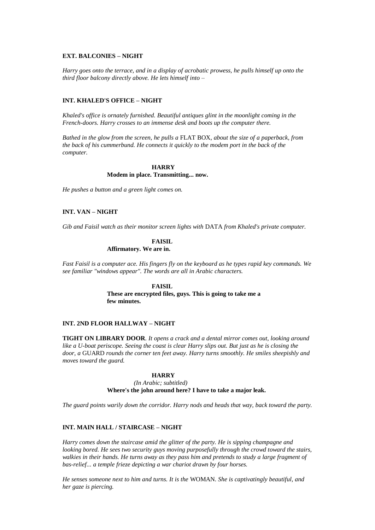#### **EXT. BALCONIES – NIGHT**

*Harry goes onto the terrace, and in a display of acrobatic prowess, he pulls himself up onto the third floor balcony directly above. He lets himself into –*

# **INT. KHALED'S OFFICE – NIGHT**

*Khaled's office is ornately furnished. Beautiful antiques glint in the moonlight coming in the French-doors. Harry crosses to an immense desk and boots up the computer there.*

*Bathed in the glow from the screen, he pulls a* FLAT BOX*, about the size of a paperback, from the back of his cummerbund. He connects it quickly to the modem port in the back of the computer.*

### **HARRY Modem in place. Transmitting... now.**

*He pushes a button and a green light comes on.*

# **INT. VAN – NIGHT**

*Gib and Faisil watch as their monitor screen lights with* DATA *from Khaled's private computer.*

# **FAISIL Affirmatory. We are in.**

*Fast Faisil is a computer ace. His fingers fly on the keyboard as he types rapid key commands. We see familiar "windows appear". The words are all in Arabic characters.*

> **FAISIL These are encrypted files, guys. This is going to take me a few minutes.**

### **INT. 2ND FLOOR HALLWAY – NIGHT**

**TIGHT ON LIBRARY DOOR***. It opens a crack and a dental mirror comes out, looking around like a U-boat periscope. Seeing the coast is clear Harry slips out. But just as he is closing the door, a* GUARD *rounds the corner ten feet away. Harry turns smoothly. He smiles sheepishly and moves toward the guard.*

#### **HARRY**

*(In Arabic; subtitled)* **Where's the john around here? I have to take a major leak.**

*The guard points warily down the corridor. Harry nods and heads that way, back toward the party.*

#### **INT. MAIN HALL / STAIRCASE – NIGHT**

*Harry comes down the staircase amid the glitter of the party. He is sipping champagne and looking bored. He sees two security guys moving purposefully through the crowd toward the stairs, walkies in their hands. He turns away as they pass him and pretends to study a large fragment of bas-relief... a temple frieze depicting a war chariot drawn by four horses.*

*He senses someone next to him and turns. It is the* WOMAN*. She is captivatingly beautiful, and her gaze is piercing.*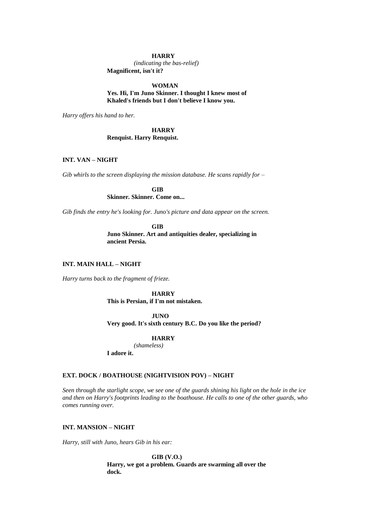#### **HARRY**

*(indicating the bas-relief)* **Magnificent, isn't it?**

#### **WOMAN**

**Yes. Hi, I'm Juno Skinner. I thought I knew most of Khaled's friends but I don't believe I know you.**

*Harry offers his hand to her.*

# **HARRY Renquist. Harry Renquist.**

# **INT. VAN – NIGHT**

*Gib whirls to the screen displaying the mission database. He scans rapidly for –*

**GIB Skinner. Skinner. Come on...**

*Gib finds the entry he's looking for. Juno's picture and data appear on the screen.*

**GIB Juno Skinner. Art and antiquities dealer, specializing in ancient Persia.**

# **INT. MAIN HALL – NIGHT**

*Harry turns back to the fragment of frieze.*

**HARRY This is Persian, if I'm not mistaken.**

### **JUNO**

**Very good. It's sixth century B.C. Do you like the period?**

#### **HARRY**

*(shameless)*

**I adore it.**

### **EXT. DOCK / BOATHOUSE (NIGHTVISION POV) – NIGHT**

*Seen through the starlight scope, we see one of the guards shining his light on the hole in the ice and then on Harry's footprints leading to the boathouse. He calls to one of the other guards, who comes running over.*

### **INT. MANSION – NIGHT**

*Harry, still with Juno, hears Gib in his ear:*

**GIB (V.O.) Harry, we got a problem. Guards are swarming all over the dock.**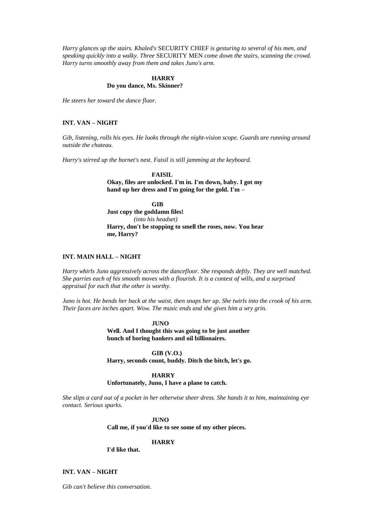*Harry glances up the stairs. Khaled's* SECURITY CHIEF *is gesturing to several of his men, and speaking quickly into a walky. Three* SECURITY MEN *come down the stairs, scanning the crowd. Harry turns smoothly away from them and takes Juno's arm.*

# **HARRY Do you dance, Ms. Skinner?**

*He steers her toward the dance floor.*

# **INT. VAN – NIGHT**

*Gib, listening, rolls his eyes. He looks through the night-vision scope. Guards are running around outside the chateau.*

*Harry's stirred up the hornet's nest. Faisil is still jamming at the keyboard.*

**FAISIL**

**Okay, files are unlocked. I'm in. I'm down, baby. I got my hand up her dress and I'm going for the gold. I'm –**

**GIB Just copy the goddamn files!** *(into his headset)* **Harry, don't be stopping to smell the roses, now. You hear me, Harry?**

# **INT. MAIN HALL – NIGHT**

*Harry whirls Juno aggressively across the dancefloor. She responds deftly. They are well matched. She parries each of his smooth moves with a flourish. It is a contest of wills, and a surprised appraisal for each that the other is worthy.*

*Juno is hot. He bends her back at the waist, then snaps her up. She twirls into the crook of his arm. Their faces are inches apart. Wow. The music ends and she gives him a wry grin.*

> **JUNO Well. And I thought this was going to be just another bunch of boring bankers and oil billionaires.**

> **GIB (V.O.) Harry, seconds count, buddy. Ditch the bitch, let's go.**

#### **HARRY Unfortunately, Juno, I have a plane to catch.**

*She slips a card out of a pocket in her otherwise sheer dress. She hands it to him, maintaining eye contact. Serious sparks.*

### **JUNO**

**Call me, if you'd like to see some of my other pieces.**

**HARRY**

**I'd like that.**

### **INT. VAN – NIGHT**

*Gib can't believe this conversation.*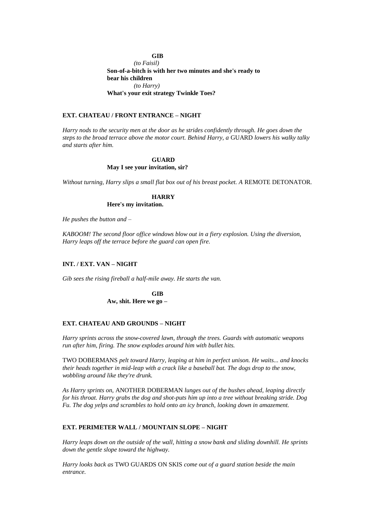#### **GIB**

*(to Faisil)* **Son-of-a-bitch is with her two minutes and she's ready to bear his children** *(to Harry)* **What's your exit strategy Twinkle Toes?**

# **EXT. CHATEAU / FRONT ENTRANCE – NIGHT**

*Harry nods to the security men at the door as he strides confidently through. He goes down the steps to the broad terrace above the motor court. Behind Harry, a* GUARD *lowers his walky talky and starts after him.*

#### **GUARD**

#### **May I see your invitation, sir?**

*Without turning, Harry slips a small flat box out of his breast pocket. A* REMOTE DETONATOR*.*

# **HARRY**

**Here's my invitation.** 

*He pushes the button and –*

*KABOOM! The second floor office windows blow out in a fiery explosion. Using the diversion, Harry leaps off the terrace before the guard can open fire.*

### **INT. / EXT. VAN – NIGHT**

*Gib sees the rising fireball a half-mile away. He starts the van.*

**GIB Aw, shit. Here we go –**

### **EXT. CHATEAU AND GROUNDS – NIGHT**

*Harry sprints across the snow-covered lawn, through the trees. Guards with automatic weapons run after him, firing. The snow explodes around him with bullet hits.*

TWO DOBERMANS *pelt toward Harry, leaping at him in perfect unison. He waits... and knocks their heads together in mid-leap with a crack like a baseball bat. The dogs drop to the snow, wobbling around like they're drunk.*

*As Harry sprints on,* ANOTHER DOBERMAN *lunges out of the bushes ahead, leaping directly for his throat. Harry grabs the dog and shot-puts him up into a tree without breaking stride. Dog Fu. The dog yelps and scrambles to hold onto an icy branch, looking down in amazement.*

#### **EXT. PERIMETER WALL / MOUNTAIN SLOPE – NIGHT**

*Harry leaps down on the outside of the wall, hitting a snow bank and sliding downhill. He sprints down the gentle slope toward the highway.*

*Harry looks back as* TWO GUARDS ON SKIS *come out of a guard station beside the main entrance.*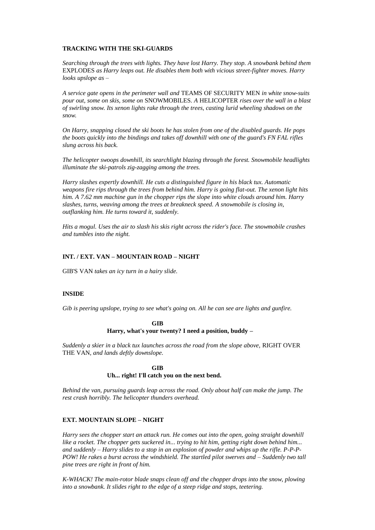### **TRACKING WITH THE SKI-GUARDS**

*Searching through the trees with lights. They have lost Harry. They stop. A snowbank behind them*  EXPLODES *as Harry leaps out. He disables them both with vicious street-fighter moves. Harry looks upslope as –*

*A service gate opens in the perimeter wall and* TEAMS OF SECURITY MEN *in white snow-suits pour out, some on skis, some on* SNOWMOBILES*. A* HELICOPTER *rises over the wall in a blast of swirling snow. Its xenon lights rake through the trees, casting lurid wheeling shadows on the snow.*

*On Harry, snapping closed the ski boots he has stolen from one of the disabled guards. He pops the boots quickly into the bindings and takes off downhill with one of the guard's FN FAL rifles slung across his back.*

*The helicopter swoops downhill, its searchlight blazing through the forest. Snowmobile headlights illuminate the ski-patrols zig-zagging among the trees.*

*Harry slashes expertly downhill. He cuts a distinguished figure in his black tux. Automatic weapons fire rips through the trees from behind him. Harry is going flat-out. The xenon light hits him. A 7.62 mm machine gun in the chopper rips the slope into white clouds around him. Harry slashes, turns, weaving among the trees at breakneck speed. A snowmobile is closing in, outflanking him. He turns toward it, suddenly.*

*Hits a mogul. Uses the air to slash his skis right across the rider's face. The snowmobile crashes and tumbles into the night.*

### **INT. / EXT. VAN – MOUNTAIN ROAD – NIGHT**

GIB'S VAN *takes an icy turn in a hairy slide.*

#### **INSIDE**

*Gib is peering upslope, trying to see what's going on. All he can see are lights and gunfire.*

# **GIB Harry, what's your twenty? I need a position, buddy –**

*Suddenly a skier in a black tux launches across the road from the slope above,* RIGHT OVER THE VAN*, and lands deftly downslope.*

### **GIB Uh... right! I'll catch you on the next bend.**

*Behind the van, pursuing guards leap across the road. Only about half can make the jump. The rest crash horribly. The helicopter thunders overhead.*

# **EXT. MOUNTAIN SLOPE – NIGHT**

*Harry sees the chopper start an attack run. He comes out into the open, going straight downhill like a rocket. The chopper gets suckered in... trying to hit him, getting right down behind him... and suddenly – Harry slides to a stop in an explosion of powder and whips up the rifle. P-P-P-POW! He rakes a burst across the windshield. The startled pilot swerves and – Suddenly two tall pine trees are right in front of him.*

*K-WHACK! The main-rotor blade snaps clean off and the chopper drops into the snow, plowing into a snowbank. It slides right to the edge of a steep ridge and stops, teetering.*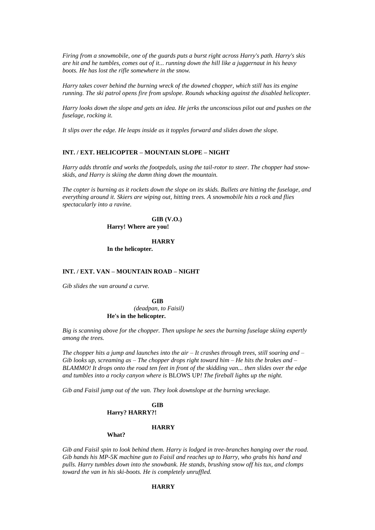*Firing from a snowmobile, one of the guards puts a burst right across Harry's path. Harry's skis are hit and he tumbles, comes out of it... running down the hill like a juggernaut in his heavy boots. He has lost the rifle somewhere in the snow.*

*Harry takes cover behind the burning wreck of the downed chopper, which still has its engine running. The ski patrol opens fire from upslope. Rounds whacking against the disabled helicopter.*

*Harry looks down the slope and gets an idea. He jerks the unconscious pilot out and pushes on the fuselage, rocking it.*

*It slips over the edge. He leaps inside as it topples forward and slides down the slope.*

#### **INT. / EXT. HELICOPTER – MOUNTAIN SLOPE – NIGHT**

*Harry adds throttle and works the footpedals, using the tail-rotor to steer. The chopper had snowskids, and Harry is skiing the damn thing down the mountain.*

*The copter is burning as it rockets down the slope on its skids. Bullets are hitting the fuselage, and everything around it. Skiers are wiping out, hitting trees. A snowmobile hits a rock and flies spectacularly into a ravine.*

> **GIB (V.O.) Harry! Where are you!**

> > **HARRY**

**In the helicopter.**

# **INT. / EXT. VAN – MOUNTAIN ROAD – NIGHT**

*Gib slides the van around a curve.*

**GIB** *(deadpan, to Faisil)* **He's in the helicopter.**

*Big is scanning above for the chopper. Then upslope he sees the burning fuselage skiing expertly among the trees.*

*The chopper hits a jump and launches into the air – It crashes through trees, still soaring and – Gib looks up, screaming as – The chopper drops right toward him – He hits the brakes and – BLAMMO! It drops onto the road ten feet in front of the skidding van... then slides over the edge and tumbles into a rocky canyon where is* BLOWS UP*! The fireball lights up the night.*

*Gib and Faisil jump out of the van. They look downslope at the burning wreckage.*

#### **GIB Harry? HARRY?!**

#### **HARRY**

### **What?**

*Gib and Faisil spin to look behind them. Harry is lodged in tree-branches hanging over the road. Gib hands his MP-5K machine gun to Faisil and reaches up to Harry, who grabs his hand and pulls. Harry tumbles down into the snowbank. He stands, brushing snow off his tux, and clomps toward the van in his ski-boots. He is completely unruffled.*

# **HARRY**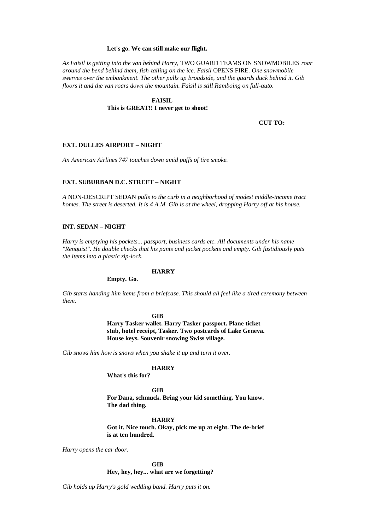#### **Let's go. We can still make our flight.**

*As Faisil is getting into the van behind Harry,* TWO GUARD TEAMS ON SNOWMOBILES *roar around the bend behind them, fish-tailing on the ice. Faisil* OPENS FIRE*. One snowmobile swerves over the embankment. The other pulls up broadside, and the guards duck behind it. Gib floors it and the van roars down the mountain. Faisil is still Ramboing on full-auto.*

# **FAISIL This is GREAT!! I never get to shoot!**

**CUT TO:**

### **EXT. DULLES AIRPORT – NIGHT**

*An American Airlines 747 touches down amid puffs of tire smoke.*

#### **EXT. SUBURBAN D.C. STREET – NIGHT**

*A* NON-DESCRIPT SEDAN *pulls to the curb in a neighborhood of modest middle-income tract homes. The street is deserted. It is 4 A.M. Gib is at the wheel, dropping Harry off at his house.*

# **INT. SEDAN – NIGHT**

*Harry is emptying his pockets... passport, business cards etc. All documents under his name "Renquist". He double checks that his pants and jacket pockets and empty. Gib fastidiously puts the items into a plastic zip-lock.*

### **HARRY**

**Empty. Go.**

*Gib starts handing him items from a briefcase. This should all feel like a tired ceremony between them.*

#### **GIB**

**Harry Tasker wallet. Harry Tasker passport. Plane ticket stub, hotel receipt, Tasker. Two postcards of Lake Geneva. House keys. Souvenir snowing Swiss village.**

*Gib snows him how is snows when you shake it up and turn it over.*

#### **HARRY**

**What's this for?**

**GIB**

**For Dana, schmuck. Bring your kid something. You know. The dad thing.**

**HARRY**

**Got it. Nice touch. Okay, pick me up at eight. The de-brief is at ten hundred.**

*Harry opens the car door.*

**GIB**

**Hey, hey, hey... what are we forgetting?**

*Gib holds up Harry's gold wedding band. Harry puts it on.*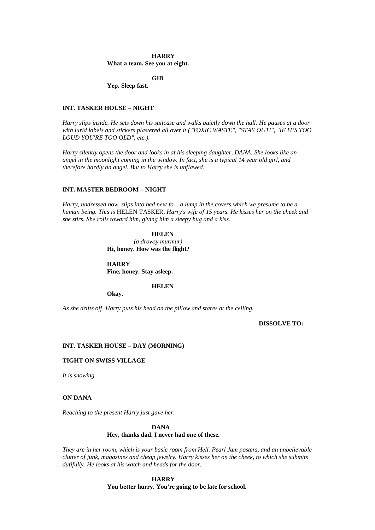#### **HARRY**

**What a team. See you at eight.**

**GIB**

**Yep. Sleep fast.**

### **INT. TASKER HOUSE – NIGHT**

*Harry slips inside. He sets down his suitcase and walks quietly down the hall. He pauses at a door with lurid labels and stickers plastered all over it ("TOXIC WASTE", "STAY OUT!", "IF IT'S TOO LOUD YOU'RE TOO OLD", etc.).*

*Harry silently opens the door and looks in at his sleeping daughter, DANA. She looks like an angel in the moonlight coming in the window. In fact, she is a typical 14 year old girl, and therefore hardly an angel. But to Harry she is unflawed.*

### **INT. MASTER BEDROOM – NIGHT**

*Harry, undressed now, slips into bed next to... a lump in the covers which we presume to be a human being. This is* HELEN TASKER*, Harry's wife of 15 years. He kisses her on the cheek and she stirs. She rolls toward him, giving him a sleepy hug and a kiss.*

> **HELEN** *(a drowsy murmur)* **Hi, honey. How was the flight?**

**HARRY Fine, honey. Stay asleep.**

**HELEN**

**Okay.**

*As she drifts off, Harry puts his head on the pillow and stares at the ceiling.*

**DISSOLVE TO:**

#### **INT. TASKER HOUSE – DAY (MORNING)**

#### **TIGHT ON SWISS VILLAGE**

*It is snowing.*

# **ON DANA**

*Reaching to the present Harry just gave her.*

# **DANA Hey, thanks dad. I never had one of these.**

*They are in her room, which is your basic room from Hell. Pearl Jam posters, and an unbelievable clutter of junk, magazines and cheap jewelry. Harry kisses her on the cheek, to which she submits dutifully. He looks at his watch and heads for the door.*

> **HARRY You better hurry. You're going to be late for school.**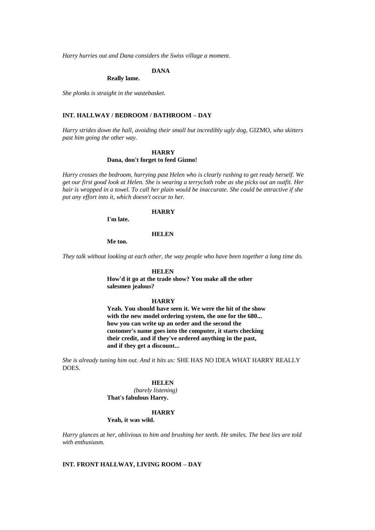*Harry hurries out and Dana considers the Swiss village a moment.*

# **DANA**

#### **Really lame.**

*She plonks is straight in the wastebasket.*

# **INT. HALLWAY / BEDROOM / BATHROOM – DAY**

*Harry strides down the hall, avoiding their small but incredibly ugly dog,* GIZMO*, who skitters past him going the other way.*

# **HARRY**

# **Dana, don't forget to feed Gizmo!**

*Harry crosses the bedroom, hurrying past Helen who is clearly rushing to get ready herself. We get our first good look at Helen. She is wearing a terrycloth robe as she picks out an outfit. Her hair is wrapped in a towel. To call her plain would be inaccurate. She could be attractive if she put any effort into it, which doesn't occur to her.*

# **HARRY**

**I'm late.**

#### **HELEN**

**Me too.**

*They talk without looking at each other, the way people who have been together a long time do.*

### **HELEN**

**How'd it go at the trade show? You make all the other salesmen jealous?**

#### **HARRY**

**Yeah. You should have seen it. We were the hit of the show with the new model ordering system, the one for the 680... how you can write up an order and the second the customer's name goes into the computer, it starts checking their credit, and if they've ordered anything in the past, and if they get a discount...**

*She is already tuning him out. And it hits us:* SHE HAS NO IDEA WHAT HARRY REALLY DOES*.*

### **HELEN**

*(barely listening)* **That's fabulous Harry.**

#### **HARRY**

**Yeah, it was wild.**

*Harry glances at her, oblivious to him and brushing her teeth. He smiles. The best lies are told with enthusiasm.*

#### **INT. FRONT HALLWAY, LIVING ROOM – DAY**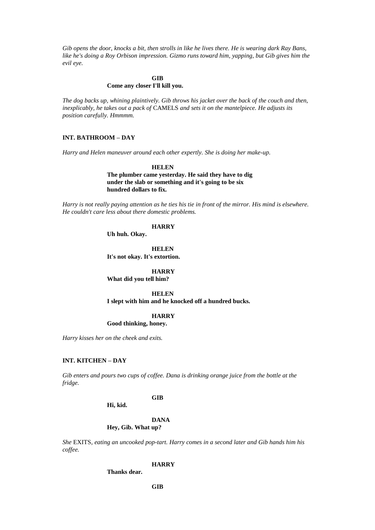*Gib opens the door, knocks a bit, then strolls in like he lives there. He is wearing dark Ray Bans, like he's doing a Roy Orbison impression. Gizmo runs toward him, yapping, but Gib gives him the evil eye.*

# **GIB Come any closer I'll kill you.**

*The dog backs up, whining plaintively. Gib throws his jacket over the back of the couch and then, inexplicably, he takes out a pack of* CAMELS *and sets it on the mantelpiece. He adjusts its position carefully. Hmmmm.*

# **INT. BATHROOM – DAY**

*Harry and Helen maneuver around each other expertly. She is doing her make-up.*

**HELEN The plumber came yesterday. He said they have to dig under the slab or something and it's going to be six hundred dollars to fix.**

*Harry is not really paying attention as he ties his tie in front of the mirror. His mind is elsewhere. He couldn't care less about there domestic problems.*

# **HARRY**

**Uh huh. Okay.**

**HELEN It's not okay. It's extortion.**

**HARRY What did you tell him?**

**HELEN I slept with him and he knocked off a hundred bucks.**

### **HARRY**

**Good thinking, honey.**

*Harry kisses her on the cheek and exits.*

#### **INT. KITCHEN – DAY**

*Gib enters and pours two cups of coffee. Dana is drinking orange juice from the bottle at the fridge.*

# **GIB**

**Hi, kid.**

**DANA Hey, Gib. What up?**

*She* EXITS*, eating an uncooked pop-tart. Harry comes in a second later and Gib hands him his coffee.*

### **HARRY**

**Thanks dear.**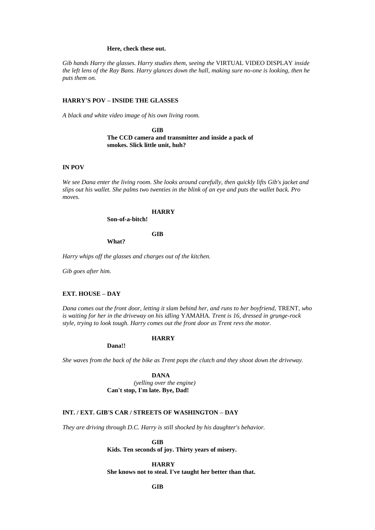#### **Here, check these out.**

*Gib hands Harry the glasses. Harry studies them, seeing the* VIRTUAL VIDEO DISPLAY *inside the left lens of the Ray Bans. Harry glances down the hall, making sure no-one is looking, then he puts them on.*

### **HARRY'S POV – INSIDE THE GLASSES**

*A black and white video image of his own living room.*

**GIB The CCD camera and transmitter and inside a pack of smokes. Slick little unit, huh?**

#### **IN POV**

*We see Dana enter the living room. She looks around carefully, then quickly lifts Gib's jacket and slips out his wallet. She palms two twenties in the blink of an eye and puts the wallet back. Pro moves.*

# **HARRY**

**Son-of-a-bitch!**

**GIB**

**What?**

*Harry whips off the glasses and charges out of the kitchen.*

*Gib goes after him.*

# **EXT. HOUSE – DAY**

*Dana comes out the front door, letting it slam behind her, and runs to her boyfriend,* TRENT*, who is waiting for her in the driveway on his idling* YAMAHA*. Trent is 16, dressed in grunge-rock style, trying to look tough. Harry comes out the front door as Trent revs the motor.*

### **HARRY**

**Dana!!**

*She waves from the back of the bike as Trent pops the clutch and they shoot down the driveway.*

**DANA** *(yelling over the engine)* **Can't stop, I'm late. Bye, Dad!**

# **INT. / EXT. GIB'S CAR / STREETS OF WASHINGTON – DAY**

*They are driving through D.C. Harry is still shocked by his daughter's behavior.*

**GIB**

**Kids. Ten seconds of joy. Thirty years of misery.**

**HARRY**

**She knows not to steal. I've taught her better than that.**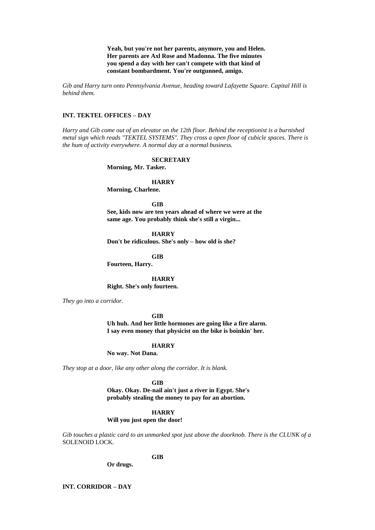**Yeah, but you're not her parents, anymore, you and Helen. Her parents are Axl Rose and Madonna. The five minutes you spend a day with her can't compete with that kind of constant bombardment. You're outgunned, amigo.**

*Gib and Harry turn onto Pennsylvania Avenue, heading toward Lafayette Square. Capital Hill is behind them.*

# **INT. TEKTEL OFFICES – DAY**

*Harry and Gib come out of an elevator on the 12th floor. Behind the receptionist is a burnished metal sign which reads "TEKTEL SYSTEMS". They cross a open floor of cubicle spaces. There is the hum of activity everywhere. A normal day at a normal business.* 

#### **SECRETARY**

**Morning, Mr. Tasker.**

#### **HARRY**

**Morning, Charlene.**

**GIB**

**See, kids now are ten years ahead of where we were at the same age. You probably think she's still a virgin...**

**HARRY Don't be ridiculous. She's only – how old is she?**

**GIB**

**Fourteen, Harry.**

**HARRY**

**Right. She's only fourteen.**

*They go into a corridor.* 

**GIB**

**Uh huh. And her little hormones are going like a fire alarm. I say even money that physicist on the bike is boinkin' her.**

#### **HARRY**

**No way. Not Dana.**

*They stop at a door, like any other along the corridor. It is blank.* 

**GIB**

**Okay. Okay. De-nail ain't just a river in Egypt. She's probably stealing the money to pay for an abortion.**

#### **HARRY**

**Will you just open the door!** 

*Gib touches a plastic card to an unmarked spot just above the doorknob. There is the CLUNK of a*  SOLENOID LOCK.

### **GIB**

**Or drugs.**

**INT. CORRIDOR – DAY**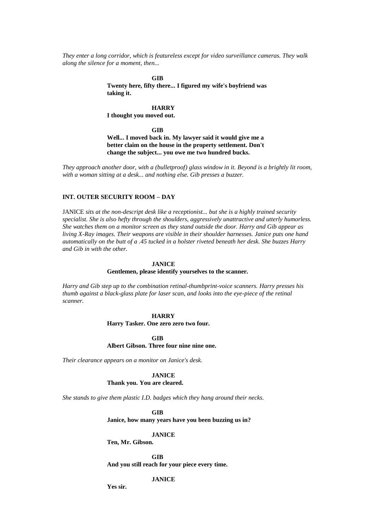*They enter a long corridor, which is featureless except for video surveillance cameras. They walk along the silence for a moment, then...*

**GIB**

**Twenty here, fifty there... I figured my wife's boyfriend was taking it.**

#### **HARRY**

**I thought you moved out.**

**GIB**

**Well... I moved back in. My lawyer said it would give me a better claim on the house in the property settlement. Don't change the subject... you owe me two hundred bucks.**

*They approach another door, with a (bulletproof) glass window in it. Beyond is a brightly lit room, with a woman sitting at a desk... and nothing else. Gib presses a buzzer.*

# **INT. OUTER SECURITY ROOM – DAY**

JANICE *sits at the non-descript desk like a receptionist... but she is a highly trained security specialist. She is also hefty through the shoulders, aggressively unattractive and utterly humorless. She watches them on a monitor screen as they stand outside the door. Harry and Gib appear as living X-Ray images. Their weapons are visible in their shoulder harnesses. Janice puts one hand automatically on the butt of a .45 tucked in a holster riveted beneath her desk. She buzzes Harry and Gib in with the other.*

#### **JANICE**

**Gentlemen, please identify yourselves to the scanner.**

*Harry and Gib step up to the combination retinal-thumbprint-voice scanners. Harry presses his thumb against a black-glass plate for laser scan, and looks into the eye-piece of the retinal scanner.*

#### **HARRY**

**Harry Tasker. One zero zero two four.**

**GIB**

#### **Albert Gibson. Three four nine nine one.**

*Their clearance appears on a monitor on Janice's desk.*

**JANICE Thank you. You are cleared.**

*She stands to give them plastic I.D. badges which they hang around their necks.*

**GIB**

**Janice, how many years have you been buzzing us in?**

#### **JANICE**

**Ten, Mr. Gibson.**

**GIB**

**And you still reach for your piece every time.**

# **JANICE**

**Yes sir.**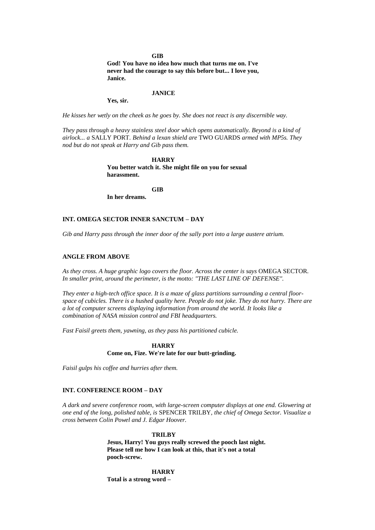#### **GIB**

**God! You have no idea how much that turns me on. I've never had the courage to say this before but... I love you, Janice.**

#### **JANICE**

**Yes, sir.**

*He kisses her wetly on the cheek as he goes by. She does not react is any discernible way.*

*They pass through a heavy stainless steel door which opens automatically. Beyond is a kind of airlock... a* SALLY PORT*. Behind a lexan shield are* TWO GUARDS *armed with MP5s. They nod but do not speak at Harry and Gib pass them.*

> **HARRY You better watch it. She might file on you for sexual harassment.**

> > **GIB**

**In her dreams.**

# **INT. OMEGA SECTOR INNER SANCTUM – DAY**

*Gib and Harry pass through the inner door of the sally port into a large austere atrium.*

### **ANGLE FROM ABOVE**

*As they cross. A huge graphic logo covers the floor. Across the center is says* OMEGA SECTOR*. In smaller print, around the perimeter, is the motto: "THE LAST LINE OF DEFENSE".*

*They enter a high-tech office space. It is a maze of glass partitions surrounding a central floorspace of cubicles. There is a hushed quality here. People do not joke. They do not hurry. There are a lot of computer screens displaying information from around the world. It looks like a combination of NASA mission control and FBI headquarters.*

*Fast Faisil greets them, yawning, as they pass his partitioned cubicle.*

#### **HARRY Come on, Fize. We're late for our butt-grinding.**

*Faisil gulps his coffee and hurries after them.*

#### **INT. CONFERENCE ROOM – DAY**

*A dark and severe conference room, with large-screen computer displays at one end. Glowering at one end of the long, polished table, is* SPENCER TRILBY*, the chief of Omega Sector. Visualize a cross between Colin Powel and J. Edgar Hoover.*

#### **TRILBY**

**Jesus, Harry! You guys really screwed the pooch last night. Please tell me how I can look at this, that it's not a total pooch-screw.**

**HARRY Total is a strong word –**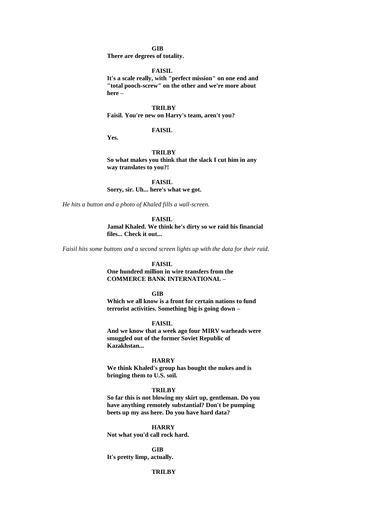### **GIB**

**There are degrees of totality.**

#### **FAISIL**

**It's a scale really, with "perfect mission" on one end and "total pooch-screw" on the other and we're more about here –**

#### **TRILBY**

**Faisil. You're new on Harry's team, aren't you?**

#### **FAISIL**

**Yes.**

#### **TRILBY**

**So what makes you think that the slack I cut him in any way translates to you?!**

**FAISIL**

**Sorry, sir. Uh... here's what we got.**

*He hits a button and a photo of Khaled fills a wall-screen.*

#### **FAISIL**

**Jamal Khaled. We think he's dirty so we raid his financial files... Check it out...**

*Faisil hits some buttons and a second screen lights up with the data for their raid.*

# **FAISIL**

**One hundred million in wire transfers from the COMMERCE BANK INTERNATIONAL –**

#### **GIB**

**Which we all know is a front for certain nations to fund terrorist activities. Something big is going down –**

### **FAISIL**

**And we know that a week ago four MIRV warheads were smuggled out of the former Soviet Republic of Kazakhstan...**

#### **HARRY**

**We think Khaled's group has bought the nukes and is bringing them to U.S. soil.**

#### **TRILBY**

**So far this is not blowing my skirt up, gentleman. Do you have anything remotely substantial? Don't be pumping beets up my ass here. Do you have hard data?**

#### **HARRY**

**Not what you'd call rock hard.** 

**GIB It's pretty limp, actually.** 

# **TRILBY**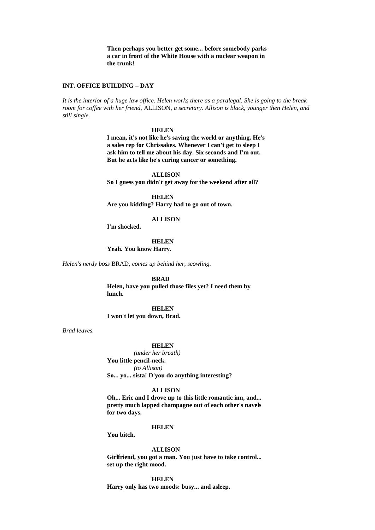**Then perhaps you better get some... before somebody parks a car in front of the White House with a nuclear weapon in the trunk!**

#### **INT. OFFICE BUILDING – DAY**

*It is the interior of a huge law office. Helen works there as a paralegal. She is going to the break room for coffee with her friend,* ALLISON*, a secretary. Allison is black, younger then Helen, and still single.*

#### **HELEN**

**I mean, it's not like he's saving the world or anything. He's a sales rep for Chrissakes. Whenever I can't get to sleep I ask him to tell me about his day. Six seconds and I'm out. But he acts like he's curing cancer or something.**

#### **ALLISON**

**So I guess you didn't get away for the weekend after all?** 

**HELEN**

**Are you kidding? Harry had to go out of town.**

#### **ALLISON**

**I'm shocked.**

**HELEN Yeah. You know Harry.**

*Helen's nerdy boss* BRAD*, comes up behind her, scowling.*

**BRAD**

**Helen, have you pulled those files yet? I need them by lunch.**

**HELEN I won't let you down, Brad.**

*Brad leaves.*

#### **HELEN**

*(under her breath)*  **You little pencil-neck.**  *(to Allison)*  **So... yo... sista! D'you do anything interesting?**

#### **ALLISON**

**Oh... Eric and I drove up to this little romantic inn, and... pretty much lapped champagne out of each other's navels for two days.**

#### **HELEN**

**You bitch.**

#### **ALLISON**

**Girlfriend, you got a man. You just have to take control... set up the right mood.**

**HELEN Harry only has two moods: busy... and asleep.**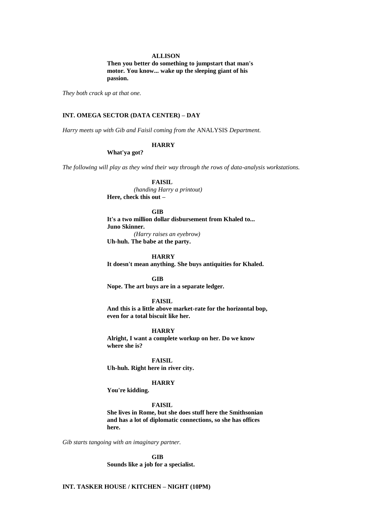#### **ALLISON**

**Then you better do something to jumpstart that man's motor. You know... wake up the sleeping giant of his passion.**

*They both crack up at that one.*

# **INT. OMEGA SECTOR (DATA CENTER) – DAY**

*Harry meets up with Gib and Faisil coming from the* ANALYSIS *Department.* 

### **HARRY**

**What'ya got?**

*The following will play as they wind their way through the rows of data-analysis workstations.*

# **FAISIL**

*(handing Harry a printout)* **Here, check this out –**

#### **GIB**

**It's a two million dollar disbursement from Khaled to... Juno Skinner.** *(Harry raises an eyebrow)*

**Uh-huh. The babe at the party.** 

**HARRY**

**It doesn't mean anything. She buys antiquities for Khaled.**

**GIB Nope. The art buys are in a separate ledger.**

### **FAISIL**

**And this is a little above market-rate for the horizontal bop, even for a total biscuit like her.**

#### **HARRY**

**Alright, I want a complete workup on her. Do we know where she is?**

**FAISIL Uh-huh. Right here in river city.**

#### **HARRY**

**You're kidding.**

### **FAISIL**

**She lives in Rome, but she does stuff here the Smithsonian and has a lot of diplomatic connections, so she has offices here.**

*Gib starts tangoing with an imaginary partner.*

**GIB Sounds like a job for a specialist.**

# **INT. TASKER HOUSE / KITCHEN – NIGHT (10PM)**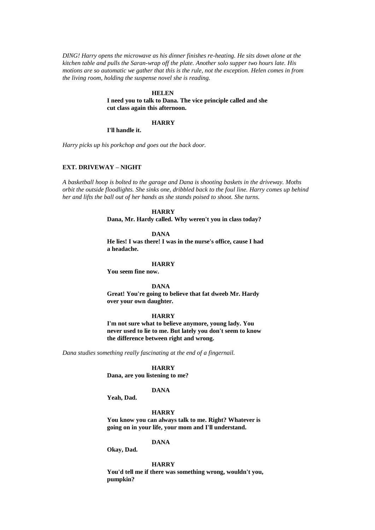*DING! Harry opens the microwave as his dinner finishes re-heating. He sits down alone at the kitchen table and pulls the Saran-wrap off the plate. Another solo supper two hours late. His motions are so automatic we gather that this is the rule, not the exception. Helen comes in from the living room, holding the suspense novel she is reading.*

#### **HELEN**

**I need you to talk to Dana. The vice principle called and she cut class again this afternoon.**

#### **HARRY**

**I'll handle it.**

*Harry picks up his porkchop and goes out the back door.*

#### **EXT. DRIVEWAY – NIGHT**

*A basketball hoop is bolted to the garage and Dana is shooting baskets in the driveway. Moths orbit the outside floodlights. She sinks one, dribbled back to the foul line. Harry comes up behind her and lifts the ball out of her hands as she stands poised to shoot. She turns.*

#### **HARRY**

**Dana, Mr. Hardy called. Why weren't you in class today?**

**DANA**

**He lies! I was there! I was in the nurse's office, cause I had a headache.**

#### **HARRY**

**You seem fine now.**

**DANA**

**Great! You're going to believe that fat dweeb Mr. Hardy over your own daughter.**

#### **HARRY**

**I'm not sure what to believe anymore, young lady. You never used to lie to me. But lately you don't seem to know the difference between right and wrong.**

*Dana studies something really fascinating at the end of a fingernail.*

#### **HARRY**

**Dana, are you listening to me?**

#### **DANA**

**Yeah, Dad.**

### **HARRY**

**You know you can always talk to me. Right? Whatever is going on in your life, your mom and I'll understand.**

# **DANA**

**Okay, Dad.**

**HARRY**

**You'd tell me if there was something wrong, wouldn't you, pumpkin?**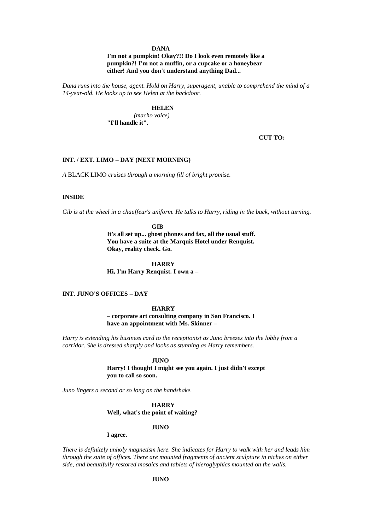### **DANA**

### **I'm not a pumpkin! Okay?!! Do I look even remotely like a pumpkin?! I'm not a muffin, or a cupcake or a honeybear either! And you don't understand anything Dad...**

*Dana runs into the house, agent. Hold on Harry, superagent, unable to comprehend the mind of a 14-year-old. He looks up to see Helen at the backdoor.* 

### **HELEN**

*(macho voice)* **"I'll handle it".**

**CUT TO:**

# **INT. / EXT. LIMO – DAY (NEXT MORNING)**

*A* BLACK LIMO *cruises through a morning fill of bright promise.*

### **INSIDE**

*Gib is at the wheel in a chauffeur's uniform. He talks to Harry, riding in the back, without turning.*

**GIB**

**It's all set up... ghost phones and fax, all the usual stuff. You have a suite at the Marquis Hotel under Renquist. Okay, reality check. Go.**

**HARRY Hi, I'm Harry Renquist. I own a –**

# **INT. JUNO'S OFFICES – DAY**

### **HARRY**

**– corporate art consulting company in San Francisco. I have an appointment with Ms. Skinner –**

*Harry is extending his business card to the receptionist as Juno breezes into the lobby from a corridor. She is dressed sharply and looks as stunning as Harry remembers.*

#### **JUNO**

**Harry! I thought I might see you again. I just didn't except you to call so soon.**

*Juno lingers a second or so long on the handshake.*

**HARRY Well, what's the point of waiting?**

#### **JUNO**

#### **I agree.**

*There is definitely unholy magnetism here. She indicates for Harry to walk with her and leads him through the suite of offices. There are mounted fragments of ancient sculpture in niches on either side, and beautifully restored mosaics and tablets of hieroglyphics mounted on the walls.*

# **JUNO**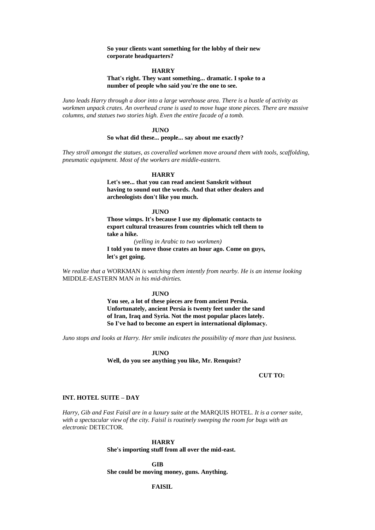**So your clients want something for the lobby of their new corporate headquarters?**

#### **HARRY**

### **That's right. They want something... dramatic. I spoke to a number of people who said you're the one to see.**

*Juno leads Harry through a door into a large warehouse area. There is a bustle of activity as workmen unpack crates. An overhead crane is used to move huge stone pieces. There are massive columns, and statues two stories high. Even the entire facade of a tomb.*

#### **JUNO**

#### **So what did these... people... say about me exactly?**

*They stroll amongst the statues, as coveralled workmen move around them with tools, scaffolding, pneumatic equipment. Most of the workers are middle-eastern.*

#### **HARRY**

**Let's see... that you can read ancient Sanskrit without having to sound out the words. And that other dealers and archeologists don't like you much.**

#### **JUNO**

**Those wimps. It's because I use my diplomatic contacts to export cultural treasures from countries which tell them to take a hike.**

*(yelling in Arabic to two workmen)*

**I told you to move those crates an hour ago. Come on guys, let's get going.**

*We realize that a* WORKMAN *is watching them intently from nearby. He is an intense looking*  MIDDLE-EASTERN MAN *in his mid-thirties.*

#### **JUNO**

**You see, a lot of these pieces are from ancient Persia. Unfortunately, ancient Persia is twenty feet under the sand of Iran, Iraq and Syria. Not the most popular places lately. So I've had to become an expert in international diplomacy.**

*Juno stops and looks at Harry. Her smile indicates the possibility of more than just business.*

**JUNO Well, do you see anything you like, Mr. Renquist?**

#### **CUT TO:**

### **INT. HOTEL SUITE – DAY**

*Harry, Gib and Fast Faisil are in a luxury suite at the* MARQUIS HOTEL*. It is a corner suite, with a spectacular view of the city. Faisil is routinely sweeping the room for bugs with an electronic* DETECTOR*.*

#### **HARRY**

**She's importing stuff from all over the mid-east.**

**GIB She could be moving money, guns. Anything.**

# **FAISIL**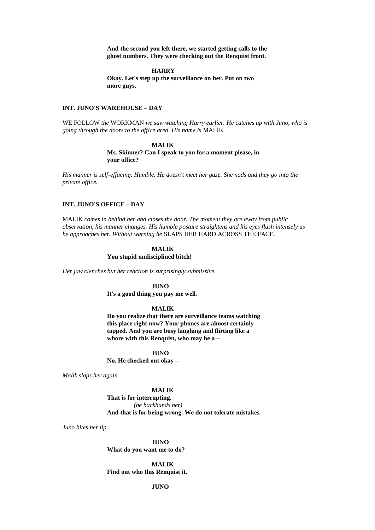**And the second you left there, we started getting calls to the ghost numbers. They were checking out the Renquist front.**

**HARRY**

**Okay. Let's step up the surveillance on her. Put on two more guys.**

#### **INT. JUNO'S WAREHOUSE – DAY**

WE FOLLOW *the* WORKMAN *we saw watching Harry earlier. He catches up with Juno, who is going through the doors to the office area. His name is* MALIK*.*

> **MALIK Ms. Skinner? Can I speak to you for a moment please, in your office?**

*His manner is self-effacing. Humble. He doesn't meet her gaze. She nods and they go into the private office.*

### **INT. JUNO'S OFFICE – DAY**

MALIK *comes in behind her and closes the door. The moment they are away from public observation, his manner changes. His humble posture straightens and his eyes flash intensely as he approaches her. Without warning he* SLAPS HER HARD ACROSS THE FACE*.*

#### **MALIK You stupid undisciplined bitch!**

*Her jaw clenches but her reaction is surprisingly submissive.*

**JUNO**

**It's a good thing you pay me well.**

#### **MALIK**

**Do you realize that there are surveillance teams watching this place right now? Your phones are almost certainly tapped. And you are busy laughing and flirting like a whore with this Renquist, who may be a –**

**JUNO No. He checked out okay –**

*Malik slaps her again.*

#### **MALIK**

**That is for interrupting.** *(he backhands her)* **And that is for being wrong. We do not tolerate mistakes.**

*Juno bites her lip.*

**JUNO What do you want me to do?**

**MALIK Find out who this Renquist it.**

### **JUNO**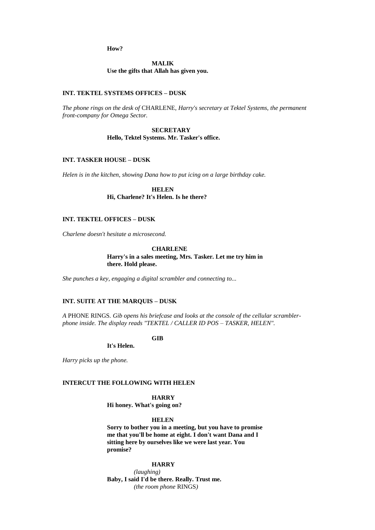**How?**

**MALIK Use the gifts that Allah has given you.**

# **INT. TEKTEL SYSTEMS OFFICES – DUSK**

*The phone rings on the desk of* CHARLENE*, Harry's secretary at Tektel Systems, the permanent front-company for Omega Sector.* 

> **SECRETARY Hello, Tektel Systems. Mr. Tasker's office.**

### **INT. TASKER HOUSE – DUSK**

*Helen is in the kitchen, showing Dana how to put icing on a large birthday cake.*

**HELEN Hi, Charlene? It's Helen. Is he there?**

### **INT. TEKTEL OFFICES – DUSK**

*Charlene doesn't hesitate a microsecond.*

**CHARLENE Harry's in a sales meeting, Mrs. Tasker. Let me try him in there. Hold please.**

*She punches a key, engaging a digital scrambler and connecting to...*

# **INT. SUITE AT THE MARQUIS – DUSK**

*A* PHONE RINGS*. Gib opens his briefcase and looks at the console of the cellular scramblerphone inside. The display reads "TEKTEL / CALLER ID POS – TASKER, HELEN".* 

**GIB**

**It's Helen.** 

*Harry picks up the phone.* 

### **INTERCUT THE FOLLOWING WITH HELEN**

**HARRY Hi honey. What's going on?** 

#### **HELEN**

**Sorry to bother you in a meeting, but you have to promise me that you'll be home at eight. I don't want Dana and I sitting here by ourselves like we were last year. You promise?**

#### **HARRY**

*(laughing)* **Baby, I said I'd be there. Really. Trust me.** *(the room phone* RINGS*)*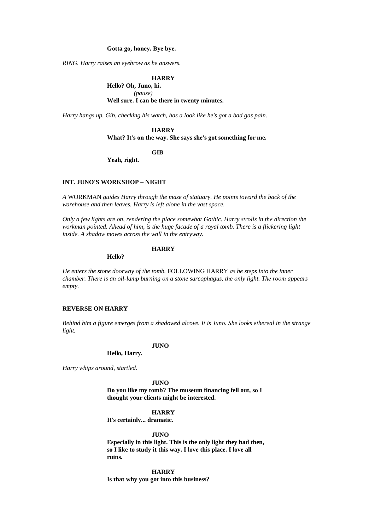### **Gotta go, honey. Bye bye.**

*RING. Harry raises an eyebrow as he answers.*

### **HARRY**

**Hello? Oh, Juno, hi.** *(pause)* **Well sure. I can be there in twenty minutes.**

*Harry hangs up. Gib, checking his watch, has a look like he's got a bad gas pain.*

### **HARRY**

**What? It's on the way. She says she's got something for me.**

**GIB**

**Yeah, right.**

### **INT. JUNO'S WORKSHOP – NIGHT**

*A* WORKMAN *guides Harry through the maze of statuary. He points toward the back of the warehouse and then leaves. Harry is left alone in the vast space.*

*Only a few lights are on, rendering the place somewhat Gothic. Harry strolls in the direction the workman pointed. Ahead of him, is the huge facade of a royal tomb. There is a flickering light inside. A shadow moves across the wall in the entryway.*

#### **HARRY**

**Hello?**

*He enters the stone doorway of the tomb.* FOLLOWING HARRY *as he steps into the inner chamber. There is an oil-lamp burning on a stone sarcophagus, the only light. The room appears empty.*

# **REVERSE ON HARRY**

*Behind him a figure emerges from a shadowed alcove. It is Juno. She looks ethereal in the strange light.*

**JUNO**

**Hello, Harry.**

*Harry whips around, startled.*

**JUNO Do you like my tomb? The museum financing fell out, so I thought your clients might be interested.**

**HARRY**

**It's certainly... dramatic.**

**JUNO**

**Especially in this light. This is the only light they had then, so I like to study it this way. I love this place. I love all ruins.**

**HARRY Is that why you got into this business?**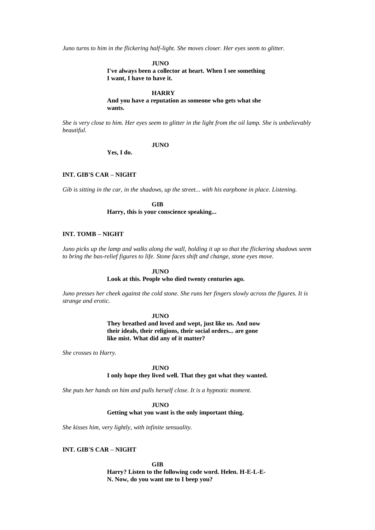*Juno turns to him in the flickering half-light. She moves closer. Her eyes seem to glitter.*

**JUNO**

**I've always been a collector at heart. When I see something I want, I have to have it.**

#### **HARRY**

**And you have a reputation as someone who gets what she wants.**

*She is very close to him. Her eyes seem to glitter in the light from the oil lamp. She is unbelievably beautiful.*

### **JUNO**

**Yes, I do.**

# **INT. GIB'S CAR – NIGHT**

*Gib is sitting in the car, in the shadows, up the street... with his earphone in place. Listening.*

**GIB Harry, this is your conscience speaking...**

# **INT. TOMB – NIGHT**

*Juno picks up the lamp and walks along the wall, holding it up so that the flickering shadows seem to bring the bas-relief figures to life. Stone faces shift and change, stone eyes move.*

#### **JUNO**

### **Look at this. People who died twenty centuries ago.**

*Juno presses her cheek against the cold stone. She runs her fingers slowly across the figures. It is strange and erotic.*

#### **JUNO**

**They breathed and loved and wept, just like us. And now their ideals, their religions, their social orders... are gone like mist. What did any of it matter?**

*She crosses to Harry.*

#### **JUNO**

# **I only hope they lived well. That they got what they wanted.**

*She puts her hands on him and pulls herself close. It is a hypnotic moment.*

**JUNO**

### **Getting what you want is the only important thing.**

*She kisses him, very lightly, with infinite sensuality.*

### **INT. GIB'S CAR – NIGHT**

**GIB Harry? Listen to the following code word. Helen. H-E-L-E-N. Now, do you want me to I beep you?**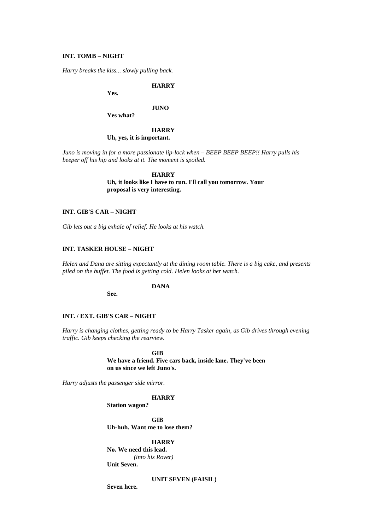### **INT. TOMB – NIGHT**

*Harry breaks the kiss... slowly pulling back.*

**HARRY**

**Yes.**

#### **JUNO**

**Yes what?**

# **HARRY**

# **Uh, yes, it is important.**

*Juno is moving in for a more passionate lip-lock when – BEEP BEEP BEEP!! Harry pulls his beeper off his hip and looks at it. The moment is spoiled.*

### **HARRY**

**Uh, it looks like I have to run. I'll call you tomorrow. Your proposal is very interesting.**

# **INT. GIB'S CAR – NIGHT**

*Gib lets out a big exhale of relief. He looks at his watch.*

### **INT. TASKER HOUSE – NIGHT**

*Helen and Dana are sitting expectantly at the dining room table. There is a big cake, and presents piled on the buffet. The food is getting cold. Helen looks at her watch.*

### **DANA**

**See.**

### **INT. / EXT. GIB'S CAR – NIGHT**

*Harry is changing clothes, getting ready to be Harry Tasker again, as Gib drives through evening traffic. Gib keeps checking the rearview.*

> **GIB We have a friend. Five cars back, inside lane. They've been on us since we left Juno's.**

*Harry adjusts the passenger side mirror.*

### **HARRY**

**Station wagon?**

**GIB Uh-huh. Want me to lose them?**

# **HARRY**

**No. We need this lead.**  *(into his Rover)* **Unit Seven.** 

**UNIT SEVEN (FAISIL)**

**Seven here.**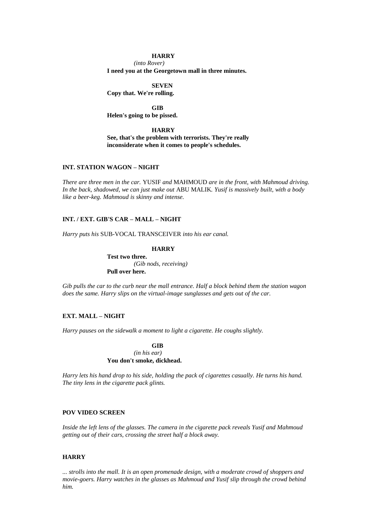#### **HARRY**

*(into Rover)*  **I need you at the Georgetown mall in three minutes.** 

**SEVEN**

**Copy that. We're rolling.**

**GIB Helen's going to be pissed.**

### **HARRY**

**See, that's the problem with terrorists. They're really inconsiderate when it comes to people's schedules.**

### **INT. STATION WAGON – NIGHT**

*There are three men in the car.* YUSIF *and* MAHMOUD *are in the front, with Mahmoud driving. In the back, shadowed, we can just make out* ABU MALIK*. Yusif is massively built, with a body like a beer-keg. Mahmoud is skinny and intense.*

# **INT. / EXT. GIB'S CAR – MALL – NIGHT**

*Harry puts his* SUB-VOCAL TRANSCEIVER *into his ear canal.*

#### **HARRY**

**Test two three.** *(Gib nods, receiving)* **Pull over here.**

*Gib pulls the car to the curb near the mall entrance. Half a block behind them the station wagon does the same. Harry slips on the virtual-image sunglasses and gets out of the car.*

# **EXT. MALL – NIGHT**

*Harry pauses on the sidewalk a moment to light a cigarette. He coughs slightly.*

**GIB** *(in his ear)* **You don't smoke, dickhead.**

*Harry lets his hand drop to his side, holding the pack of cigarettes casually. He turns his hand. The tiny lens in the cigarette pack glints.*

# **POV VIDEO SCREEN**

*Inside the left lens of the glasses. The camera in the cigarette pack reveals Yusif and Mahmoud getting out of their cars, crossing the street half a block away.*

### **HARRY**

*... strolls into the mall. It is an open promenade design, with a moderate crowd of shoppers and movie-goers. Harry watches in the glasses as Mahmoud and Yusif slip through the crowd behind him.*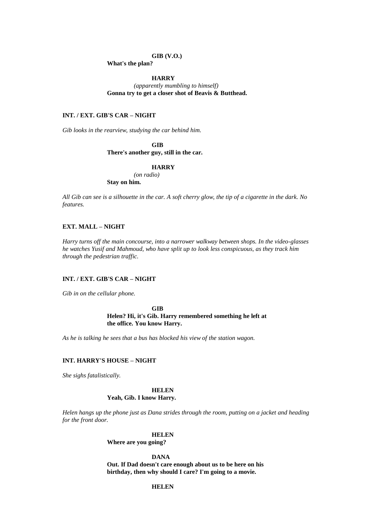#### **GIB (V.O.)**

**What's the plan?**

**HARRY**

*(apparently mumbling to himself)* **Gonna try to get a closer shot of Beavis & Butthead.** 

# **INT. / EXT. GIB'S CAR – NIGHT**

*Gib looks in the rearview, studying the car behind him.*

**GIB There's another guy, still in the car.**

#### **HARRY**

*(on radio)*

**Stay on him.**

*All Gib can see is a silhouette in the car. A soft cherry glow, the tip of a cigarette in the dark. No features.*

# **EXT. MALL – NIGHT**

*Harry turns off the main concourse, into a narrower walkway between shops. In the video-glasses he watches Yusif and Mahmoud, who have split up to look less conspicuous, as they track him through the pedestrian traffic.*

# **INT. / EXT. GIB'S CAR – NIGHT**

*Gib in on the cellular phone.*

**GIB Helen? Hi, it's Gib. Harry remembered something he left at the office. You know Harry.**

*As he is talking he sees that a bus has blocked his view of the station wagon.*

#### **INT. HARRY'S HOUSE – NIGHT**

*She sighs fatalistically.*

#### **HELEN**

### **Yeah, Gib. I know Harry.**

*Helen hangs up the phone just as Dana strides through the room, putting on a jacket and heading for the front door.*

#### **HELEN**

**Where are you going?**

**DANA Out. If Dad doesn't care enough about us to be here on his birthday, then why should I care? I'm going to a movie.**

# **HELEN**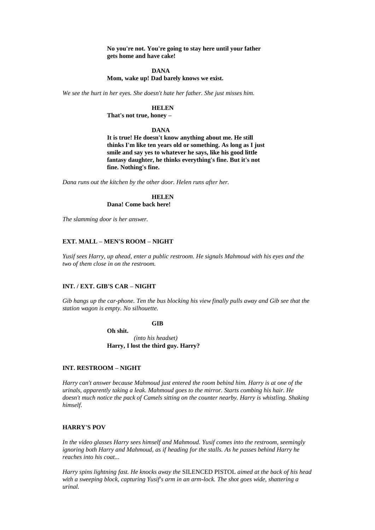**No you're not. You're going to stay here until your father gets home and have cake!**

#### **DANA**

**Mom, wake up! Dad barely knows we exist.**

*We see the hurt in her eyes. She doesn't hate her father. She just misses him.*

# **HELEN**

**That's not true, honey –**

#### **DANA**

**It is true! He doesn't know anything about me. He still thinks I'm like ten years old or something. As long as I just smile and say yes to whatever he says, like his good little fantasy daughter, he thinks everything's fine. But it's not fine. Nothing's fine.**

*Dana runs out the kitchen by the other door. Helen runs after her.*

#### **HELEN Dana! Come back here!**

*The slamming door is her answer.*

### **EXT. MALL – MEN'S ROOM – NIGHT**

*Yusif sees Harry, up ahead, enter a public restroom. He signals Mahmoud with his eyes and the two of them close in on the restroom.*

### **INT. / EXT. GIB'S CAR – NIGHT**

*Gib hangs up the car-phone. Ten the bus blocking his view finally pulls away and Gib see that the station wagon is empty. No silhouette.*

**GIB**

**Oh shit.** *(into his headset)* **Harry, I lost the third guy. Harry?**

# **INT. RESTROOM – NIGHT**

*Harry can't answer because Mahmoud just entered the room behind him. Harry is at one of the urinals, apparently taking a leak. Mahmoud goes to the mirror. Starts combing his hair. He doesn't much notice the pack of Camels sitting on the counter nearby. Harry is whistling. Shaking himself.*

#### **HARRY'S POV**

*In the video glasses Harry sees himself and Mahmoud. Yusif comes into the restroom, seemingly ignoring both Harry and Mahmoud, as if heading for the stalls. As he passes behind Harry he reaches into his coat...*

*Harry spins lightning fast. He knocks away the* SILENCED PISTOL *aimed at the back of his head with a sweeping block, capturing Yusif's arm in an arm-lock. The shot goes wide, shattering a urinal.*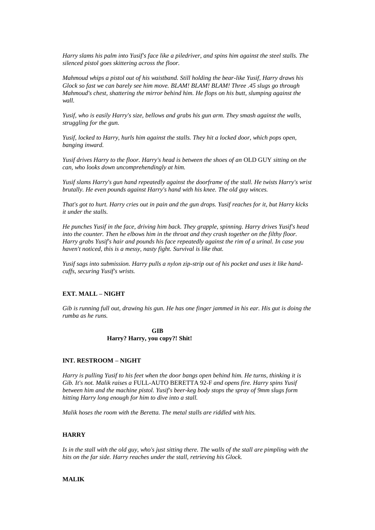*Harry slams his palm into Yusif's face like a piledriver, and spins him against the steel stalls. The silenced pistol goes skittering across the floor.*

*Mahmoud whips a pistol out of his waistband. Still holding the bear-like Yusif, Harry draws his Glock so fast we can barely see him move. BLAM! BLAM! BLAM! Three .45 slugs go through Mahmoud's chest, shattering the mirror behind him. He flops on his butt, slumping against the wall.*

*Yusif, who is easily Harry's size, bellows and grabs his gun arm. They smash against the walls, struggling for the gun.*

*Yusif, locked to Harry, hurls him against the stalls. They hit a locked door, which pops open, banging inward.*

*Yusif drives Harry to the floor. Harry's head is between the shoes of an* OLD GUY *sitting on the can, who looks down uncomprehendingly at him.*

*Yusif slams Harry's gun hand repeatedly against the doorframe of the stall. He twists Harry's wrist brutally. He even pounds against Harry's hand with his knee. The old guy winces.*

*That's got to hurt. Harry cries out in pain and the gun drops. Yusif reaches for it, but Harry kicks it under the stalls.*

*He punches Yusif in the face, driving him back. They grapple, spinning. Harry drives Yusif's head into the counter. Then he elbows him in the throat and they crash together on the filthy floor. Harry grabs Yusif's hair and pounds his face repeatedly against the rim of a urinal. In case you haven't noticed, this is a messy, nasty fight. Survival is like that.*

*Yusif sags into submission. Harry pulls a nylon zip-strip out of his pocket and uses it like handcuffs, securing Yusif's wrists.*

# **EXT. MALL – NIGHT**

*Gib is running full out, drawing his gun. He has one finger jammed in his ear. His gut is doing the rumba as he runs.*

# **GIB Harry? Harry, you copy?! Shit!**

#### **INT. RESTROOM – NIGHT**

*Harry is pulling Yusif to his feet when the door bangs open behind him. He turns, thinking it is Gib. It's not. Malik raises a* FULL-AUTO BERETTA 92-F *and opens fire. Harry spins Yusif between him and the machine pistol. Yusif's beer-keg body stops the spray of 9mm slugs form hitting Harry long enough for him to dive into a stall.*

*Malik hoses the room with the Beretta. The metal stalls are riddled with hits.*

#### **HARRY**

*Is in the stall with the old guy, who's just sitting there. The walls of the stall are pimpling with the hits on the far side. Harry reaches under the stall, retrieving his Glock.*

### **MALIK**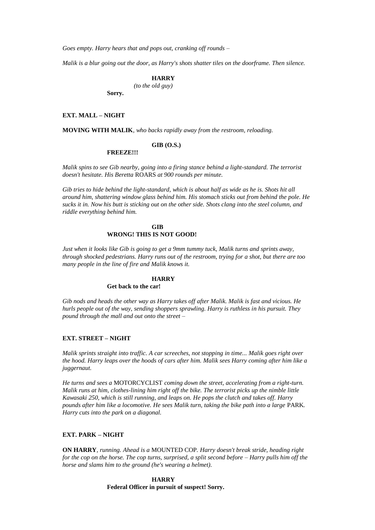*Goes empty. Harry hears that and pops out, cranking off rounds –*

*Malik is a blur going out the door, as Harry's shots shatter tiles on the doorframe. Then silence.*

### **HARRY**

*(to the old guy)*

**Sorry.**

#### **EXT. MALL – NIGHT**

**MOVING WITH MALIK***, who backs rapidly away from the restroom, reloading.*

# **GIB (O.S.)**

**FREEZE!!!**

*Malik spins to see Gib nearby, going into a firing stance behind a light-standard. The terrorist doesn't hesitate. His Beretta* ROARS *at 900 rounds per minute.*

*Gib tries to hide behind the light-standard, which is about half as wide as he is. Shots hit all around him, shattering window glass behind him. His stomach sticks out from behind the pole. He sucks it in. Now his butt is sticking out on the other side. Shots clang into the steel column, and riddle everything behind him.*

### **GIB WRONG! THIS IS NOT GOOD!**

*Just when it looks like Gib is going to get a 9mm tummy tuck, Malik turns and sprints away, through shocked pedestrians. Harry runs out of the restroom, trying for a shot, but there are too many people in the line of fire and Malik knows it.*

#### **HARRY**

**Get back to the car!**

*Gib nods and heads the other way as Harry takes off after Malik. Malik is fast and vicious. He hurls people out of the way, sending shoppers sprawling. Harry is ruthless in his pursuit. They pound through the mall and out onto the street –*

### **EXT. STREET – NIGHT**

*Malik sprints straight into traffic. A car screeches, not stopping in time... Malik goes right over the hood. Harry leaps over the hoods of cars after him. Malik sees Harry coming after him like a juggernaut.*

*He turns and sees a* MOTORCYCLIST *coming down the street, accelerating from a right-turn. Malik runs at him, clothes-lining him right off the bike. The terrorist picks up the nimble little Kawasaki 250, which is still running, and leaps on. He pops the clutch and takes off. Harry pounds after him like a locomotive. He sees Malik turn, taking the bike path into a large* PARK*. Harry cuts into the park on a diagonal.*

#### **EXT. PARK – NIGHT**

**ON HARRY***, running. Ahead is a* MOUNTED COP*. Harry doesn't break stride, heading right for the cop on the horse. The cop turns, surprised, a split second before – Harry pulls him off the horse and slams him to the ground (he's wearing a helmet).*

> **HARRY Federal Officer in pursuit of suspect! Sorry.**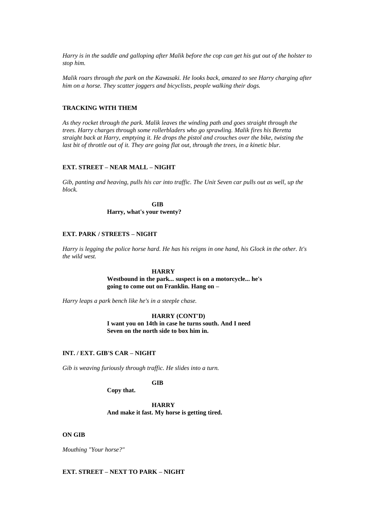*Harry is in the saddle and galloping after Malik before the cop can get his gut out of the holster to stop him.*

*Malik roars through the park on the Kawasaki. He looks back, amazed to see Harry charging after him on a horse. They scatter joggers and bicyclists, people walking their dogs.*

#### **TRACKING WITH THEM**

*As they rocket through the park. Malik leaves the winding path and goes straight through the trees. Harry charges through some rollerbladers who go sprawling. Malik fires his Beretta straight back at Harry, emptying it. He drops the pistol and crouches over the bike, twisting the last bit of throttle out of it. They are going flat out, through the trees, in a kinetic blur.*

### **EXT. STREET – NEAR MALL – NIGHT**

*Gib, panting and heaving, pulls his car into traffic. The Unit Seven car pulls out as well, up the block.*

> **GIB Harry, what's your twenty?**

# **EXT. PARK / STREETS – NIGHT**

*Harry is legging the police horse hard. He has his reigns in one hand, his Glock in the other. It's the wild west.*

# **HARRY**

**Westbound in the park... suspect is on a motorcycle... he's going to come out on Franklin. Hang on –**

*Harry leaps a park bench like he's in a steeple chase.*

**HARRY (CONT'D) I want you on 14th in case he turns south. And I need Seven on the north side to box him in.**

# **INT. / EXT. GIB'S CAR – NIGHT**

*Gib is weaving furiously through traffic. He slides into a turn.*

### **GIB**

### **Copy that.**

**HARRY And make it fast. My horse is getting tired.**

#### **ON GIB**

*Mouthing "Your horse?"*

### **EXT. STREET – NEXT TO PARK – NIGHT**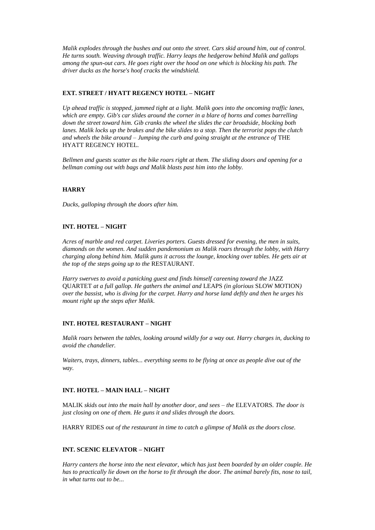*Malik explodes through the bushes and out onto the street. Cars skid around him, out of control. He turns south. Weaving through traffic. Harry leaps the hedgerow behind Malik and gallops among the spun-out cars. He goes right over the hood on one which is blocking his path. The driver ducks as the horse's hoof cracks the windshield.*

# **EXT. STREET / HYATT REGENCY HOTEL – NIGHT**

*Up ahead traffic is stopped, jammed tight at a light. Malik goes into the oncoming traffic lanes, which are empty. Gib's car slides around the corner in a blare of horns and comes barrelling down the street toward him. Gib cranks the wheel the slides the car broadside, blocking both lanes. Malik locks up the brakes and the bike slides to a stop. Then the terrorist pops the clutch and wheels the bike around – Jumping the curb and going straight at the entrance of* THE HYATT REGENCY HOTEL*.*

*Bellmen and guests scatter as the bike roars right at them. The sliding doors and opening for a bellman coming out with bags and Malik blasts past him into the lobby.*

# **HARRY**

*Ducks, galloping through the doors after him.*

# **INT. HOTEL – NIGHT**

*Acres of marble and red carpet. Liveries porters. Guests dressed for evening, the men in suits, diamonds on the women. And sudden pandemonium as Malik roars through the lobby, with Harry charging along behind him. Malik guns it across the lounge, knocking over tables. He gets air at the top of the steps going up to the* RESTAURANT*.*

Harry swerves to avoid a panicking guest and finds himself careening toward the JAZZ QUARTET *at a full gallop. He gathers the animal and* LEAPS *(in glorious* SLOW MOTION*) over the bassist, who is diving for the carpet. Harry and horse land deftly and then he urges his mount right up the steps after Malik.*

### **INT. HOTEL RESTAURANT – NIGHT**

*Malik roars between the tables, looking around wildly for a way out. Harry charges in, ducking to avoid the chandelier.* 

*Waiters, trays, dinners, tables... everything seems to be flying at once as people dive out of the way.*

# **INT. HOTEL – MAIN HALL – NIGHT**

MALIK *skids out into the main hall by another door, and sees – the* ELEVATORS*. The door is just closing on one of them. He guns it and slides through the doors.*

HARRY RIDES *out of the restaurant in time to catch a glimpse of Malik as the doors close.*

# **INT. SCENIC ELEVATOR – NIGHT**

*Harry canters the horse into the next elevator, which has just been boarded by an older couple. He has to practically lie down on the horse to fit through the door. The animal barely fits, nose to tail, in what turns out to be...*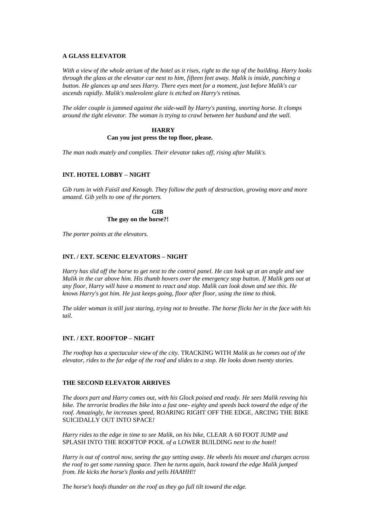### **A GLASS ELEVATOR**

*With a view of the whole atrium of the hotel as it rises, right to the top of the building. Harry looks through the glass at the elevator car next to him, fifteen feet away. Malik is inside, punching a button. He glances up and sees Harry. There eyes meet for a moment, just before Malik's car ascends rapidly. Malik's malevolent glare is etched on Harry's retinas.*

*The older couple is jammed against the side-wall by Harry's panting, snorting horse. It clomps around the tight elevator. The woman is trying to crawl between her husband and the wall.*

# **HARRY**

### **Can you just press the top floor, please.**

*The man nods mutely and complies. Their elevator takes off, rising after Malik's.*

# **INT. HOTEL LOBBY – NIGHT**

*Gib runs in with Faisil and Keough. They follow the path of destruction, growing more and more amazed. Gib yells to one of the porters.*

> **GIB The guy on the horse?!**

*The porter points at the elevators.*

# **INT. / EXT. SCENIC ELEVATORS – NIGHT**

*Harry has slid off the horse to get next to the control panel. He can look up at an angle and see Malik in the car above him. His thumb hovers over the emergency stop button. If Malik gets out at any floor, Harry will have a moment to react and stop. Malik can look down and see this. He knows Harry's got him. He just keeps going, floor after floor, using the time to think.*

*The older woman is still just staring, trying not to breathe. The horse flicks her in the face with his tail.*

### **INT. / EXT. ROOFTOP – NIGHT**

*The rooftop has a spectacular view of the city.* TRACKING WITH *Malik as he comes out of the elevator, rides to the far edge of the roof and slides to a stop. He looks down twenty stories.*

#### **THE SECOND ELEVATOR ARRIVES**

*The doors part and Harry comes out, with his Glock poised and ready. He sees Malik revving his bike. The terrorist brodies the bike into a fast one- eighty and speeds back toward the edge of the roof. Amazingly, he increases speed,* ROARING RIGHT OFF THE EDGE*,* ARCING THE BIKE SUICIDALLY OUT INTO SPACE*!*

*Harry rides to the edge in time to see Malik, on his bike,* CLEAR A 60 FOOT JUMP *and*  SPLASH INTO THE ROOFTOP POOL *of a* LOWER BUILDING *next to the hotel!*

*Harry is out of control now, seeing the guy setting away. He wheels his mount and charges across the roof to get some running space. Then he turns again, back toward the edge Malik jumped from. He kicks the horse's flanks and yells HAAHH!!*

*The horse's hoofs thunder on the roof as they go full tilt toward the edge.*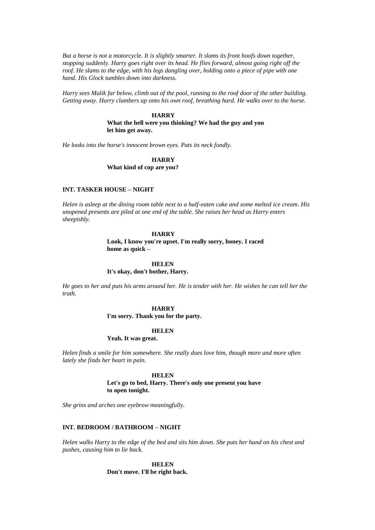*But a horse is not a motorcycle. It is slightly smarter. It slams its front hoofs down together, stopping suddenly. Harry goes right over its head. He flies forward, almost going right off the roof. He slams to the edge, with his legs dangling over, holding onto a piece of pipe with one hand. His Glock tumbles down into darkness.*

*Harry sees Malik far below, climb out of the pool, running to the roof door of the other building. Getting away. Harry clambers up onto his own roof, breathing hard. He walks over to the horse.*

# **HARRY**

**What the hell were you thinking? We had the guy and you let him get away.**

*He looks into the horse's innocent brown eyes. Pats its neck fondly.*

# **HARRY What kind of cop are you?**

# **INT. TASKER HOUSE – NIGHT**

*Helen is asleep at the dining room table next to a half-eaten cake and some melted ice cream. His unopened presents are piled at one end of the table. She raises her head as Harry enters sheepishly.*

# **HARRY**

**Look, I know you're upset. I'm really sorry, honey. I raced home as quick –**

#### **HELEN**

**It's okay, don't bother, Harry.**

*He goes to her and puts his arms around her. He is tender with her. He wishes he can tell her the truth.*

### **HARRY**

**I'm sorry. Thank you for the party.**

#### **HELEN**

**Yeah. It was great.**

*Helen finds a smile for him somewhere. She really does love him, though more and more often lately she finds her heart in pain.*

#### **HELEN**

**Let's go to bed, Harry. There's only one present you have to open tonight.**

*She grins and arches one eyebrow meaningfully.*

# **INT. BEDROOM / BATHROOM – NIGHT**

*Helen walks Harry to the edge of the bed and sits him down. She puts her hand on his chest and pushes, causing him to lie back.*

> **HELEN Don't move. I'll be right back.**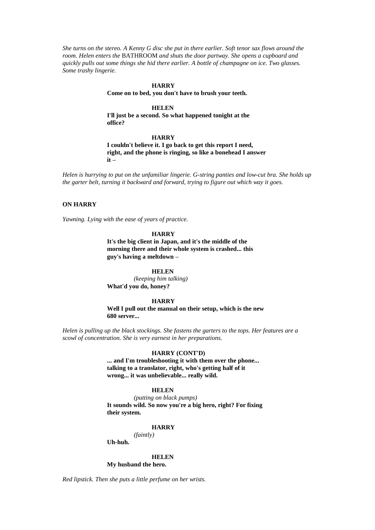*She turns on the stereo. A Kenny G disc she put in there earlier. Soft tenor sax flows around the room. Helen enters the* BATHROOM *and shuts the door partway. She opens a cupboard and quickly pulls out some things she hid there earlier. A bottle of champagne on ice. Two glasses. Some trashy lingerie.*

### **HARRY**

**Come on to bed, you don't have to brush your teeth.**

### **HELEN**

**I'll just be a second. So what happened tonight at the office?**

#### **HARRY**

**I couldn't believe it. I go back to get this report I need, right, and the phone is ringing, so like a bonehead I answer it –**

*Helen is hurrying to put on the unfamiliar lingerie. G-string panties and low-cut bra. She holds up the garter belt, turning it backward and forward, trying to figure out which way it goes.*

# **ON HARRY**

*Yawning. Lying with the ease of years of practice.*

### **HARRY**

**It's the big client in Japan, and it's the middle of the morning there and their whole system is crashed... this guy's having a meltdown –**

#### **HELEN**

*(keeping him talking)* **What'd you do, honey?**

## **HARRY**

**Well I pull out the manual on their setup, which is the new 680 server...**

*Helen is pulling up the black stockings. She fastens the garters to the tops. Her features are a scowl of concentration. She is very earnest in her preparations.*

#### **HARRY (CONT'D)**

**... and I'm troubleshooting it with them over the phone... talking to a translator, right, who's getting half of it wrong... it was unbelievable... really wild.**

#### **HELEN**

*(putting on black pumps)* **It sounds wild. So now you're a big hero, right? For fixing their system.**

#### **HARRY**

*(faintly)*

**Uh-huh.**

#### **HELEN**

#### **My husband the hero.**

*Red lipstick. Then she puts a little perfume on her wrists.*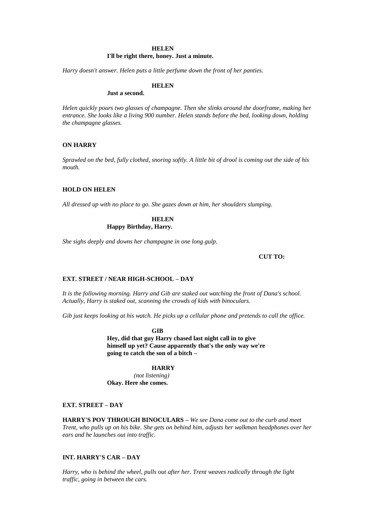#### **HELEN**

# **I'll be right there, honey. Just a minute.**

*Harry doesn't answer. Helen puts a little perfume down the front of her panties.*

# **HELEN**

**Just a second.**

*Helen quickly pours two glasses of champagne. Then she slinks around the doorframe, making her entrance. She looks like a living 900 number. Helen stands before the bed, looking down, holding the champagne glasses.*

# **ON HARRY**

*Sprawled on the bed, fully clothed, snoring softly. A little bit of drool is coming out the side of his mouth.*

## **HOLD ON HELEN**

*All dressed up with no place to go. She gazes down at him, her shoulders slumping.*

## **HELEN Happy Birthday, Harry.**

*She sighs deeply and downs her champagne in one long gulp.*

**CUT TO:**

## **EXT. STREET / NEAR HIGH-SCHOOL – DAY**

*It is the following morning. Harry and Gib are staked out watching the front of Dana's school. Actually, Harry is staked out, scanning the crowds of kids with binoculars.*

*Gib just keeps looking at his watch. He picks up a cellular phone and pretends to call the office.*

**GIB**

**Hey, did that guy Harry chased last night call in to give himself up yet? Cause apparently that's the only way we're going to catch the son of a bitch –**

### **HARRY**

*(not listening)* **Okay. Here she comes.**

### **EXT. STREET – DAY**

**HARRY'S POV THROUGH BINOCULARS –** *We see Dana come out to the curb and meet Trent, who pulls up on his bike. She gets on behind him, adjusts her walkman headphones over her ears and he launches out into traffic.*

# **INT. HARRY'S CAR – DAY**

*Harry, who is behind the wheel, pulls out after her. Trent weaves radically through the light traffic, going in between the cars.*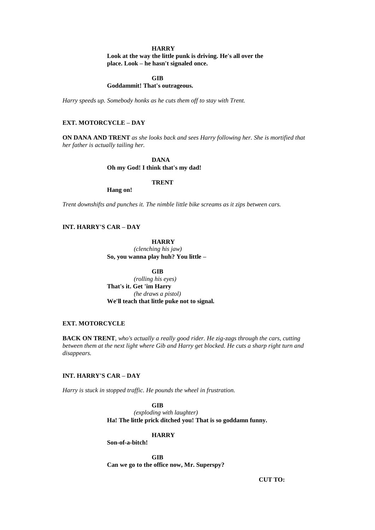### **HARRY**

**Look at the way the little punk is driving. He's all over the place. Look – he hasn't signaled once.**

**GIB**

**Goddammit! That's outrageous.**

*Harry speeds up. Somebody honks as he cuts them off to stay with Trent.*

# **EXT. MOTORCYCLE – DAY**

**ON DANA AND TRENT** *as she looks back and sees Harry following her. She is mortified that her father is actually tailing her.*

> **DANA Oh my God! I think that's my dad!**

# **TRENT**

**Hang on!**

*Trent downshifts and punches it. The nimble little bike screams as it zips between cars.*

# **INT. HARRY'S CAR – DAY**

**HARRY** *(clenching his jaw)* **So, you wanna play huh? You little –**

**GIB** *(rolling his eyes)* **That's it. Get 'im Harry** *(he draws a pistol)* **We'll teach that little puke not to signal.**

# **EXT. MOTORCYCLE**

**BACK ON TRENT***, who's actually a really good rider. He zig-zags through the cars, cutting between them at the next light where Gib and Harry get blocked. He cuts a sharp right turn and disappears.*

# **INT. HARRY'S CAR – DAY**

*Harry is stuck in stopped traffic. He pounds the wheel in frustration.*

**GIB**

*(exploding with laughter)* **Ha! The little prick ditched you! That is so goddamn funny.**

#### **HARRY**

**Son-of-a-bitch!**

**GIB Can we go to the office now, Mr. Superspy?**

**CUT TO:**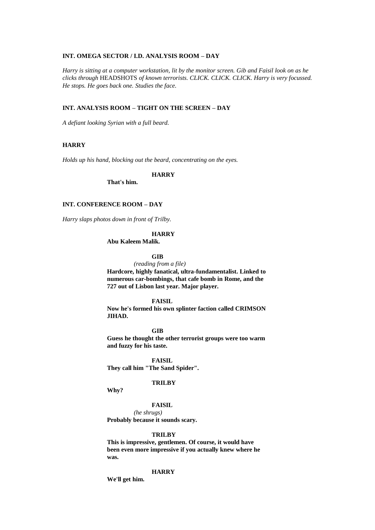# **INT. OMEGA SECTOR / I.D. ANALYSIS ROOM – DAY**

*Harry is sitting at a computer workstation, lit by the monitor screen. Gib and Faisil look on as he clicks through* HEADSHOTS *of known terrorists. CLICK. CLICK. CLICK. Harry is very focussed. He stops. He goes back one. Studies the face.*

## **INT. ANALYSIS ROOM – TIGHT ON THE SCREEN – DAY**

*A defiant looking Syrian with a full beard.*

# **HARRY**

*Holds up his hand, blocking out the beard, concentrating on the eyes.*

## **HARRY**

**That's him.**

# **INT. CONFERENCE ROOM – DAY**

*Harry slaps photos down in front of Trilby.*

### **HARRY**

**Abu Kaleem Malik.**

# **GIB**

*(reading from a file)* **Hardcore, highly fanatical, ultra-fundamentalist. Linked to numerous car-bombings, that cafe bomb in Rome, and the 727 out of Lisbon last year. Major player.** 

**FAISIL** 

**Now he's formed his own splinter faction called CRIMSON JIHAD.**

**GIB** 

**Guess he thought the other terrorist groups were too warm and fuzzy for his taste.**

**FAISIL They call him "The Sand Spider".** 

## **TRILBY**

**Why?**

#### **FAISIL**

*(he shrugs)* **Probably because it sounds scary.** 

#### **TRILBY**

**This is impressive, gentlemen. Of course, it would have been even more impressive if you actually knew where he was.**

#### **HARRY**

**We'll get him.**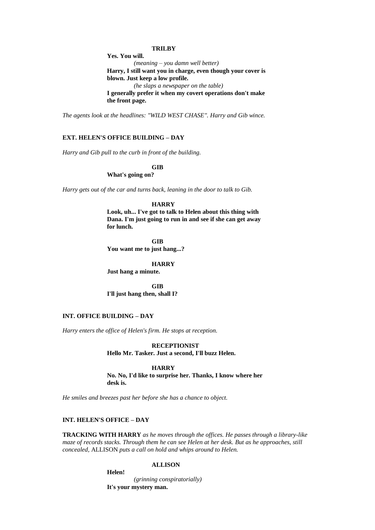### **TRILBY**

**Yes. You will.**

*(meaning – you damn well better)* **Harry, I still want you in charge, even though your cover is blown. Just keep a low profile.**

*(he slaps a newspaper on the table)*

**I generally prefer it when my covert operations don't make the front page.**

*The agents look at the headlines: "WILD WEST CHASE". Harry and Gib wince.*

## **EXT. HELEN'S OFFICE BUILDING – DAY**

*Harry and Gib pull to the curb in front of the building.*

**GIB**

**What's going on?**

*Harry gets out of the car and turns back, leaning in the door to talk to Gib.*

#### **HARRY**

**Look, uh... I've got to talk to Helen about this thing with Dana. I'm just going to run in and see if she can get away for lunch.**

**GIB You want me to just hang...?**

**HARRY**

**Just hang a minute.**

**GIB I'll just hang then, shall I?**

# **INT. OFFICE BUILDING – DAY**

*Harry enters the office of Helen's firm. He stops at reception.*

**RECEPTIONIST Hello Mr. Tasker. Just a second, I'll buzz Helen.**

#### **HARRY**

**No. No, I'd like to surprise her. Thanks, I know where her desk is.**

*He smiles and breezes past her before she has a chance to object.*

# **INT. HELEN'S OFFICE – DAY**

**Helen!**

**TRACKING WITH HARRY** *as he moves through the offices. He passes through a library-like maze of records stacks. Through them he can see Helen at her desk. But as he approaches, still concealed,* ALLISON *puts a call on hold and whips around to Helen.*

# **ALLISON**

*(grinning conspiratorially)* **It's your mystery man.**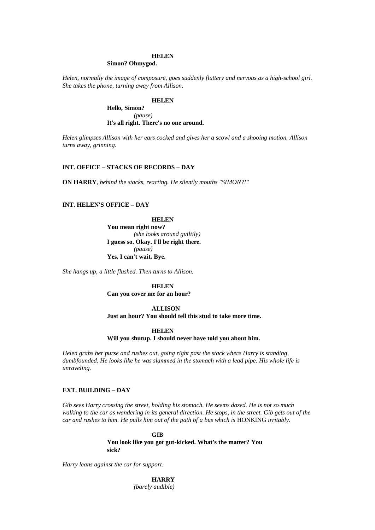# **HELEN**

# **Simon? Ohmygod.**

*Helen, normally the image of composure, goes suddenly fluttery and nervous as a high-school girl. She takes the phone, turning away from Allison.*

# **HELEN**

**Hello, Simon?** *(pause)* **It's all right. There's no one around.**

*Helen glimpses Allison with her ears cocked and gives her a scowl and a shooing motion. Allison turns away, grinning.*

### **INT. OFFICE – STACKS OF RECORDS – DAY**

**ON HARRY***, behind the stacks, reacting. He silently mouths "SIMON?!"*

# **INT. HELEN'S OFFICE – DAY**

**HELEN**

**You mean right now?** *(she looks around guiltily)* **I guess so. Okay. I'll be right there.** *(pause)* **Yes. I can't wait. Bye.**

*She hangs up, a little flushed. Then turns to Allison.*

**HELEN Can you cover me for an hour?**

## **ALLISON**

**Just an hour? You should tell this stud to take more time.**

# **HELEN**

**Will you shutup. I should never have told you about him.**

*Helen grabs her purse and rushes out, going right past the stack where Harry is standing, dumbfounded. He looks like he was slammed in the stomach with a lead pipe. His whole life is unraveling.*

# **EXT. BUILDING – DAY**

*Gib sees Harry crossing the street, holding his stomach. He seems dazed. He is not so much walking to the car as wandering in its general direction. He stops, in the street. Gib gets out of the car and rushes to him. He pulls him out of the path of a bus which is HONKING irritably.* 

> **GIB You look like you got gut-kicked. What's the matter? You sick?**

*Harry leans against the car for support.*

**HARRY** *(barely audible)*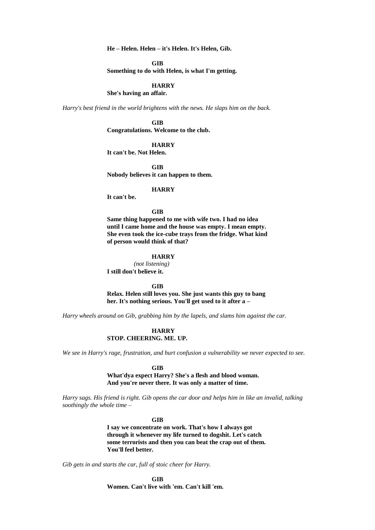**He – Helen. Helen – it's Helen. It's Helen, Gib.**

**GIB**

**Something to do with Helen, is what I'm getting.**

## **HARRY**

**She's having an affair.**

*Harry's best friend in the world brightens with the news. He slaps him on the back.*

**GIB Congratulations. Welcome to the club.**

# **HARRY**

**It can't be. Not Helen.**

**GIB Nobody believes it can happen to them.**

#### **HARRY**

**It can't be.**

## **GIB**

**Same thing happened to me with wife two. I had no idea until I came home and the house was empty. I mean empty. She even took the ice-cube trays from the fridge. What kind of person would think of that?**

## **HARRY**

*(not listening)* **I still don't believe it.**

**GIB**

**Relax. Helen still loves you. She just wants this guy to bang her. It's nothing serious. You'll get used to it after a –**

*Harry wheels around on Gib, grabbing him by the lapels, and slams him against the car.*

# **HARRY STOP. CHEERING. ME. UP.**

*We see in Harry's rage, frustration, and hurt confusion a vulnerability we never expected to see.*

#### **GIB**

**What'dya expect Harry? She's a flesh and blood woman. And you're never there. It was only a matter of time.**

*Harry sags. His friend is right. Gib opens the car door and helps him in like an invalid, talking soothingly the whole time –*

#### **GIB**

**I say we concentrate on work. That's how I always got through it whenever my life turned to dogshit. Let's catch some terrorists and then you can beat the crap out of them. You'll feel better.**

*Gib gets in and starts the car, full of stoic cheer for Harry.*

**GIB Women. Can't live with 'em. Can't kill 'em.**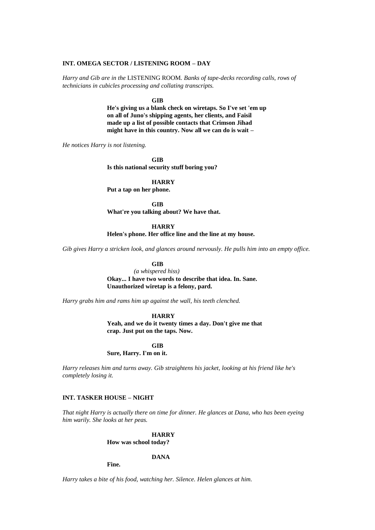#### **INT. OMEGA SECTOR / LISTENING ROOM – DAY**

*Harry and Gib are in the* LISTENING ROOM*. Banks of tape-decks recording calls, rows of technicians in cubicles processing and collating transcripts.*

**GIB**

**He's giving us a blank check on wiretaps. So I've set 'em up on all of Juno's shipping agents, her clients, and Faisil made up a list of possible contacts that Crimson Jihad might have in this country. Now all we can do is wait –**

*He notices Harry is not listening.*

**GIB Is this national security stuff boring you?**

**HARRY**

**Put a tap on her phone.**

**GIB What're you talking about? We have that.**

**HARRY**

**Helen's phone. Her office line and the line at my house.**

*Gib gives Harry a stricken look, and glances around nervously. He pulls him into an empty office.*

**GIB** 

*(a whispered hiss)*  **Okay... I have two words to describe that idea. In. Sane. Unauthorized wiretap is a felony, pard.**

*Harry grabs him and rams him up against the wall, his teeth clenched.*

**HARRY**

**Yeah, and we do it twenty times a day. Don't give me that crap. Just put on the taps. Now.**

**GIB**

**Sure, Harry. I'm on it.**

*Harry releases him and turns away. Gib straightens his jacket, looking at his friend like he's completely losing it.*

# **INT. TASKER HOUSE – NIGHT**

*That night Harry is actually there on time for dinner. He glances at Dana, who has been eyeing him warily. She looks at her peas.*

> **HARRY How was school today?**

> > **DANA**

**Fine.**

*Harry takes a bite of his food, watching her. Silence. Helen glances at him.*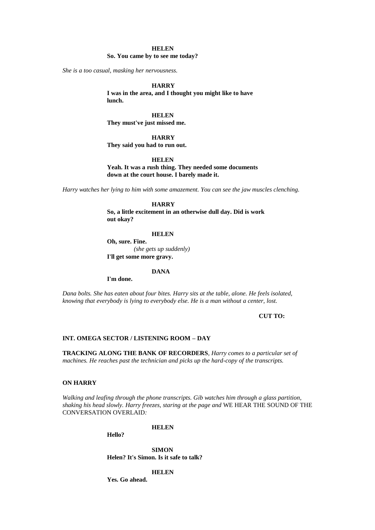# **HELEN**

#### **So. You came by to see me today?**

*She is a too casual, masking her nervousness.*

### **HARRY**

**I was in the area, and I thought you might like to have lunch.**

**HELEN They must've just missed me.**

## **HARRY**

**They said you had to run out.**

**HELEN**

**Yeah. It was a rush thing. They needed some documents down at the court house. I barely made it.**

*Harry watches her lying to him with some amazement. You can see the jaw muscles clenching.*

# **HARRY**

**So, a little excitement in an otherwise dull day. Did is work out okay?**

#### **HELEN**

**Oh, sure. Fine.** *(she gets up suddenly)* **I'll get some more gravy.**

#### **DANA**

**I'm done.**

*Dana bolts. She has eaten about four bites. Harry sits at the table, alone. He feels isolated, knowing that everybody is lying to everybody else. He is a man without a center, lost.*

#### **CUT TO:**

### **INT. OMEGA SECTOR / LISTENING ROOM – DAY**

**TRACKING ALONG THE BANK OF RECORDERS***, Harry comes to a particular set of machines. He reaches past the technician and picks up the hard-copy of the transcripts.*

### **ON HARRY**

*Walking and leafing through the phone transcripts. Gib watches him through a glass partition, shaking his head slowly. Harry freezes, staring at the page and* WE HEAR THE SOUND OF THE CONVERSATION OVERLAID*:*

#### **HELEN**

**Hello?**

**SIMON Helen? It's Simon. Is it safe to talk?**

#### **HELEN**

**Yes. Go ahead.**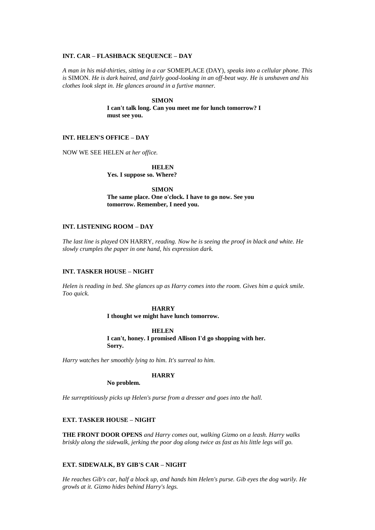#### **INT. CAR – FLASHBACK SEQUENCE – DAY**

*A man in his mid-thirties, sitting in a car* SOMEPLACE (DAY)*, speaks into a cellular phone. This is* SIMON*. He is dark haired, and fairly good-looking in an off-beat way. He is unshaven and his clothes look slept in. He glances around in a furtive manner.*

### **SIMON**

**I can't talk long. Can you meet me for lunch tomorrow? I must see you.**

### **INT. HELEN'S OFFICE – DAY**

NOW WE SEE HELEN *at her office.*

**HELEN Yes. I suppose so. Where?**

**SIMON The same place. One o'clock. I have to go now. See you tomorrow. Remember, I need you.**

# **INT. LISTENING ROOM – DAY**

*The last line is played* ON HARRY*, reading. Now he is seeing the proof in black and white. He slowly crumples the paper in one hand, his expression dark.*

# **INT. TASKER HOUSE – NIGHT**

*Helen is reading in bed. She glances up as Harry comes into the room. Gives him a quick smile. Too quick.*

# **HARRY**

**I thought we might have lunch tomorrow.**

# **HELEN**

**I can't, honey. I promised Allison I'd go shopping with her. Sorry.**

*Harry watches her smoothly lying to him. It's surreal to him.*

## **HARRY**

**No problem.**

*He surreptitiously picks up Helen's purse from a dresser and goes into the hall.*

# **EXT. TASKER HOUSE – NIGHT**

**THE FRONT DOOR OPENS** *and Harry comes out, walking Gizmo on a leash. Harry walks briskly along the sidewalk, jerking the poor dog along twice as fast as his little legs will go.* 

# **EXT. SIDEWALK, BY GIB'S CAR – NIGHT**

*He reaches Gib's car, half a block up, and hands him Helen's purse. Gib eyes the dog warily. He growls at it. Gizmo hides behind Harry's legs.*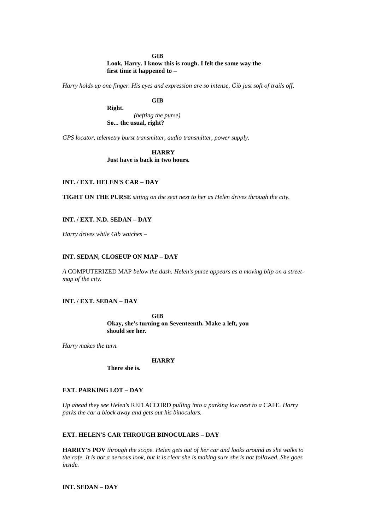#### **GIB**

# **Look, Harry. I know this is rough. I felt the same way the first time it happened to –**

*Harry holds up one finger. His eyes and expression are so intense, Gib just soft of trails off.*

# **GIB**

**Right.**  *(hefting the purse)*  **So... the usual, right?**

*GPS locator, telemetry burst transmitter, audio transmitter, power supply.*

**HARRY Just have is back in two hours.** 

# **INT. / EXT. HELEN'S CAR – DAY**

**TIGHT ON THE PURSE** *sitting on the seat next to her as Helen drives through the city.*

# **INT. / EXT. N.D. SEDAN – DAY**

*Harry drives while Gib watches –*

# **INT. SEDAN, CLOSEUP ON MAP – DAY**

*A* COMPUTERIZED MAP *below the dash. Helen's purse appears as a moving blip on a streetmap of the city.*

# **INT. / EXT. SEDAN – DAY**

**GIB Okay, she's turning on Seventeenth. Make a left, you should see her.**

*Harry makes the turn.*

#### **HARRY**

**There she is.**

## **EXT. PARKING LOT – DAY**

*Up ahead they see Helen's* RED ACCORD *pulling into a parking low next to a* CAFE*. Harry parks the car a block away and gets out his binoculars.*

# **EXT. HELEN'S CAR THROUGH BINOCULARS – DAY**

**HARRY'S POV** *through the scope. Helen gets out of her car and looks around as she walks to the cafe. It is not a nervous look, but it is clear she is making sure she is not followed. She goes inside.*

# **INT. SEDAN – DAY**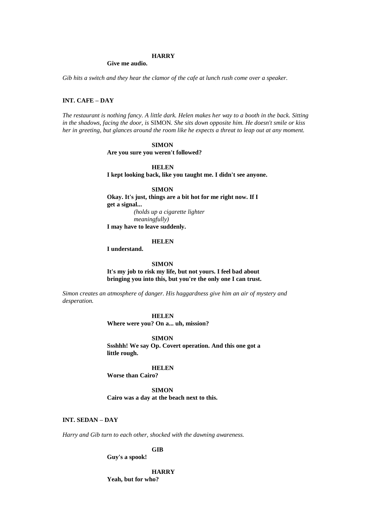#### **HARRY**

#### **Give me audio.**

*Gib hits a switch and they hear the clamor of the cafe at lunch rush come over a speaker.*

# **INT. CAFE – DAY**

*The restaurant is nothing fancy. A little dark. Helen makes her way to a booth in the back. Sitting in the shadows, facing the door, is* SIMON*. She sits down opposite him. He doesn't smile or kiss her in greeting, but glances around the room like he expects a threat to leap out at any moment.*

# **SIMON Are you sure you weren't followed?**

**HELEN**

**I kept looking back, like you taught me. I didn't see anyone.**

**SIMON**

**Okay. It's just, things are a bit hot for me right now. If I get a signal...**

*(holds up a cigarette lighter meaningfully)* **I may have to leave suddenly.**

**HELEN**

**I understand.**

**SIMON**

**It's my job to risk my life, but not yours. I feel bad about bringing you into this, but you're the only one I can trust.**

*Simon creates an atmosphere of danger. His haggardness give him an air of mystery and desperation.*

### **HELEN**

**Where were you? On a... uh, mission?**

**SIMON**

**Ssshhh! We say Op. Covert operation. And this one got a little rough.**

### **HELEN**

**Worse than Cairo?** 

**SIMON Cairo was a day at the beach next to this.**

## **INT. SEDAN – DAY**

*Harry and Gib turn to each other, shocked with the dawning awareness.*

**GIB**

## **Guy's a spook!**

**HARRY**

**Yeah, but for who?**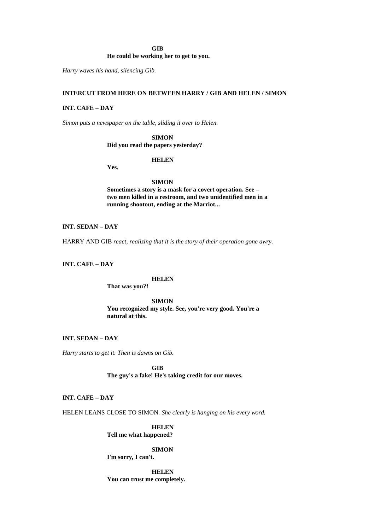# **GIB**

# **He could be working her to get to you.**

*Harry waves his hand, silencing Gib.*

# **INTERCUT FROM HERE ON BETWEEN HARRY / GIB AND HELEN / SIMON**

# **INT. CAFE – DAY**

*Simon puts a newspaper on the table, sliding it over to Helen.*

# **SIMON**

# **Did you read the papers yesterday?**

# **HELEN**

**Yes.**

## **SIMON**

**Sometimes a story is a mask for a covert operation. See – two men killed in a restroom, and two unidentified men in a running shootout, ending at the Marriot...**

# **INT. SEDAN – DAY**

HARRY AND GIB *react, realizing that it is the story of their operation gone awry.*

# **INT. CAFE – DAY**

#### **HELEN**

**That was you?!**

**SIMON You recognized my style. See, you're very good. You're a natural at this.**

# **INT. SEDAN – DAY**

*Harry starts to get it. Then is dawns on Gib.*

**GIB The guy's a fake! He's taking credit for our moves.**

# **INT. CAFE – DAY**

HELEN LEANS CLOSE TO SIMON*. She clearly is hanging on his every word.*

**HELEN Tell me what happened?**

## **SIMON**

**I'm sorry, I can't.**

**HELEN You can trust me completely.**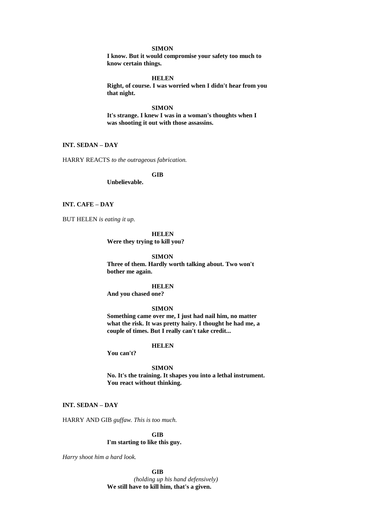## **SIMON**

**I know. But it would compromise your safety too much to know certain things.**

**HELEN**

**Right, of course. I was worried when I didn't hear from you that night.**

#### **SIMON**

**It's strange. I knew I was in a woman's thoughts when I was shooting it out with those assassins.**

# **INT. SEDAN – DAY**

HARRY REACTS *to the outrageous fabrication.*

## **GIB**

**Unbelievable.**

# **INT. CAFE – DAY**

BUT HELEN *is eating it up.*

**HELEN**

**Were they trying to kill you?**

## **SIMON**

**Three of them. Hardly worth talking about. Two won't bother me again.**

**HELEN And you chased one?**

## **SIMON**

**Something came over me, I just had nail him, no matter what the risk. It was pretty hairy. I thought he had me, a couple of times. But I really can't take credit...**

#### **HELEN**

**You can't?**

**SIMON**

**No. It's the training. It shapes you into a lethal instrument. You react without thinking.**

# **INT. SEDAN – DAY**

HARRY AND GIB *guffaw. This is too much.*

# **GIB I'm starting to like this guy.**

*Harry shoot him a hard look.* 

**GIB** 

*(holding up his hand defensively)*  **We still have to kill him, that's a given.**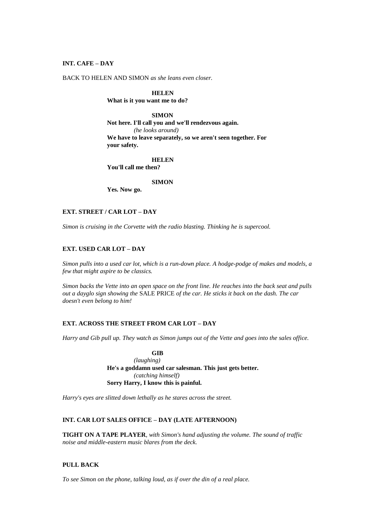### **INT. CAFE – DAY**

BACK TO HELEN AND SIMON *as she leans even closer.*

# **HELEN**

**What is it you want me to do?**

# **SIMON**

**Not here. I'll call you and we'll rendezvous again.** *(he looks around)* **We have to leave separately, so we aren't seen together. For your safety.**

#### **HELEN**

**You'll call me then?**

# **SIMON**

**Yes. Now go.**

# **EXT. STREET / CAR LOT – DAY**

*Simon is cruising in the Corvette with the radio blasting. Thinking he is supercool.*

# **EXT. USED CAR LOT – DAY**

*Simon pulls into a used car lot, which is a run-down place. A hodge-podge of makes and models, a few that might aspire to be classics.*

*Simon backs the Vette into an open space on the front line. He reaches into the back seat and pulls out a dayglo sign showing the* SALE PRICE *of the car. He sticks it back on the dash. The car doesn't even belong to him!*

# **EXT. ACROSS THE STREET FROM CAR LOT – DAY**

*Harry and Gib pull up. They watch as Simon jumps out of the Vette and goes into the sales office.*

**GIB** *(laughing)* **He's a goddamn used car salesman. This just gets better.** *(catching himself)* **Sorry Harry, I know this is painful.**

*Harry's eyes are slitted down lethally as he stares across the street.*

# **INT. CAR LOT SALES OFFICE – DAY (LATE AFTERNOON)**

**TIGHT ON A TAPE PLAYER***, with Simon's hand adjusting the volume. The sound of traffic noise and middle-eastern music blares from the deck.*

# **PULL BACK**

*To see Simon on the phone, talking loud, as if over the din of a real place.*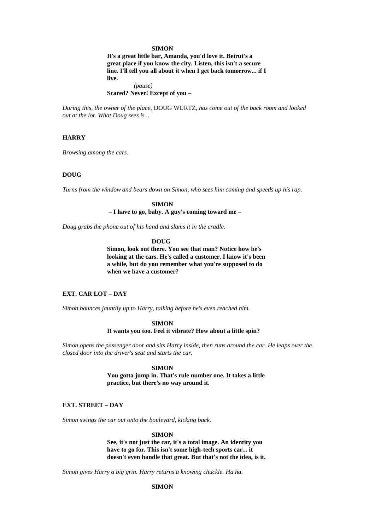### **SIMON**

**It's a great little bar, Amanda, you'd love it. Beirut's a great place if you know the city. Listen, this isn't a secure line. I'll tell you all about it when I get back tomorrow... if I live.** *(pause)* **Scared? Never! Except of you –**

*During this, the owner of the place,* DOUG WURTZ*, has come out of the back room and looked out at the lot. What Doug sees is...*

# **HARRY**

*Browsing among the cars.*

# **DOUG**

*Turns from the window and bears down on Simon, who sees him coming and speeds up his rap.*

#### **SIMON**

**– I have to go, baby. A guy's coming toward me –**

*Doug grabs the phone out of his hand and slams it in the cradle.*

#### **DOUG**

**Simon, look out there. You see that man? Notice how he's looking at the cars. He's called a customer. I know it's been a while, but do you remember what you're supposed to do when we have a customer?**

# **EXT. CAR LOT – DAY**

*Simon bounces jauntily up to Harry, talking before he's even reached him.*

**SIMON It wants you too. Feel it vibrate? How about a little spin?**

*Simon opens the passenger door and sits Harry inside, then runs around the car. He leaps over the closed door into the driver's seat and starts the car.*

### **SIMON**

**You gotta jump in. That's rule number one. It takes a little practice, but there's no way around it.**

### **EXT. STREET – DAY**

*Simon swings the car out onto the boulevard, kicking back.*

#### **SIMON**

**See, it's not just the car, it's a total image. An identity you have to go for. This isn't some high-tech sports car... it doesn't even handle that great. But that's not the idea, is it.**

*Simon gives Harry a big grin. Harry returns a knowing chuckle. Ha ha.*

# **SIMON**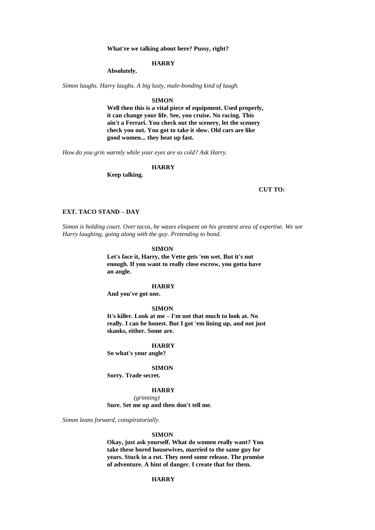**What're we talking about here? Pussy, right?**

### **HARRY**

**Absolutely.**

*Simon laughs. Harry laughs. A big lusty, male-bonding kind of laugh.*

**SIMON**

**Well then this is a vital piece of equipment. Used properly, it can change your life. See, you cruise. No racing. This ain't a Ferrari. You check out the scenery, let the scenery check you out. You got to take it slow. Old cars are like good women... they heat up fast.**

*How do you grin warmly while your eyes are so cold? Ask Harry.*

**HARRY**

**Keep talking.**

# **CUT TO:**

### **EXT. TACO STAND – DAY**

*Simon is holding court. Over tacos, he waxes eloquent on his greatest area of expertise. We see Harry laughing, going along with the guy. Pretending to bond.*

#### **SIMON**

**Let's face it, Harry, the Vette gets 'em wet. But it's not enough. If you want to really close escrow, you gotta have an angle.**

# **HARRY**

**And you've got one.**

## **SIMON**

**It's killer. Look at me – I'm not that much to look at. No really. I can be honest. But I got 'em lining up, and not just skanks, either. Some are.**

#### **HARRY**

**So what's your angle?**

#### **SIMON**

**Sorry. Trade secret.**

#### **HARRY**

*(grinning)*

**Sure. Set me up and then don't tell me.**

*Simon leans forward, conspiratorially.*

#### **SIMON**

**Okay, just ask yourself. What do women really want? You take these bored housewives, married to the same guy for years. Stuck in a rut. They need some release. The promise of adventure. A hint of danger. I create that for them.**

# **HARRY**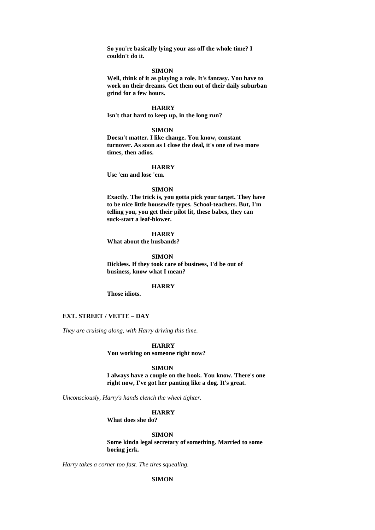**So you're basically lying your ass off the whole time? I couldn't do it.**

#### **SIMON**

**Well, think of it as playing a role. It's fantasy. You have to work on their dreams. Get them out of their daily suburban grind for a few hours.**

### **HARRY**

**Isn't that hard to keep up, in the long run?**

### **SIMON**

**Doesn't matter. I like change. You know, constant turnover. As soon as I close the deal, it's one of two more times, then adios.**

#### **HARRY**

**Use 'em and lose 'em.**

# **SIMON**

**Exactly. The trick is, you gotta pick your target. They have to be nice little housewife types. School-teachers. But, I'm telling you, you get their pilot lit, these babes, they can suck-start a leaf-blower.**

# **HARRY**

**What about the husbands?**

**SIMON Dickless. If they took care of business, I'd be out of business, know what I mean?**

#### **HARRY**

**Those idiots.**

## **EXT. STREET / VETTE – DAY**

*They are cruising along, with Harry driving this time.*

**HARRY**

**You working on someone right now?**

# **SIMON**

**I always have a couple on the hook. You know. There's one right now, I've got her panting like a dog. It's great.**

*Unconsciously, Harry's hands clench the wheel tighter.*

### **HARRY**

**What does she do?**

#### **SIMON**

**Some kinda legal secretary of something. Married to some boring jerk.**

*Harry takes a corner too fast. The tires squealing.*

# **SIMON**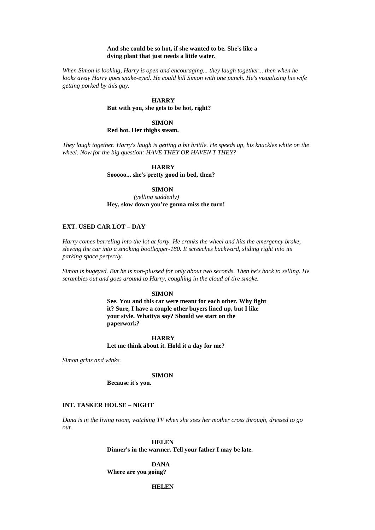# **And she could be so hot, if she wanted to be. She's like a dying plant that just needs a little water.**

*When Simon is looking, Harry is open and encouraging... they laugh together... then when he*  looks away Harry goes snake-eyed. He could kill Simon with one punch. He's visualizing his wife *getting porked by this guy.*

#### **HARRY**

**But with you, she gets to be hot, right?**

**SIMON Red hot. Her thighs steam.**

*They laugh together. Harry's laugh is getting a bit brittle. He speeds up, his knuckles white on the wheel. Now for the big question: HAVE THEY OR HAVEN'T THEY?*

> **HARRY Sooooo... she's pretty good in bed, then?**

# **SIMON**

*(yelling suddenly)* **Hey, slow down you're gonna miss the turn!**

# **EXT. USED CAR LOT – DAY**

*Harry comes barreling into the lot at forty. He cranks the wheel and hits the emergency brake, slewing the car into a smoking bootlegger-180. It screeches backward, sliding right into its parking space perfectly.*

*Simon is bugeyed. But he is non-plussed for only about two seconds. Then he's back to selling. He scrambles out and goes around to Harry, coughing in the cloud of tire smoke.*

# **SIMON**

**See. You and this car were meant for each other. Why fight it? Sure, I have a couple other buyers lined up, but I like your style. Whattya say? Should we start on the paperwork?**

### **HARRY**

**Let me think about it. Hold it a day for me?**

*Simon grins and winks.*

#### **SIMON**

**Because it's you.**

## **INT. TASKER HOUSE – NIGHT**

*Dana is in the living room, watching TV when she sees her mother cross through, dressed to go out.*

> **HELEN Dinner's in the warmer. Tell your father I may be late.**

**DANA Where are you going?**

# **HELEN**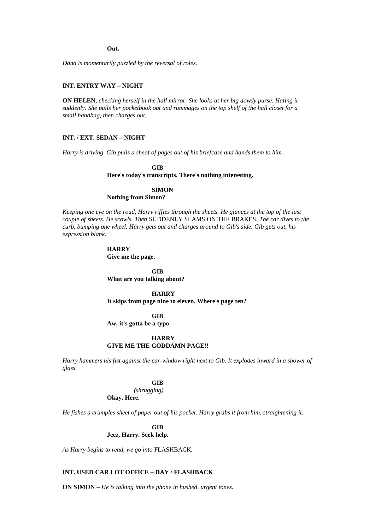**Out.**

*Dana is momentarily puzzled by the reversal of roles.*

## **INT. ENTRY WAY – NIGHT**

**ON HELEN***, checking herself in the hall mirror. She looks at her big dowdy purse. Hating it suddenly. She pulls her pocketbook out and rummages on the top shelf of the hall closet for a small handbag, then charges out.*

## **INT. / EXT. SEDAN – NIGHT**

*Harry is driving. Gib pulls a sheaf of pages out of his briefcase and hands them to him.*

**GIB Here's today's transcripts. There's nothing interesting.**

# **SIMON Nothing from Simon?**

*Keeping one eye on the road, Harry riffles through the sheets. He glances at the top of the last couple of sheets. He scowls. Then* SUDDENLY SLAMS ON THE BRAKES*. The car dives to the curb, bumping one wheel. Harry gets out and charges around to Gib's side. Gib gets out, his expression blank.*

#### **HARRY**

**Give me the page.**

**GIB What are you talking about?**

**HARRY It skips from page nine to eleven. Where's page ten?**

### **GIB**

**Aw, it's gotta be a typo –**

#### **HARRY**

# **GIVE ME THE GODDAMN PAGE!!**

*Harry hammers his fist against the car-window right next to Gib. It explodes inward in a shower of glass.*

### **GIB**

*(shrugging)*

**Okay. Here.**

*He fishes a crumples sheet of paper out of his pocket. Harry grabs it from him, straightening it.*

# **GIB Jeez, Harry. Seek help.**

*As Harry begins to read, we go into* FLASHBACK*.*

# **INT. USED CAR LOT OFFICE – DAY / FLASHBACK**

**ON SIMON –** *He is talking into the phone in hushed, urgent tones.*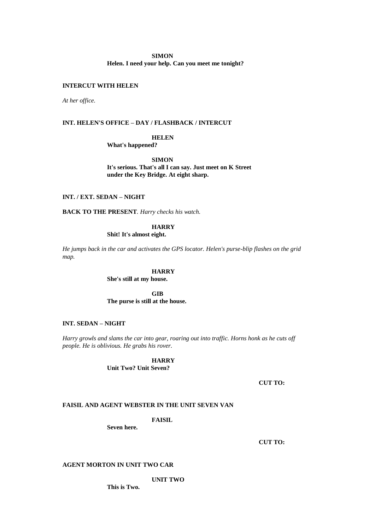# **SIMON**

**Helen. I need your help. Can you meet me tonight?**

## **INTERCUT WITH HELEN**

*At her office.*

# **INT. HELEN'S OFFICE – DAY / FLASHBACK / INTERCUT**

# **HELEN**

**What's happened?**

**SIMON It's serious. That's all I can say. Just meet on K Street under the Key Bridge. At eight sharp.** 

# **INT. / EXT. SEDAN – NIGHT**

**BACK TO THE PRESENT***. Harry checks his watch.*

# **HARRY**

**Shit! It's almost eight.**

*He jumps back in the car and activates the GPS locator. Helen's purse-blip flashes on the grid map.*

## **HARRY**

**She's still at my house.** 

**GIB The purse is still at the house.**

### **INT. SEDAN – NIGHT**

*Harry growls and slams the car into gear, roaring out into traffic. Horns honk as he cuts off people. He is oblivious. He grabs his rover.*

> **HARRY Unit Two? Unit Seven?**

> > **CUT TO:**

# **FAISIL AND AGENT WEBSTER IN THE UNIT SEVEN VAN**

**FAISIL**

**Seven here.**

**CUT TO:**

# **AGENT MORTON IN UNIT TWO CAR**

**UNIT TWO**

**This is Two.**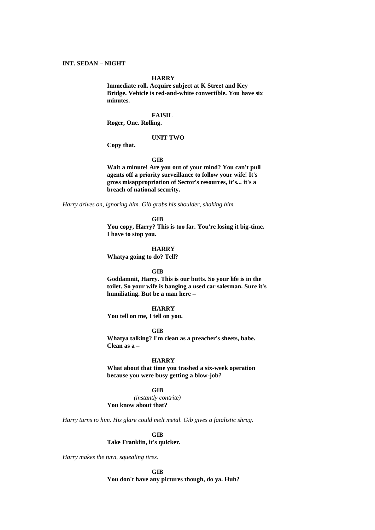#### **HARRY**

**Immediate roll. Acquire subject at K Street and Key Bridge. Vehicle is red-and-white convertible. You have six minutes.**

# **FAISIL**

**Roger, One. Rolling.**

#### **UNIT TWO**

**Copy that.**

#### **GIB**

**Wait a minute! Are you out of your mind? You can't pull agents off a priority surveillance to follow your wife! It's gross misappropriation of Sector's resources, it's... it's a breach of national security.**

*Harry drives on, ignoring him. Gib grabs his shoulder, shaking him.*

### **GIB**

**You copy, Harry? This is too far. You're losing it big-time. I have to stop you.**

### **HARRY**

**Whatya going to do? Tell?**

#### **GIB**

**Goddamnit, Harry. This is our butts. So your life is in the toilet. So your wife is banging a used car salesman. Sure it's humiliating. But be a man here –**

## **HARRY**

**You tell on me, I tell on you.**

### **GIB**

**Whatya talking? I'm clean as a preacher's sheets, babe. Clean as a –**

#### **HARRY**

**What about that time you trashed a six-week operation because you were busy getting a blow-job?**

#### **GIB**

*(instantly contrite)* **You know about that?**

*Harry turns to him. His glare could melt metal. Gib gives a fatalistic shrug.*

# **GIB Take Franklin, it's quicker.**

*Harry makes the turn, squealing tires.*

### **GIB**

**You don't have any pictures though, do ya. Huh?**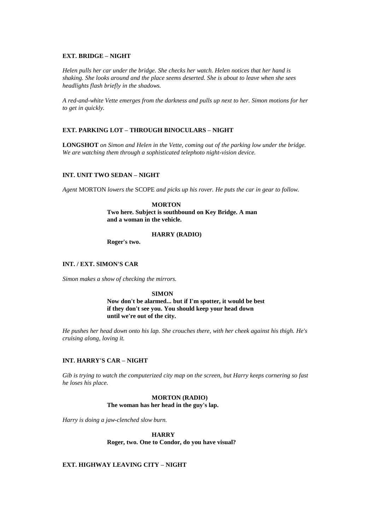# **EXT. BRIDGE – NIGHT**

*Helen pulls her car under the bridge. She checks her watch. Helen notices that her hand is shaking. She looks around and the place seems deserted. She is about to leave when she sees headlights flash briefly in the shadows.*

*A red-and-white Vette emerges from the darkness and pulls up next to her. Simon motions for her to get in quickly.*

# **EXT. PARKING LOT – THROUGH BINOCULARS – NIGHT**

**LONGSHOT** *on Simon and Helen in the Vette, coming out of the parking low under the bridge. We are watching them through a sophisticated telephoto night-vision device.*

## **INT. UNIT TWO SEDAN – NIGHT**

*Agent* MORTON *lowers the* SCOPE *and picks up his rover. He puts the car in gear to follow.*

#### **MORTON**

**Two here. Subject is southbound on Key Bridge. A man and a woman in the vehicle.**

# **HARRY (RADIO)**

**Roger's two.**

# **INT. / EXT. SIMON'S CAR**

*Simon makes a show of checking the mirrors.*

#### **SIMON**

**Now don't be alarmed... but if I'm spotter, it would be best if they don't see you. You should keep your head down until we're out of the city.**

*He pushes her head down onto his lap. She crouches there, with her cheek against his thigh. He's cruising along, loving it.*

# **INT. HARRY'S CAR – NIGHT**

*Gib is trying to watch the computerized city map on the screen, but Harry keeps cornering so fast he loses his place.*

# **MORTON (RADIO) The woman has her head in the guy's lap.**

*Harry is doing a jaw-clenched slow burn.*

**HARRY Roger, two. One to Condor, do you have visual?**

# **EXT. HIGHWAY LEAVING CITY – NIGHT**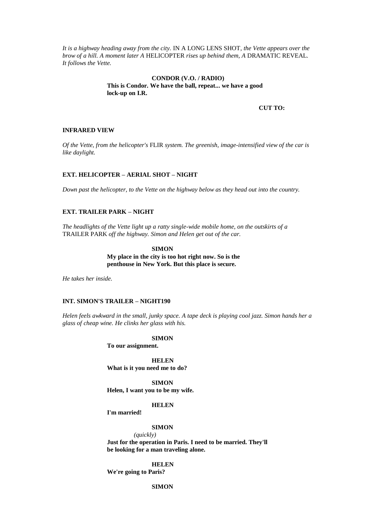*It is a highway heading away from the city.* IN A LONG LENS SHOT*, the Vette appears over the brow of a hill. A moment later A* HELICOPTER *rises up behind them, A* DRAMATIC REVEAL*. It follows the Vette.*

# **CONDOR (V.O. / RADIO) This is Condor. We have the ball, repeat... we have a good lock-up on I.R.**

**CUT TO:**

# **INFRARED VIEW**

*Of the Vette, from the helicopter's* FLIR *system. The greenish, image-intensified view of the car is like daylight.*

## **EXT. HELICOPTER – AERIAL SHOT – NIGHT**

*Down past the helicopter, to the Vette on the highway below as they head out into the country.*

# **EXT. TRAILER PARK – NIGHT**

*The headlights of the Vette light up a ratty single-wide mobile home, on the outskirts of a*  TRAILER PARK *off the highway. Simon and Helen get out of the car.*

> **SIMON My place in the city is too hot right now. So is the penthouse in New York. But this place is secure.**

*He takes her inside.*

# **INT. SIMON'S TRAILER – NIGHT190**

*Helen feels awkward in the small, junky space. A tape deck is playing cool jazz. Simon hands her a glass of cheap wine. He clinks her glass with his.*

#### **SIMON**

**To our assignment.**

**HELEN What is it you need me to do?**

**SIMON Helen, I want you to be my wife.**

### **HELEN**

**I'm married!**

#### **SIMON**

*(quickly)*

**Just for the operation in Paris. I need to be married. They'll be looking for a man traveling alone.**

**HELEN We're going to Paris?**

**SIMON**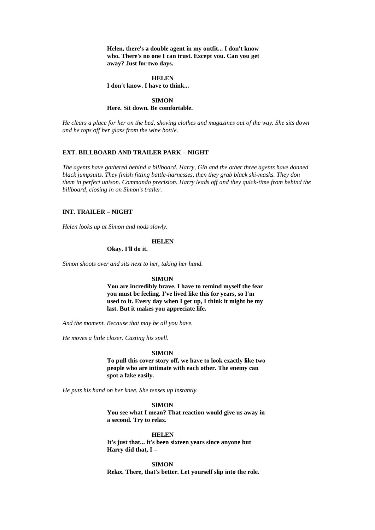**Helen, there's a double agent in my outfit... I don't know who. There's no one I can trust. Except you. Can you get away? Just for two days.**

**HELEN I don't know. I have to think...**

**SIMON Here. Sit down. Be comfortable.**

*He clears a place for her on the bed, shoving clothes and magazines out of the way. She sits down and he tops off her glass from the wine bottle.*

### **EXT. BILLBOARD AND TRAILER PARK – NIGHT**

*The agents have gathered behind a billboard. Harry, Gib and the other three agents have donned black jumpsuits. They finish fitting battle-harnesses, then they grab black ski-masks. They don them in perfect unison. Commando precision. Harry leads off and they quick-time from behind the billboard, closing in on Simon's trailer.*

# **INT. TRAILER – NIGHT**

*Helen looks up at Simon and nods slowly.*

#### **HELEN**

**Okay. I'll do it.**

*Simon shoots over and sits next to her, taking her hand.*

#### **SIMON**

**You are incredibly brave. I have to remind myself the fear you must be feeling. I've lived like this for years, so I'm used to it. Every day when I get up, I think it might be my last. But it makes you appreciate life.**

*And the moment. Because that may be all you have.*

*He moves a little closer. Casting his spell.*

#### **SIMON**

**To pull this cover story off, we have to look exactly like two people who are intimate with each other. The enemy can spot a fake easily.**

*He puts his hand on her knee. She tenses up instantly.*

**SIMON**

**You see what I mean? That reaction would give us away in a second. Try to relax.**

**HELEN**

**It's just that... it's been sixteen years since anyone but Harry did that, I –**

**SIMON Relax. There, that's better. Let yourself slip into the role.**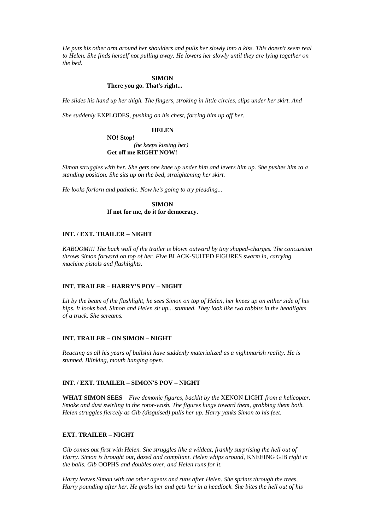*He puts his other arm around her shoulders and pulls her slowly into a kiss. This doesn't seem real to Helen. She finds herself not pulling away. He lowers her slowly until they are lying together on the bed.*

## **SIMON There you go. That's right...**

*He slides his hand up her thigh. The fingers, stroking in little circles, slips under her skirt. And –*

*She suddenly* EXPLODES*, pushing on his chest, forcing him up off her.*

# **HELEN**

**NO! Stop!** *(he keeps kissing her)* **Get off me RIGHT NOW!**

*Simon struggles with her. She gets one knee up under him and levers him up. She pushes him to a standing position. She sits up on the bed, straightening her skirt.*

*He looks forlorn and pathetic. Now he's going to try pleading...*

**SIMON If not for me, do it for democracy.**

# **INT. / EXT. TRAILER – NIGHT**

*KABOOM!!! The back wall of the trailer is blown outward by tiny shaped-charges. The concussion throws Simon forward on top of her. Five* BLACK-SUITED FIGURES *swarm in, carrying machine pistols and flashlights.*

## **INT. TRAILER – HARRY'S POV – NIGHT**

*Lit by the beam of the flashlight, he sees Simon on top of Helen, her knees up on either side of his hips. It looks bad. Simon and Helen sit up... stunned. They look like two rabbits in the headlights of a truck. She screams.*

### **INT. TRAILER – ON SIMON – NIGHT**

*Reacting as all his years of bullshit have suddenly materialized as a nightmarish reality. He is stunned. Blinking, mouth hanging open.*

### **INT. / EXT. TRAILER – SIMON'S POV – NIGHT**

**WHAT SIMON SEES** *– Five demonic figures, backlit by the* XENON LIGHT *from a helicopter. Smoke and dust swirling in the rotor-wash. The figures lunge toward them, grabbing them both. Helen struggles fiercely as Gib (disguised) pulls her up. Harry yanks Simon to his feet.*

# **EXT. TRAILER – NIGHT**

*Gib comes out first with Helen. She struggles like a wildcat, frankly surprising the hell out of*  Harry. Simon is brought out, dazed and compliant. Helen whips around, KNEEING GIB right in *the balls. Gib* OOPHS *and doubles over, and Helen runs for it.*

*Harry leaves Simon with the other agents and runs after Helen. She sprints through the trees, Harry pounding after her. He grabs her and gets her in a headlock. She bites the hell out of his*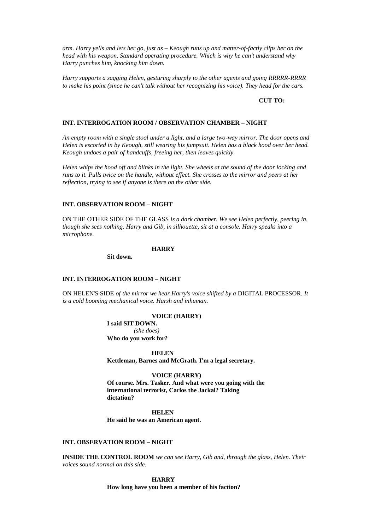*arm. Harry yells and lets her go, just as – Keough runs up and matter-of-factly clips her on the head with his weapon. Standard operating procedure. Which is why he can't understand why Harry punches him, knocking him down.*

*Harry supports a sagging Helen, gesturing sharply to the other agents and going RRRRR-RRRR to make his point (since he can't talk without her recognizing his voice). They head for the cars.*

### **CUT TO:**

### **INT. INTERROGATION ROOM / OBSERVATION CHAMBER – NIGHT**

*An empty room with a single stool under a light, and a large two-way mirror. The door opens and Helen is escorted in by Keough, still wearing his jumpsuit. Helen has a black hood over her head. Keough undoes a pair of handcuffs, freeing her, then leaves quickly.*

*Helen whips the hood off and blinks in the light. She wheels at the sound of the door locking and runs to it. Pulls twice on the handle, without effect. She crosses to the mirror and peers at her reflection, trying to see if anyone is there on the other side.*

# **INT. OBSERVATION ROOM – NIGHT**

ON THE OTHER SIDE OF THE GLASS *is a dark chamber. We see Helen perfectly, peering in, though she sees nothing. Harry and Gib, in silhouette, sit at a console. Harry speaks into a microphone.*

#### **HARRY**

**Sit down.**

### **INT. INTERROGATION ROOM – NIGHT**

ON HELEN'S SIDE *of the mirror we hear Harry's voice shifted by a* DIGITAL PROCESSOR*. It is a cold booming mechanical voice. Harsh and inhuman.*

#### **VOICE (HARRY)**

**I said SIT DOWN.** *(she does)* **Who do you work for?**

**HELEN Kettleman, Barnes and McGrath. I'm a legal secretary.**

#### **VOICE (HARRY)**

**Of course. Mrs. Tasker. And what were you going with the international terrorist, Carlos the Jackal? Taking dictation?**

**HELEN He said he was an American agent.**

## **INT. OBSERVATION ROOM – NIGHT**

**INSIDE THE CONTROL ROOM** *we can see Harry, Gib and, through the glass, Helen. Their voices sound normal on this side.*

> **HARRY How long have you been a member of his faction?**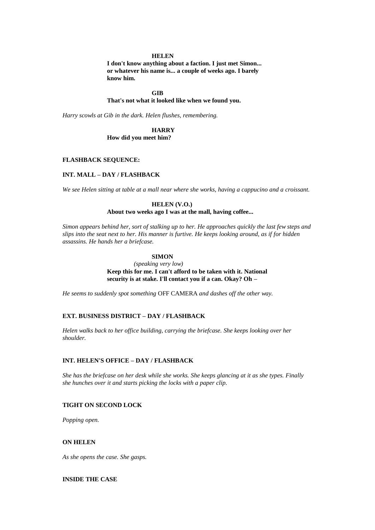#### **HELEN**

**I don't know anything about a faction. I just met Simon... or whatever his name is... a couple of weeks ago. I barely know him.**

## **GIB**

## **That's not what it looked like when we found you.**

*Harry scowls at Gib in the dark. Helen flushes, remembering.*

# **HARRY**

**How did you meet him?**

# **FLASHBACK SEQUENCE:**

# **INT. MALL – DAY / FLASHBACK**

*We see Helen sitting at table at a mall near where she works, having a cappucino and a croissant.*

#### **HELEN (V.O.)**

# **About two weeks ago I was at the mall, having coffee...**

*Simon appears behind her, sort of stalking up to her. He approaches quickly the last few steps and slips into the seat next to her. His manner is furtive. He keeps looking around, as if for hidden assassins. He hands her a briefcase.*

# **SIMON**

*(speaking very low)* **Keep this for me. I can't afford to be taken with it. National security is at stake. I'll contact you if a can. Okay? Oh –**

*He seems to suddenly spot something* OFF CAMERA *and dashes off the other way.*

## **EXT. BUSINESS DISTRICT – DAY / FLASHBACK**

*Helen walks back to her office building, carrying the briefcase. She keeps looking over her shoulder.*

#### **INT. HELEN'S OFFICE – DAY / FLASHBACK**

*She has the briefcase on her desk while she works. She keeps glancing at it as she types. Finally she hunches over it and starts picking the locks with a paper clip.*

# **TIGHT ON SECOND LOCK**

*Popping open.*

### **ON HELEN**

*As she opens the case. She gasps.*

# **INSIDE THE CASE**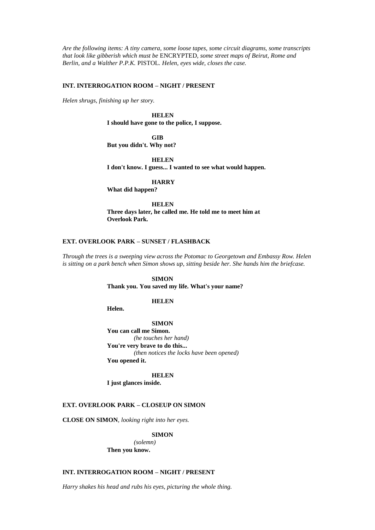*Are the following items: A tiny camera, some loose tapes, some circuit diagrams, some transcripts that look like gibberish which must be* ENCRYPTED*, some street maps of Beirut, Rome and Berlin, and a Walther P.P.K.* PISTOL*. Helen, eyes wide, closes the case.*

### **INT. INTERROGATION ROOM – NIGHT / PRESENT**

*Helen shrugs, finishing up her story.*

# **HELEN**

**I should have gone to the police, I suppose.**

**GIB**

**But you didn't. Why not?**

**HELEN**

**I don't know. I guess... I wanted to see what would happen.**

**HARRY**

**What did happen?**

**HELEN Three days later, he called me. He told me to meet him at Overlook Park.**

## **EXT. OVERLOOK PARK – SUNSET / FLASHBACK**

*Through the trees is a sweeping view across the Potomac to Georgetown and Embassy Row. Helen is sitting on a park bench when Simon shows up, sitting beside her. She hands him the briefcase.*

### **SIMON**

**Thank you. You saved my life. What's your name?**

# **HELEN**

**Helen.**

**SIMON You can call me Simon.** *(he touches her hand)* **You're very brave to do this...** *(then notices the locks have been opened)* **You opened it.**

**HELEN I just glances inside.**

# **EXT. OVERLOOK PARK – CLOSEUP ON SIMON**

**CLOSE ON SIMON***, looking right into her eyes.*

**SIMON**

*(solemn)* **Then you know.**

# **INT. INTERROGATION ROOM – NIGHT / PRESENT**

*Harry shakes his head and rubs his eyes, picturing the whole thing.*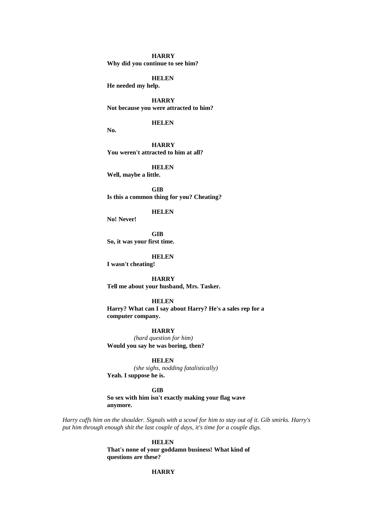#### **HARRY**

**Why did you continue to see him?**

**HELEN**

**He needed my help.**

**HARRY Not because you were attracted to him?**

**HELEN**

**No.**

**HARRY You weren't attracted to him at all?**

**HELEN**

**Well, maybe a little.**

**GIB Is this a common thing for you? Cheating?**

# **HELEN**

**No! Never!**

**GIB So, it was your first time.**

**HELEN**

**I wasn't cheating!**

**HARRY Tell me about your husband, Mrs. Tasker.**

### **HELEN**

**Harry? What can I say about Harry? He's a sales rep for a computer company.**

### **HARRY**

*(hard question for him)* **Would you say he was boring, then?**

**HELEN**

*(she sighs, nodding fatalistically)* **Yeah. I suppose he is.**

# **GIB**

**So sex with him isn't exactly making your flag wave anymore.**

*Harry cuffs him on the shoulder. Signals with a scowl for him to stay out of it. Gib smirks. Harry's put him through enough shit the last couple of days, it's time for a couple digs.*

> **HELEN That's none of your goddamn business! What kind of questions are these?**

# **HARRY**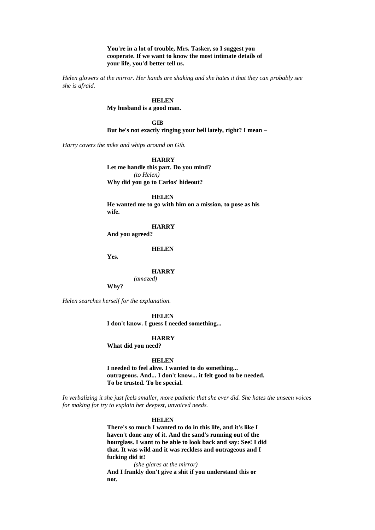**You're in a lot of trouble, Mrs. Tasker, so I suggest you cooperate. If we want to know the most intimate details of your life, you'd better tell us.**

*Helen glowers at the mirror. Her hands are shaking and she hates it that they can probably see she is afraid.*

> **HELEN My husband is a good man.**

**GIB But he's not exactly ringing your bell lately, right? I mean –**

*Harry covers the mike and whips around on Gib.*

**HARRY Let me handle this part. Do you mind?** *(to Helen)* **Why did you go to Carlos' hideout?**

**HELEN**

**He wanted me to go with him on a mission, to pose as his wife.**

**HARRY**

**And you agreed?**

**HELEN**

**Yes.**

**HARRY**

*(amazed)*

**Why?**

*Helen searches herself for the explanation.*

**HELEN**

**I don't know. I guess I needed something...**

**HARRY**

**What did you need?**

**HELEN**

**I needed to feel alive. I wanted to do something... outrageous. And... I don't know... it felt good to be needed. To be trusted. To be special.**

*In verbalizing it she just feels smaller, more pathetic that she ever did. She hates the unseen voices for making for try to explain her deepest, unvoiced needs.*

#### **HELEN**

**There's so much I wanted to do in this life, and it's like I haven't done any of it. And the sand's running out of the hourglass. I want to be able to look back and say: See! I did that. It was wild and it was reckless and outrageous and I fucking did it!**

*(she glares at the mirror)* **And I frankly don't give a shit if you understand this or not.**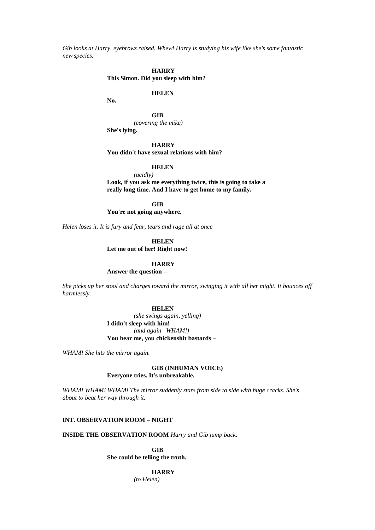*Gib looks at Harry, eyebrows raised. Whew! Harry is studying his wife like she's some fantastic new species.*

> **HARRY This Simon. Did you sleep with him?**

## **HELEN**

**No.**

**GIB** *(covering the mike)* **She's lying.**

**HARRY You didn't have sexual relations with him?**

**HELEN**

*(acidly)* **Look, if you ask me everything twice, this is going to take a really long time. And I have to get home to my family.**

**GIB**

**You're not going anywhere.**

*Helen loses it. It is fury and fear, tears and rage all at once –*

**HELEN Let me out of her! Right now!**

# **HARRY**

**Answer the question –**

*She picks up her stool and charges toward the mirror, swinging it with all her might. It bounces off harmlessly.*

### **HELEN**

*(she swings again, yelling)* **I didn't sleep with him!** *(and again –WHAM!)* **You hear me, you chickenshit bastards –**

*WHAM! She hits the mirror again.*

# **GIB (INHUMAN VOICE) Everyone tries. It's unbreakable.**

*WHAM! WHAM! WHAM! The mirror suddenly stars from side to side with huge cracks. She's about to beat her way through it.*

# **INT. OBSERVATION ROOM – NIGHT**

**INSIDE THE OBSERVATION ROOM** *Harry and Gib jump back.*

**GIB She could be telling the truth.**

# **HARRY**

*(to Helen)*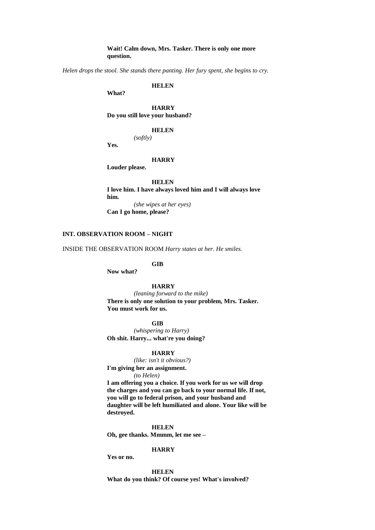**Wait! Calm down, Mrs. Tasker. There is only one more question.**

*Helen drops the stool. She stands there panting. Her fury spent, she begins to cry.*

**HELEN**

**What?**

**HARRY Do you still love your husband?**

### **HELEN**

*(softly)*

**Yes.**

# **HARRY**

**Louder please.**

**HELEN**

**I love him. I have always loved him and I will always love him.** *(she wipes at her eyes)*

**Can I go home, please?**

# **INT. OBSERVATION ROOM – NIGHT**

INSIDE THE OBSERVATION ROOM *Harry states at her. He smiles.*

**GIB**

**Now what?**

## **HARRY**

*(leaning forward to the mike)* **There is only one solution to your problem, Mrs. Tasker. You must work for us.**

**GIB**

*(whispering to Harry)* **Oh shit. Harry... what're you doing?**

#### **HARRY**

*(like: isn't it obvious?)* **I'm giving her an assignment.** *(to Helen)*

**I am offering you a choice. If you work for us we will drop the charges and you can go back to your normal life. If not, you will go to federal prison, and your husband and daughter will be left humiliated and alone. Your like will be destroyed.**

**HELEN Oh, gee thanks. Mmmm, let me see –**

## **HARRY**

**Yes or no.**

**HELEN What do you think? Of course yes! What's involved?**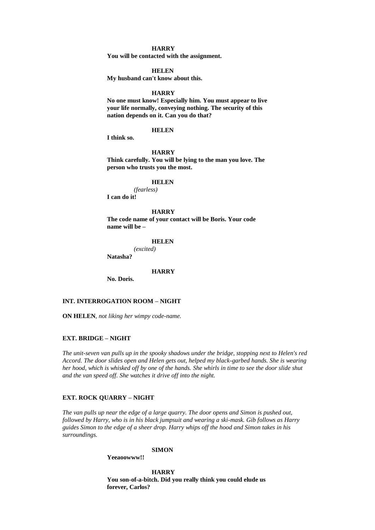## **HARRY**

**You will be contacted with the assignment.**

#### **HELEN**

**My husband can't know about this.**

### **HARRY**

**No one must know! Especially him. You must appear to live your life normally, conveying nothing. The security of this nation depends on it. Can you do that?**

## **HELEN**

**I think so.**

#### **HARRY**

**Think carefully. You will be lying to the man you love. The person who trusts you the most.**

#### **HELEN**

*(fearless)* **I can do it!**

**HARRY The code name of your contact will be Boris. Your code name will be –**

#### **HELEN**

*(excited)*

**Natasha?**

#### **HARRY**

**No. Doris.**

# **INT. INTERROGATION ROOM – NIGHT**

**ON HELEN***, not liking her wimpy code-name.*

### **EXT. BRIDGE – NIGHT**

*The unit-seven van pulls up in the spooky shadows under the bridge, stopping next to Helen's red Accord. The door slides open and Helen gets out, helped my black-garbed hands. She is wearing her hood, which is whisked off by one of the hands. She whirls in time to see the door slide shut and the van speed off. She watches it drive off into the night.*

### **EXT. ROCK QUARRY – NIGHT**

*The van pulls up near the edge of a large quarry. The door opens and Simon is pushed out, followed by Harry, who is in his black jumpsuit and wearing a ski-mask. Gib follows as Harry guides Simon to the edge of a sheer drop. Harry whips off the hood and Simon takes in his surroundings.*

#### **SIMON**

**Yeeaoowww!!**

**HARRY You son-of-a-bitch. Did you really think you could elude us forever, Carlos?**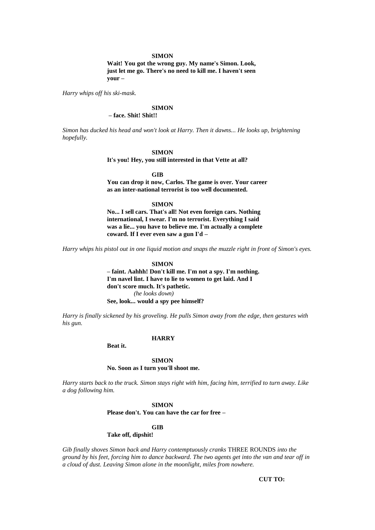#### **SIMON**

**Wait! You got the wrong guy. My name's Simon. Look, just let me go. There's no need to kill me. I haven't seen your –**

*Harry whips off his ski-mask.*

### **SIMON**

# **– face. Shit! Shit!!**

*Simon has ducked his head and won't look at Harry. Then it dawns... He looks up, brightening hopefully.*

## **SIMON**

**It's you! Hey, you still interested in that Vette at all?**

#### **GIB**

**You can drop it now, Carlos. The game is over. Your career as an inter-national terrorist is too well documented.**

### **SIMON**

**No... I sell cars. That's all! Not even foreign cars. Nothing international, I swear. I'm no terrorist. Everything I said was a lie... you have to believe me. I'm actually a complete coward. If I ever even saw a gun I'd –**

*Harry whips his pistol out in one liquid motion and snaps the muzzle right in front of Simon's eyes.*

#### **SIMON**

**– faint. Aahhh! Don't kill me. I'm not a spy. I'm nothing. I'm navel lint. I have to lie to women to get laid. And I don't score much. It's pathetic.** *(he looks down)* **See, look... would a spy pee himself?**

*Harry is finally sickened by his groveling. He pulls Simon away from the edge, then gestures with his gun.*

### **HARRY**

**Beat it.**

#### **SIMON**

# **No. Soon as I turn you'll shoot me.**

*Harry starts back to the truck. Simon stays right with him, facing him, terrified to turn away. Like a dog following him.*

## **SIMON**

**Please don't. You can have the car for free –**

#### **GIB**

# **Take off, dipshit!**

*Gib finally shoves Simon back and Harry contemptuously cranks* THREE ROUNDS *into the ground by his feet, forcing him to dance backward. The two agents get into the van and tear off in a cloud of dust. Leaving Simon alone in the moonlight, miles from nowhere.*

**CUT TO:**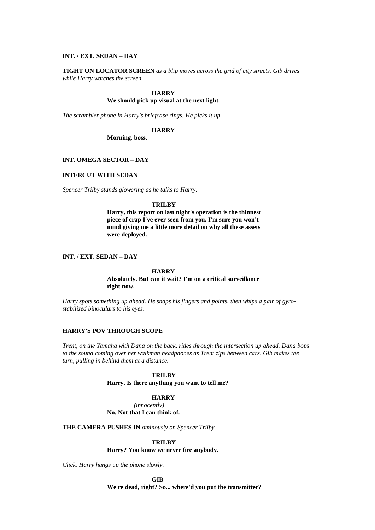### **INT. / EXT. SEDAN – DAY**

**TIGHT ON LOCATOR SCREEN** *as a blip moves across the grid of city streets. Gib drives while Harry watches the screen.*

#### **HARRY**

#### **We should pick up visual at the next light.**

*The scrambler phone in Harry's briefcase rings. He picks it up.*

#### **HARRY**

**Morning, boss.**

#### **INT. OMEGA SECTOR – DAY**

### **INTERCUT WITH SEDAN**

*Spencer Trilby stands glowering as he talks to Harry.*

## **TRILBY**

**Harry, this report on last night's operation is the thinnest piece of crap I've ever seen from you. I'm sure you won't mind giving me a little more detail on why all these assets were deployed.**

## **INT. / EXT. SEDAN – DAY**

## **HARRY**

#### **Absolutely. But can it wait? I'm on a critical surveillance right now.**

*Harry spots something up ahead. He snaps his fingers and points, then whips a pair of gyrostabilized binoculars to his eyes.*

#### **HARRY'S POV THROUGH SCOPE**

*Trent, on the Yamaha with Dana on the back, rides through the intersection up ahead. Dana bops to the sound coming over her walkman headphones as Trent zips between cars. Gib makes the turn, pulling in behind them at a distance.*

#### **TRILBY**

**Harry. Is there anything you want to tell me?**

## **HARRY**

*(innocently)* **No. Not that I can think of.**

**THE CAMERA PUSHES IN** *ominously on Spencer Trilby.*

#### **TRILBY**

**Harry? You know we never fire anybody.**

*Click. Harry hangs up the phone slowly.*

**GIB**

**We're dead, right? So... where'd you put the transmitter?**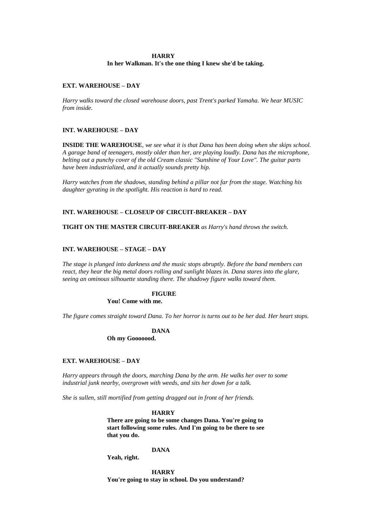#### **HARRY**

**In her Walkman. It's the one thing I knew she'd be taking.**

### **EXT. WAREHOUSE – DAY**

*Harry walks toward the closed warehouse doors, past Trent's parked Yamaha. We hear MUSIC from inside.*

### **INT. WAREHOUSE – DAY**

**INSIDE THE WAREHOUSE***, we see what it is that Dana has been doing when she skips school. A garage band of teenagers, mostly older than her, are playing loudly. Dana has the microphone, belting out a punchy cover of the old Cream classic "Sunshine of Your Love". The guitar parts have been industrialized, and it actually sounds pretty hip.*

*Harry watches from the shadows, standing behind a pillar not far from the stage. Watching his daughter gyrating in the spotlight. His reaction is hard to read.*

## **INT. WAREHOUSE – CLOSEUP OF CIRCUIT-BREAKER – DAY**

**TIGHT ON THE MASTER CIRCUIT-BREAKER** *as Harry's hand throws the switch.*

### **INT. WAREHOUSE – STAGE – DAY**

*The stage is plunged into darkness and the music stops abruptly. Before the band members can react, they hear the big metal doors rolling and sunlight blazes in. Dana stares into the glare, seeing an ominous silhouette standing there. The shadowy figure walks toward them.*

## **FIGURE**

## **You! Come with me.**

*The figure comes straight toward Dana. To her horror is turns out to be her dad. Her heart stops.*

## **DANA**

**Oh my Gooooood.**

## **EXT. WAREHOUSE – DAY**

*Harry appears through the doors, marching Dana by the arm. He walks her over to some industrial junk nearby, overgrown with weeds, and sits her down for a talk.*

*She is sullen, still mortified from getting dragged out in front of her friends.*

#### **HARRY**

**There are going to be some changes Dana. You're going to start following some rules. And I'm going to be there to see that you do.**

#### **DANA**

**Yeah, right.**

**HARRY You're going to stay in school. Do you understand?**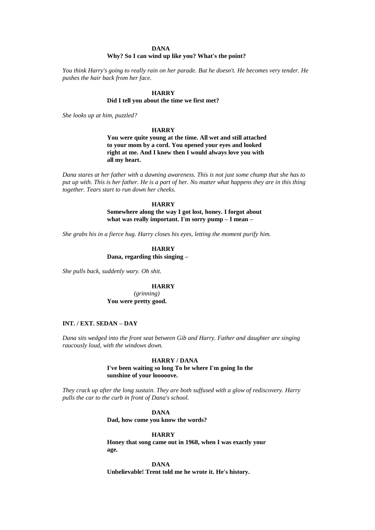#### **DANA**

## **Why? So I can wind up like you? What's the point?**

*You think Harry's going to really rain on her parade. But he doesn't. He becomes very tender. He pushes the hair back from her face.*

#### **HARRY**

#### **Did I tell you about the time we first met?**

*She looks up at him, puzzled?*

#### **HARRY**

**You were quite young at the time. All wet and still attached to your mom by a cord. You opened your eyes and looked right at me. And I knew then I would always love you with all my heart.**

*Dana stares at her father with a dawning awareness. This is not just some chump that she has to put up with. This is her father. He is a part of her. No matter what happens they are in this thing together. Tears start to run down her cheeks.*

#### **HARRY**

## **Somewhere along the way I got lost, honey. I forgot about what was really important. I'm sorry pump – I mean –**

*She grabs his in a fierce hug. Harry closes his eyes, letting the moment purify him.*

## **HARRY Dana, regarding this singing –**

*She pulls back, suddenly wary. Oh shit.*

#### **HARRY**

*(grinning)* **You were pretty good.**

#### **INT. / EXT. SEDAN – DAY**

*Dana sits wedged into the front seat between Gib and Harry. Father and daughter are singing raucously loud, with the windows down.*

#### **HARRY / DANA**

**I've been waiting so long To be where I'm going In the sunshine of your looooove.**

*They crack up after the long sustain. They are both suffused with a glow of rediscovery. Harry pulls the car to the curb in front of Dana's school.*

#### **DANA**

**Dad, how come you know the words?**

#### **HARRY**

**Honey that song came out in 1968, when I was exactly your age.**

**DANA Unbelievable! Trent told me he wrote it. He's history.**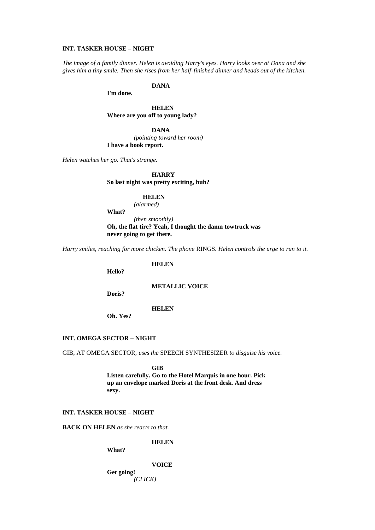#### **INT. TASKER HOUSE – NIGHT**

*The image of a family dinner. Helen is avoiding Harry's eyes. Harry looks over at Dana and she gives him a tiny smile. Then she rises from her half-finished dinner and heads out of the kitchen.*

**DANA**

**I'm done.**

**HELEN Where are you off to young lady?**

**DANA**

*(pointing toward her room)* **I have a book report.**

*Helen watches her go. That's strange.*

**HARRY**

**So last night was pretty exciting, huh?**

## **HELEN**

*(alarmed)*

**What?**

*(then smoothly)* **Oh, the flat tire? Yeah, I thought the damn towtruck was never going to get there.**

*Harry smiles, reaching for more chicken. The phone* RINGS*. Helen controls the urge to run to it.*

**HELEN**

**Hello?**

**METALLIC VOICE**

**Doris?**

**HELEN**

**Oh. Yes?**

#### **INT. OMEGA SECTOR – NIGHT**

GIB, AT OMEGA SECTOR*, uses the* SPEECH SYNTHESIZER *to disguise his voice.*

**GIB**

**Listen carefully. Go to the Hotel Marquis in one hour. Pick up an envelope marked Doris at the front desk. And dress sexy.**

## **INT. TASKER HOUSE – NIGHT**

**BACK ON HELEN** *as she reacts to that.*

**HELEN**

**What?**

**VOICE**

**Get going!** *(CLICK)*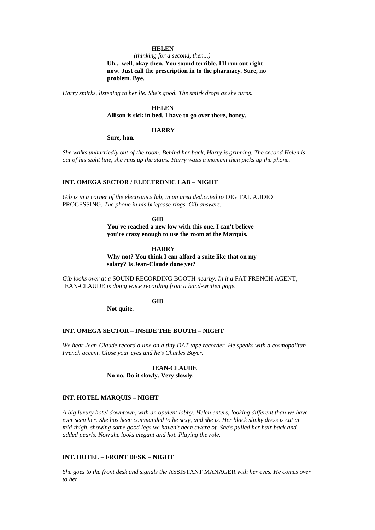## **HELEN**

#### *(thinking for a second, then...)*

**Uh... well, okay then. You sound terrible. I'll run out right now. Just call the prescription in to the pharmacy. Sure, no problem. Bye.**

*Harry smirks, listening to her lie. She's good. The smirk drops as she turns.*

## **HELEN**

## **Allison is sick in bed. I have to go over there, honey.**

#### **HARRY**

**Sure, hon.**

*She walks unhurriedly out of the room. Behind her back, Harry is grinning. The second Helen is out of his sight line, she runs up the stairs. Harry waits a moment then picks up the phone.*

#### **INT. OMEGA SECTOR / ELECTRONIC LAB – NIGHT**

*Gib is in a corner of the electronics lab, in an area dedicated to* DIGITAL AUDIO PROCESSING*. The phone in his briefcase rings. Gib answers.*

**GIB**

**You've reached a new low with this one. I can't believe you're crazy enough to use the room at the Marquis.**

#### **HARRY**

**Why not? You think I can afford a suite like that on my salary? Is Jean-Claude done yet?** 

*Gib looks over at a* SOUND RECORDING BOOTH *nearby. In it a* FAT FRENCH AGENT*,*  JEAN-CLAUDE *is doing voice recording from a hand-written page.*

## **GIB**

**Not quite.**

#### **INT. OMEGA SECTOR – INSIDE THE BOOTH – NIGHT**

*We hear Jean-Claude record a line on a tiny DAT tape recorder. He speaks with a cosmopolitan French accent. Close your eyes and he's Charles Boyer.*

## **JEAN-CLAUDE No no. Do it slowly. Very slowly.**

#### **INT. HOTEL MARQUIS – NIGHT**

*A big luxury hotel downtown, with an opulent lobby. Helen enters, looking different than we have ever seen her. She has been commanded to be sexy, and she is. Her black slinky dress is cut at mid-thigh, showing some good legs we haven't been aware of. She's pulled her hair back and added pearls. Now she looks elegant and hot. Playing the role.*

## **INT. HOTEL – FRONT DESK – NIGHT**

*She goes to the front desk and signals the* ASSISTANT MANAGER *with her eyes. He comes over to her.*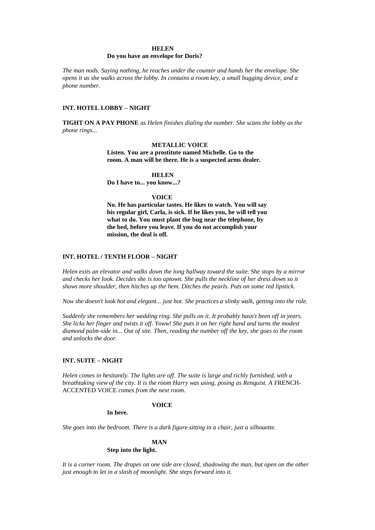#### **HELEN**

#### **Do you have an envelope for Doris?**

*The man nods. Saying nothing, he reaches under the counter and hands her the envelope. She opens it as she walks across the lobby. In contains a room key, a small bugging device, and a phone number.*

## **INT. HOTEL LOBBY – NIGHT**

**TIGHT ON A PAY PHONE** *as Helen finishes dialing the number. She scans the lobby as the phone rings...*

#### **METALLIC VOICE**

**Listen. You are a prostitute named Michelle. Go to the room. A man will be there. He is a suspected arms dealer.**

#### **HELEN**

**Do I have to... you know...?**

#### **VOICE**

**No. He has particular tastes. He likes to watch. You will say his regular girl, Carla, is sick. If he likes you, he will tell you what to do. You must plant the bug near the telephone, by the bed, before you leave. If you do not accomplish your mission, the deal is off.**

## **INT. HOTEL / TENTH FLOOR – NIGHT**

*Helen exits an elevator and walks down the long hallway toward the suite. She stops by a mirror and checks her look. Decides she is too uptown. She pulls the neckline of her dress down so it shows more shoulder, then hitches up the hem. Ditches the pearls. Puts on some red lipstick.*

*Now she doesn't look hot and elegant... just hot. She practices a slinky walk, getting into the role.*

*Suddenly she remembers her wedding ring. She pulls on it. It probably hasn't been off in years. She licks her finger and twists it off. Yoww! She puts it on her right hand and turns the modest diamond palm-side in... Out of site. Then, reading the number off the key, she goes to the room and unlocks the door.*

#### **INT. SUITE – NIGHT**

*Helen comes in hesitantly. The lights are off. The suite is large and richly furnished, with a breathtaking view of the city. It is the room Harry was using, posing as Renquist. A FRENCH-*ACCENTED VOICE *comes from the next room.*

#### **VOICE**

**In here.**

*She goes into the bedroom. There is a dark figure sitting in a chair, just a silhouette.*

#### **MAN**

#### **Step into the light.**

*It is a corner room. The drapes on one side are closed, shadowing the man, but open on the other just enough to let in a slash of moonlight. She steps forward into it.*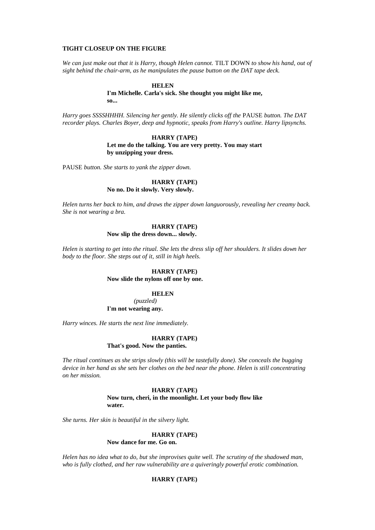#### **TIGHT CLOSEUP ON THE FIGURE**

*We can just make out that it is Harry, though Helen cannot.* TILT DOWN *to show his hand, out of sight behind the chair-arm, as he manipulates the pause button on the DAT tape deck.*

#### **HELEN**

**I'm Michelle. Carla's sick. She thought you might like me, so...**

*Harry goes SSSSHHHH. Silencing her gently. He silently clicks off the* PAUSE *button. The DAT recorder plays. Charles Boyer, deep and hypnotic, speaks from Harry's outline. Harry lipsynchs.*

> **HARRY (TAPE) Let me do the talking. You are very pretty. You may start by unzipping your dress.**

PAUSE *button. She starts to yank the zipper down.*

### **HARRY (TAPE) No no. Do it slowly. Very slowly.**

*Helen turns her back to him, and draws the zipper down languorously, revealing her creamy back. She is not wearing a bra.* 

## **HARRY (TAPE)**

## **Now slip the dress down... slowly.**

*Helen is starting to get into the ritual. She lets the dress slip off her shoulders. It slides down her body to the floor. She steps out of it, still in high heels.* 

## **HARRY (TAPE) Now slide the nylons off one by one.**

## **HELEN**

*(puzzled)* **I'm not wearing any.**

*Harry winces. He starts the next line immediately.*

#### **HARRY (TAPE) That's good. Now the panties.**

*The ritual continues as she strips slowly (this will be tastefully done). She conceals the bugging device in her hand as she sets her clothes on the bed near the phone. Helen is still concentrating on her mission.*

#### **HARRY (TAPE) Now turn, cheri, in the moonlight. Let your body flow like water.**

*She turns. Her skin is beautiful in the silvery light.*

#### **HARRY (TAPE)**

**Now dance for me. Go on.**

*Helen has no idea what to do, but she improvises quite well. The scrutiny of the shadowed man, who is fully clothed, and her raw vulnerability are a quiveringly powerful erotic combination.*

## **HARRY (TAPE)**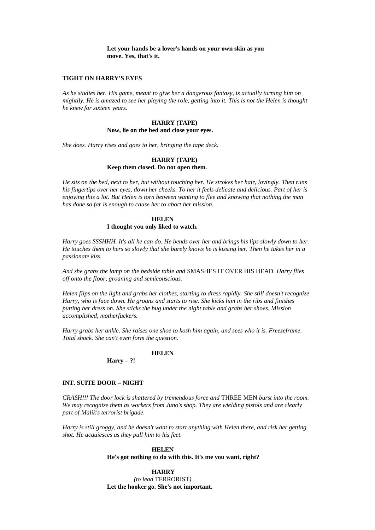**Let your hands be a lover's hands on your own skin as you move. Yes, that's it.**

#### **TIGHT ON HARRY'S EYES**

*As he studies her. His game, meant to give her a dangerous fantasy, is actually turning him on mightily. He is amazed to see her playing the role, getting into it. This is not the Helen is thought he knew for sixteen years.*

#### **HARRY (TAPE) Now, lie on the bed and close your eyes.**

*She does. Harry rises and goes to her, bringing the tape deck.*

#### **HARRY (TAPE) Keep them closed. Do not open them.**

*He sits on the bed, next to her, but without touching her. He strokes her hair, lovingly. Then runs his fingertips over her eyes, down her cheeks. To her it feels delicate and delicious. Part of her is enjoying this a lot. But Helen is torn between wanting to flee and knowing that nothing the man has done so far is enough to cause her to abort her mission.*

## **HELEN I thought you only liked to watch.**

*Harry goes SSSHHH. It's all he can do. He bends over her and brings his lips slowly down to her. He touches them to hers so slowly that she barely knows he is kissing her. Then he takes her in a passionate kiss.*

*And she grabs the lamp on the bedside table and* SMASHES IT OVER HIS HEAD*. Harry flies off onto the floor, groaning and semiconscious.*

*Helen flips on the light and grabs her clothes, starting to dress rapidly. She still doesn't recognize Harry, who is face down. He groans and starts to rise. She kicks him in the ribs and finishes putting her dress on. She sticks the bug under the night table and grabs her shoes. Mission accomplished, motherfuckers.*

*Harry grabs her ankle. She raises one shoe to kosh him again, and sees who it is. Freezeframe. Total shock. She can't even form the question.*

### **HELEN**

**Harry – ?!**

#### **INT. SUITE DOOR – NIGHT**

*CRASH!!! The door lock is shattered by tremendous force and* THREE MEN *burst into the room. We may recognize them as workers from Juno's shop. They are wielding pistols and are clearly part of Malik's terrorist brigade.*

*Harry is still groggy, and he doesn't want to start anything with Helen there, and risk her getting shot. He acquiesces as they pull him to his feet.*

#### **HELEN**

#### **He's got nothing to do with this. It's me you want, right?**

**HARRY** *(to lead* TERRORIST*)* **Let the hooker go. She's not important.**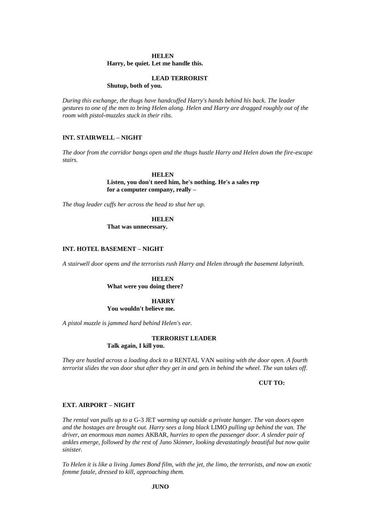#### **HELEN**

**Harry, be quiet. Let me handle this.**

#### **LEAD TERRORIST**

**Shutup, both of you.**

*During this exchange, the thugs have handcuffed Harry's hands behind his back. The leader gestures to one of the men to bring Helen along. Helen and Harry are dragged roughly out of the room with pistol-muzzles stuck in their ribs.*

## **INT. STAIRWELL – NIGHT**

*The door from the corridor bangs open and the thugs hustle Harry and Helen down the fire-escape stairs.*

### **HELEN**

**Listen, you don't need him, he's nothing. He's a sales rep for a computer company, really –**

*The thug leader cuffs her across the head to shut her up.*

**HELEN**

**That was unnecessary.**

#### **INT. HOTEL BASEMENT – NIGHT**

*A stairwell door opens and the terrorists rush Harry and Helen through the basement labyrinth.* 

#### **HELEN What were you doing there?**

## **HARRY**

**You wouldn't believe me.**

*A pistol muzzle is jammed hard behind Helen's ear.*

### **TERRORIST LEADER**

#### **Talk again, I kill you.**

*They are hustled across a loading dock to a* RENTAL VAN *waiting with the door open. A fourth terrorist slides the van door shut after they get in and gets in behind the wheel. The van takes off.*

**CUT TO:**

#### **EXT. AIRPORT – NIGHT**

*The rental van pulls up to a* G-3 JET *warming up outside a private hanger. The van doors open and the hostages are brought out. Harry sees a long black* LIMO *pulling up behind the van. The driver, an enormous man names* AKBAR*, hurries to open the passenger door. A slender pair of ankles emerge, followed by the rest of Juno Skinner, looking devastatingly beautiful but now quite sinister.*

*To Helen it is like a living James Bond film, with the jet, the limo, the terrorists, and now an exotic femme fatale, dressed to kill, approaching them.*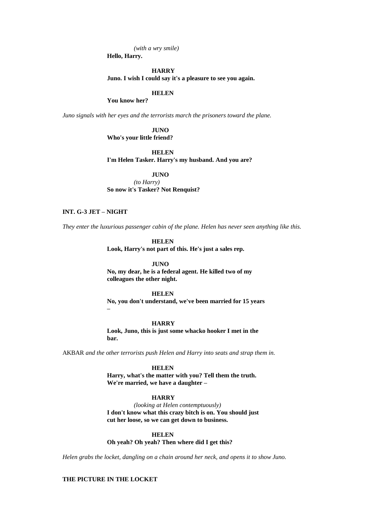*(with a wry smile)*

**Hello, Harry.**

#### **HARRY**

**Juno. I wish I could say it's a pleasure to see you again.**

#### **HELEN**

**You know her?**

*Juno signals with her eyes and the terrorists march the prisoners toward the plane.*

## **JUNO**

**Who's your little friend?**

**HELEN**

#### **I'm Helen Tasker. Harry's my husband. And you are?**

**JUNO** *(to Harry)* **So now it's Tasker? Not Renquist?**

## **INT. G-3 JET – NIGHT**

*They enter the luxurious passenger cabin of the plane. Helen has never seen anything like this.*

**HELEN**

**Look, Harry's not part of this. He's just a sales rep.**

**JUNO No, my dear, he is a federal agent. He killed two of my colleagues the other night.**

#### **HELEN**

**No, you don't understand, we've been married for 15 years –**

## **HARRY**

**Look, Juno, this is just some whacko hooker I met in the bar.**

AKBAR *and the other terrorists push Helen and Harry into seats and strap them in.*

**HELEN**

**Harry, what's the matter with you? Tell them the truth. We're married, we have a daughter –**

## **HARRY**

*(looking at Helen contemptuously)* **I don't know what this crazy bitch is on. You should just cut her loose, so we can get down to business.**

#### **HELEN**

**Oh yeah? Oh yeah? Then where did I get this?**

*Helen grabs the locket, dangling on a chain around her neck, and opens it to show Juno.*

## **THE PICTURE IN THE LOCKET**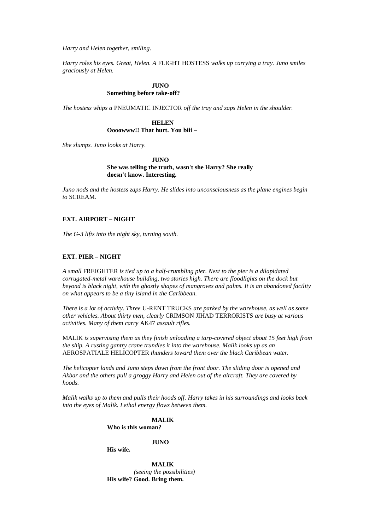*Harry and Helen together, smiling.*

*Harry roles his eyes. Great, Helen. A* FLIGHT HOSTESS *walks up carrying a tray. Juno smiles graciously at Helen.*

## **HINO**

## **Something before take-off?**

*The hostess whips a* PNEUMATIC INJECTOR *off the tray and zaps Helen in the shoulder.*

**HELEN Oooowww!! That hurt. You biii –**

*She slumps. Juno looks at Harry.*

*IIINO* **She was telling the truth, wasn't she Harry? She really doesn't know. Interesting.**

*Juno nods and the hostess zaps Harry. He slides into unconsciousness as the plane engines begin to* SCREAM*.*

## **EXT. AIRPORT – NIGHT**

*The G-3 lifts into the night sky, turning south.*

## **EXT. PIER – NIGHT**

*A small* FREIGHTER *is tied up to a half-crumbling pier. Next to the pier is a dilapidated corrugated-metal warehouse building, two stories high. There are floodlights on the dock but beyond is black night, with the ghostly shapes of mangroves and palms. It is an abandoned facility on what appears to be a tiny island in the Caribbean.*

*There is a lot of activity. Three* U-RENT TRUCKS *are parked by the warehouse, as well as some other vehicles. About thirty men, clearly* CRIMSON JIHAD TERRORISTS *are busy at various activities. Many of them carry* AK47 *assault rifles.*

MALIK *is supervising them as they finish unloading a tarp-covered object about 15 feet high from the ship. A rusting gantry crane trundles it into the warehouse. Malik looks up as an*  AEROSPATIALE HELICOPTER *thunders toward them over the black Caribbean water.*

*The helicopter lands and Juno steps down from the front door. The sliding door is opened and Akbar and the others pull a groggy Harry and Helen out of the aircraft. They are covered by hoods.*

*Malik walks up to them and pulls their hoods off. Harry takes in his surroundings and looks back into the eyes of Malik. Lethal energy flows between them.*

> **MALIK Who is this woman?**

> > **JUNO**

**His wife.**

**MALIK** *(seeing the possibilities)* **His wife? Good. Bring them.**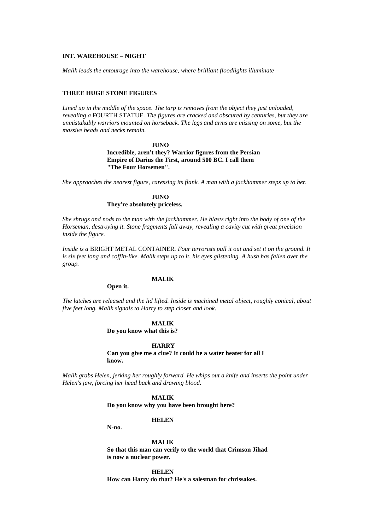#### **INT. WAREHOUSE – NIGHT**

*Malik leads the entourage into the warehouse, where brilliant floodlights illuminate –*

#### **THREE HUGE STONE FIGURES**

*Lined up in the middle of the space. The tarp is removes from the object they just unloaded, revealing a* FOURTH STATUE*. The figures are cracked and obscured by centuries, but they are unmistakably warriors mounted on horseback. The legs and arms are missing on some, but the massive heads and necks remain.*

## **JUNO Incredible, aren't they? Warrior figures from the Persian Empire of Darius the First, around 500 BC. I call them "The Four Horsemen".**

*She approaches the nearest figure, caressing its flank. A man with a jackhammer steps up to her.*

## **JUNO They're absolutely priceless.**

*She shrugs and nods to the man with the jackhammer. He blasts right into the body of one of the Horseman, destroying it. Stone fragments fall away, revealing a cavity cut with great precision inside the figure.*

*Inside is a* BRIGHT METAL CONTAINER*. Four terrorists pull it out and set it on the ground. It is six feet long and coffin-like. Malik steps up to it, his eyes glistening. A hush has fallen over the group.*

## **MALIK**

### **Open it.**

*The latches are released and the lid lifted. Inside is machined metal object, roughly conical, about five feet long. Malik signals to Harry to step closer and look.*

### **MALIK**

**Do you know what this is?**

#### **HARRY**

**Can you give me a clue? It could be a water heater for all I know.**

*Malik grabs Helen, jerking her roughly forward. He whips out a knife and inserts the point under Helen's jaw, forcing her head back and drawing blood.*

## **MALIK**

**Do you know why you have been brought here?**

**HELEN**

**N-no.**

**MALIK So that this man can verify to the world that Crimson Jihad is now a nuclear power.**

**HELEN How can Harry do that? He's a salesman for chrissakes.**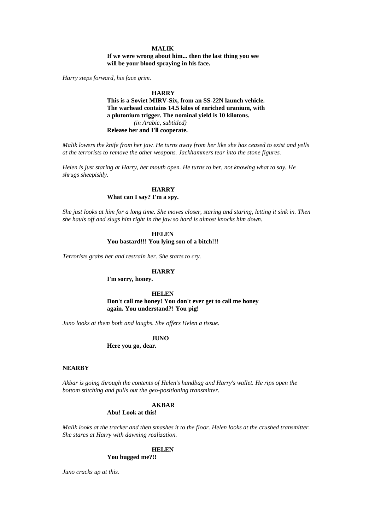### **MALIK**

**If we were wrong about him... then the last thing you see will be your blood spraying in his face.**

*Harry steps forward, his face grim.*

#### **HARRY**

**This is a Soviet MIRV-Six, from an SS-22N launch vehicle. The warhead contains 14.5 kilos of enriched uranium, with a plutonium trigger. The nominal yield is 10 kilotons.** *(in Arabic, subtitled)*  **Release her and I'll cooperate.**

*Malik lowers the knife from her jaw. He turns away from her like she has ceased to exist and yells at the terrorists to remove the other weapons. Jackhammers tear into the stone figures.*

*Helen is just staring at Harry, her mouth open. He turns to her, not knowing what to say. He shrugs sheepishly.*

## **HARRY What can I say? I'm a spy.**

*She just looks at him for a long time. She moves closer, staring and staring, letting it sink in. Then she hauls off and slugs him right in the jaw so hard is almost knocks him down.*

## **HELEN You bastard!!! You lying son of a bitch!!!**

*Terrorists grabs her and restrain her. She starts to cry.*

#### **HARRY**

**I'm sorry, honey.**

**HELEN Don't call me honey! You don't ever get to call me honey again. You understand?! You pig!**

*Juno looks at them both and laughs. She offers Helen a tissue.*

## **JUNO**

**Here you go, dear.**

#### **NEARBY**

*Akbar is going through the contents of Helen's handbag and Harry's wallet. He rips open the bottom stitching and pulls out the geo-positioning transmitter.*

#### **AKBAR**

### **Abu! Look at this!**

*Malik looks at the tracker and then smashes it to the floor. Helen looks at the crushed transmitter. She stares at Harry with dawning realization.*

#### **HELEN**

**You bugged me?!!**

*Juno cracks up at this.*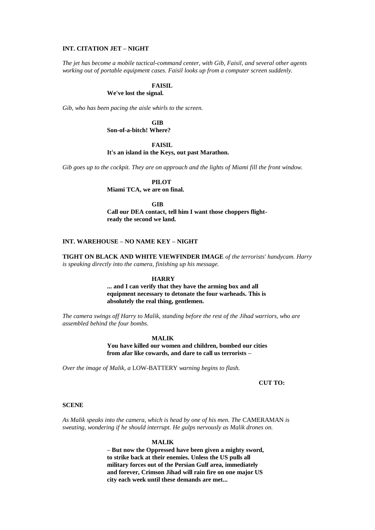#### **INT. CITATION JET – NIGHT**

*The jet has become a mobile tactical-command center, with Gib, Faisil, and several other agents working out of portable equipment cases. Faisil looks up from a computer screen suddenly.*

## **FAISIL**

## **We've lost the signal.**

*Gib, who has been pacing the aisle whirls to the screen.* 

**GIB Son-of-a-bitch! Where?**

### **FAISIL**

## **It's an island in the Keys, out past Marathon.**

*Gib goes up to the cockpit. They are on approach and the lights of Miami fill the front window.*

**PILOT**

**Miami TCA, we are on final.**

**GIB**

**Call our DEA contact, tell him I want those choppers flightready the second we land.**

#### **INT. WAREHOUSE – NO NAME KEY – NIGHT**

**TIGHT ON BLACK AND WHITE VIEWFINDER IMAGE** *of the terrorists' handycam. Harry is speaking directly into the camera, finishing up his message.*

#### **HARRY**

**... and I can verify that they have the arming box and all equipment necessary to detonate the four warheads. This is absolutely the real thing, gentlemen.**

*The camera swings off Harry to Malik, standing before the rest of the Jihad warriors, who are assembled behind the four bombs.*

#### **MALIK**

**You have killed our women and children, bombed our cities from afar like cowards, and dare to call us terrorists –**

*Over the image of Malik, a* LOW-BATTERY *warning begins to flash.*

### **CUT TO:**

### **SCENE**

*As Malik speaks into the camera, which is head by one of his men. The* CAMERAMAN *is sweating, wondering if he should interrupt. He gulps nervously as Malik drones on.*

#### **MALIK**

**– But now the Oppressed have been given a mighty sword, to strike back at their enemies. Unless the US pulls all military forces out of the Persian Gulf area, immediately and forever, Crimson Jihad will rain fire on one major US city each week until these demands are met...**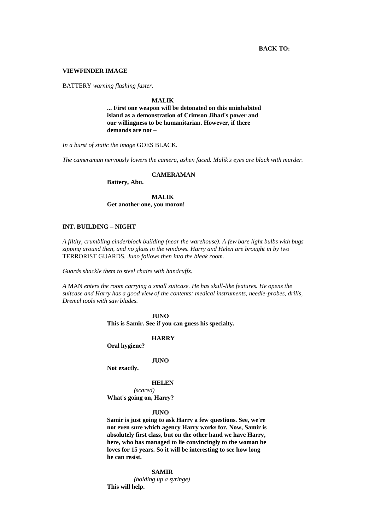## **BACK TO:**

#### **VIEWFINDER IMAGE**

BATTERY *warning flashing faster.*

#### **MALIK**

**... First one weapon will be detonated on this uninhabited island as a demonstration of Crimson Jihad's power and our willingness to be humanitarian. However, if there demands are not –**

*In a burst of static the image* GOES BLACK*.*

*The cameraman nervously lowers the camera, ashen faced. Malik's eyes are black with murder.*

## **CAMERAMAN**

**Battery, Abu.**

**MALIK Get another one, you moron!**

## **INT. BUILDING – NIGHT**

*A filthy, crumbling cinderblock building (near the warehouse). A few bare light bulbs with bugs zipping around then, and no glass in the windows. Harry and Helen are brought in by two*  TERRORIST GUARDS*. Juno follows then into the bleak room.*

*Guards shackle them to steel chairs with handcuffs.*

*A* MAN *enters the room carrying a small suitcase. He has skull-like features. He opens the suitcase and Harry has a good view of the contents: medical instruments, needle-probes, drills, Dremel tools with saw blades.*

> **JUNO This is Samir. See if you can guess his specialty.**

> > **HARRY**

**Oral hygiene?**

#### **JUNO**

**Not exactly.**

#### **HELEN**

*(scared)* **What's going on, Harry?**

**JUNO**

**Samir is just going to ask Harry a few questions. See, we're not even sure which agency Harry works for. Now, Samir is absolutely first class, but on the other hand we have Harry, here, who has managed to lie convincingly to the woman he loves for 15 years. So it will be interesting to see how long he can resist.**

#### **SAMIR**

*(holding up a syringe)* **This will help.**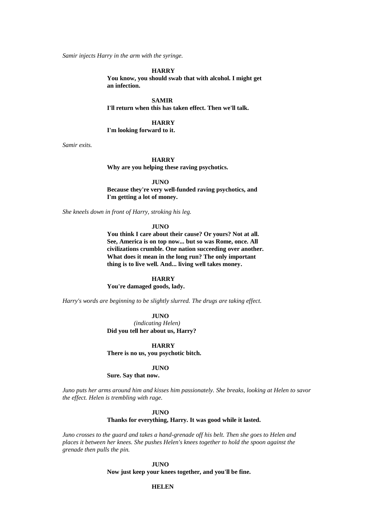*Samir injects Harry in the arm with the syringe.*

#### **HARRY**

**You know, you should swab that with alcohol. I might get an infection.**

**SAMIR**

**I'll return when this has taken effect. Then we'll talk.**

# **HARRY**

**I'm looking forward to it.** 

*Samir exits.* 

#### **HARRY**

**Why are you helping these raving psychotics.**

**JUNO**

**Because they're very well-funded raving psychotics, and I'm getting a lot of money.**

*She kneels down in front of Harry, stroking his leg.*

#### **JUNO**

**You think I care about their cause? Or yours? Not at all. See, America is on top now... but so was Rome, once. All civilizations crumble. One nation succeeding over another. What does it mean in the long run? The only important thing is to live well. And... living well takes money.** 

#### **HARRY**

**You're damaged goods, lady.**

*Harry's words are beginning to be slightly slurred. The drugs are taking effect.*

**JUNO**

*(indicating Helen)* **Did you tell her about us, Harry?**

**HARRY There is no us, you psychotic bitch.**

#### **JUNO**

**Sure. Say that now.**

*Juno puts her arms around him and kisses him passionately. She breaks, looking at Helen to savor the effect. Helen is trembling with rage.*

#### **JUNO**

**Thanks for everything, Harry. It was good while it lasted.**

*Juno crosses to the guard and takes a hand-grenade off his belt. Then she goes to Helen and places it between her knees. She pushes Helen's knees together to hold the spoon against the grenade then pulls the pin.*

> **JUNO Now just keep your knees together, and you'll be fine.**

#### **HELEN**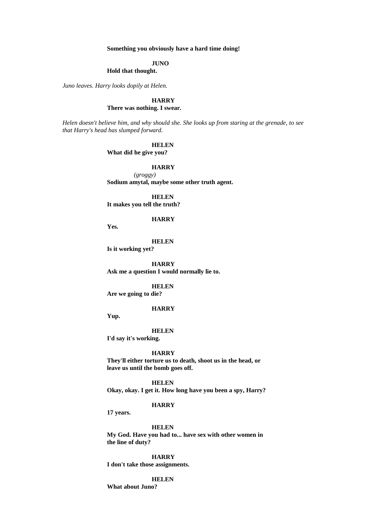## **Something you obviously have a hard time doing!**

#### **JUNO**

## **Hold that thought.**

*Juno leaves. Harry looks dopily at Helen.*

#### **HARRY There was nothing. I swear.**

*Helen doesn't believe him, and why should she. She looks up from staring at the grenade, to see that Harry's head has slumped forward.*

**HELEN**

**What did he give you?**

## **HARRY**

*(groggy)* **Sodium amytal, maybe some other truth agent.**

**HELEN It makes you tell the truth?**

#### **HARRY**

**Yes.**

**HELEN**

**Is it working yet?**

**HARRY Ask me a question I would normally lie to.**

**HELEN Are we going to die?**

## **HARRY**

**Yup.** 

#### **HELEN**

**I'd say it's working.**

#### **HARRY**

**They'll either torture us to death, shoot us in the head, or leave us until the bomb goes off.**

**HELEN**

**Okay, okay. I get it. How long have you been a spy, Harry?**

#### **HARRY**

**17 years.**

**HELEN**

**My God. Have you had to... have sex with other women in the line of duty?**

**HARRY I don't take those assignments.**

## **HELEN**

**What about Juno?**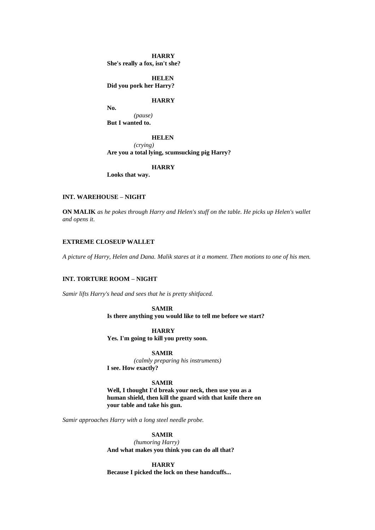**HARRY She's really a fox, isn't she?**

**HELEN Did you pork her Harry?**

## **HARRY**

**No.** *(pause)*

**But I wanted to.**

## **HELEN**

*(crying)*

**Are you a total lying, scumsucking pig Harry?**

### **HARRY**

**Looks that way.**

## **INT. WAREHOUSE – NIGHT**

**ON MALIK** *as he pokes through Harry and Helen's stuff on the table. He picks up Helen's wallet and opens it.*

### **EXTREME CLOSEUP WALLET**

*A picture of Harry, Helen and Dana. Malik stares at it a moment. Then motions to one of his men.*

## **INT. TORTURE ROOM – NIGHT**

*Samir lifts Harry's head and sees that he is pretty shitfaced.*

**SAMIR Is there anything you would like to tell me before we start?**

**HARRY Yes. I'm going to kill you pretty soon.**

**SAMIR** *(calmly preparing his instruments)* **I see. How exactly?**

#### **SAMIR**

**Well, I thought I'd break your neck, then use you as a human shield, then kill the guard with that knife there on your table and take his gun.**

*Samir approaches Harry with a long steel needle probe.*

## **SAMIR**

*(humoring Harry)* **And what makes you think you can do all that?**

**HARRY Because I picked the lock on these handcuffs...**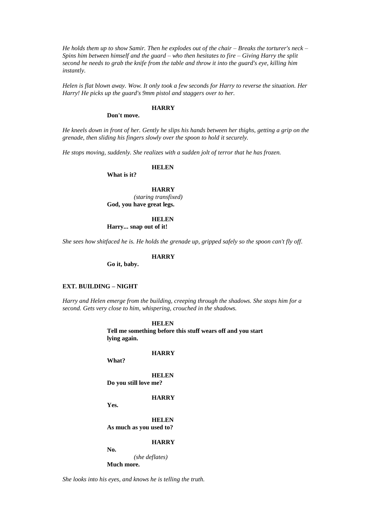*He holds them up to show Samir. Then he explodes out of the chair – Breaks the torturer's neck – Spins him between himself and the guard – who then hesitates to fire – Giving Harry the split second he needs to grab the knife from the table and throw it into the guard's eye, killing him instantly.*

*Helen is flat blown away. Wow. It only took a few seconds for Harry to reverse the situation. Her Harry! He picks up the guard's 9mm pistol and staggers over to her.*

## **HARRY**

#### **Don't move.**

*He kneels down in front of her. Gently he slips his hands between her thighs, getting a grip on the grenade, then sliding his fingers slowly over the spoon to hold it securely.*

*He stops moving, suddenly. She realizes with a sudden jolt of terror that he has frozen.*

**HELEN**

**What is it?**

## **HARRY**

*(staring transfixed)* **God, you have great legs.**

## **HELEN**

**Harry... snap out of it!**

*She sees how shitfaced he is. He holds the grenade up, gripped safely so the spoon can't fly off.*

### **HARRY**

**Go it, baby.**

## **EXT. BUILDING – NIGHT**

*Harry and Helen emerge from the building, creeping through the shadows. She stops him for a second. Gets very close to him, whispering, crouched in the shadows.*

> **HELEN Tell me something before this stuff wears off and you start lying again.**

> > **HARRY**

**HELEN**

**Do you still love me?**

**HARRY**

**Yes.**

**No.**

**What?**

**HELEN As much as you used to?**

**HARRY**

*(she deflates)* **Much more.**

*She looks into his eyes, and knows he is telling the truth.*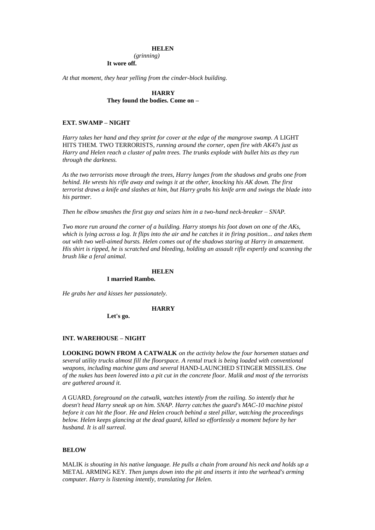#### **HELEN**

*(grinning)*

## **It wore off.**

*At that moment, they hear yelling from the cinder-block building.*

## **HARRY They found the bodies. Come on –**

#### **EXT. SWAMP – NIGHT**

*Harry takes her hand and they sprint for cover at the edge of the mangrove swamp. A LIGHT* HITS THEM*.* TWO TERRORISTS*, running around the corner, open fire with AK47s just as Harry and Helen reach a cluster of palm trees. The trunks explode with bullet hits as they run through the darkness.*

*As the two terrorists move through the trees, Harry lunges from the shadows and grabs one from behind. He wrests his rifle away and swings it at the other, knocking his AK down. The first terrorist draws a knife and slashes at him, but Harry grabs his knife arm and swings the blade into his partner.*

*Then he elbow smashes the first guy and seizes him in a two-hand neck-breaker – SNAP.*

*Two more run around the corner of a building. Harry stomps his foot down on one of the AKs, which is lying across a log. It flips into the air and he catches it in firing position... and takes them out with two well-aimed bursts. Helen comes out of the shadows staring at Harry in amazement. His shirt is ripped, he is scratched and bleeding, holding an assault rifle expertly and scanning the brush like a feral animal.* 

#### **HELEN**

### **I married Rambo.**

*He grabs her and kisses her passionately.*

#### **HARRY**

**Let's go.**

#### **INT. WAREHOUSE – NIGHT**

**LOOKING DOWN FROM A CATWALK** *on the activity below the four horsemen statues and several utility trucks almost fill the floorspace. A rental truck is being loaded with conventional weapons, including machine guns and several* HAND-LAUNCHED STINGER MISSILES*. One of the nukes has been lowered into a pit cut in the concrete floor. Malik and most of the terrorists are gathered around it.*

*A* GUARD*, foreground on the catwalk, watches intently from the railing. So intently that he doesn't head Harry sneak up on him. SNAP. Harry catches the guard's MAC-10 machine pistol before it can hit the floor. He and Helen crouch behind a steel pillar, watching the proceedings below. Helen keeps glancing at the dead guard, killed so effortlessly a moment before by her husband. It is all surreal.*

#### **BELOW**

MALIK *is shouting in his native language. He pulls a chain from around his neck and holds up a*  METAL ARMING KEY*. Then jumps down into the pit and inserts it into the warhead's arming computer. Harry is listening intently, translating for Helen.*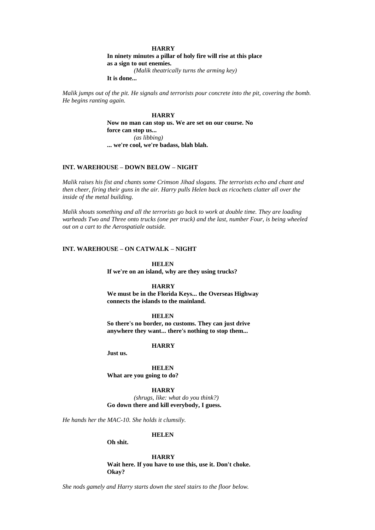#### **HARRY**

**In ninety minutes a pillar of holy fire will rise at this place as a sign to out enemies.**

*(Malik theatrically turns the arming key)*

**It is done...**

*Malik jumps out of the pit. He signals and terrorists pour concrete into the pit, covering the bomb. He begins ranting again.*

#### **HARRY**

**Now no man can stop us. We are set on our course. No force can stop us...** *(as libbing)* **... we're cool, we're badass, blah blah.**

## **INT. WAREHOUSE – DOWN BELOW – NIGHT**

*Malik raises his fist and chants some Crimson Jihad slogans. The terrorists echo and chant and then cheer, firing their guns in the air. Harry pulls Helen back as ricochets clatter all over the inside of the metal building.*

*Malik shouts something and all the terrorists go back to work at double time. They are loading warheads Two and Three onto trucks (one per truck) and the last, number Four, is being wheeled out on a cart to the Aerospatiale outside.*

#### **INT. WAREHOUSE – ON CATWALK – NIGHT**

**HELEN**

**If we're on an island, why are they using trucks?**

#### **HARRY**

**We must be in the Florida Keys... the Overseas Highway connects the islands to the mainland.**

## **HELEN**

**So there's no border, no customs. They can just drive anywhere they want... there's nothing to stop them...**

#### **HARRY**

**Just us.**

**HELEN What are you going to do?**

#### **HARRY**

*(shrugs, like: what do you think?)* **Go down there and kill everybody, I guess.**

*He hands her the MAC-10. She holds it clumsily.*

#### **HELEN**

**Oh shit.**

#### **HARRY**

**Wait here. If you have to use this, use it. Don't choke. Okay?**

*She nods gamely and Harry starts down the steel stairs to the floor below.*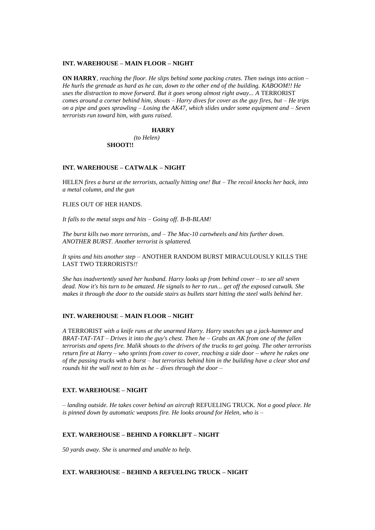#### **INT. WAREHOUSE – MAIN FLOOR – NIGHT**

**ON HARRY***, reaching the floor. He slips behind some packing crates. Then swings into action – He hurls the grenade as hard as he can, down to the other end of the building. KABOOM!! He*  uses the distraction to move forward. But it goes wrong almost right away... A TERRORIST *comes around a corner behind him, shouts – Harry dives for cover as the guy fires, but – He trips on a pipe and goes sprawling – Losing the AK47, which slides under some equipment and – Seven terrorists run toward him, with guns raised.*

#### **HARRY**

*(to Helen)* **SHOOT!!**

#### **INT. WAREHOUSE – CATWALK – NIGHT**

HELEN *fires a burst at the terrorists, actually hitting one! But – The recoil knocks her back, into a metal column, and the gun*

### FLIES OUT OF HER HANDS*.*

*It falls to the metal steps and hits – Going off. B-B-BLAM!*

*The burst kills two more terrorists, and – The Mac-10 cartwheels and hits further down. ANOTHER BURST. Another terrorist is splattered.*

*It spins and hits another step –* ANOTHER RANDOM BURST MIRACULOUSLY KILLS THE LAST TWO TERRORISTS*!!*

*She has inadvertently saved her husband. Harry looks up from behind cover – to see all seven dead. Now it's his turn to be amazed. He signals to her to run... get off the exposed catwalk. She makes it through the door to the outside stairs as bullets start hitting the steel walls behind her.*

#### **INT. WAREHOUSE – MAIN FLOOR – NIGHT**

*A* TERRORIST *with a knife runs at the unarmed Harry. Harry snatches up a jack-hammer and BRAT-TAT-TAT – Drives it into the guy's chest. Then he – Grabs an AK from one of the fallen terrorists and opens fire. Malik shouts to the drivers of the trucks to get going. The other terrorists return fire at Harry – who sprints from cover to cover, reaching a side door – where he rakes one of the passing trucks with a burst – but terrorists behind him in the building have a clear shot and rounds hit the wall next to him as he – dives through the door –*

#### **EXT. WAREHOUSE – NIGHT**

*– landing outside. He takes cover behind an aircraft* REFUELING TRUCK*. Not a good place. He is pinned down by automatic weapons fire. He looks around for Helen, who is –*

#### **EXT. WAREHOUSE – BEHIND A FORKLIFT – NIGHT**

*50 yards away. She is unarmed and unable to help.*

## **EXT. WAREHOUSE – BEHIND A REFUELING TRUCK – NIGHT**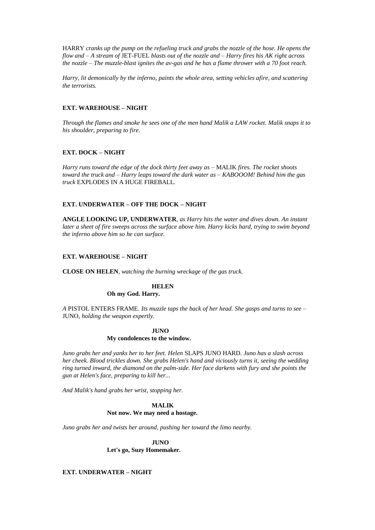HARRY *cranks up the pump on the refueling truck and grabs the nozzle of the hose. He opens the flow and – A stream of* JET-FUEL *blasts out of the nozzle and – Harry fires his AK right across the nozzle – The muzzle-blast ignites the av-gas and he has a flame thrower with a 70 foot reach.*

*Harry, lit demonically by the inferno, paints the whole area, setting vehicles afire, and scattering the terrorists.*

## **EXT. WAREHOUSE – NIGHT**

*Through the flames and smoke he sees one of the men hand Malik a LAW rocket. Malik snaps it to his shoulder, preparing to fire.*

## **EXT. DOCK – NIGHT**

*Harry runs toward the edge of the dock thirty feet away as –* MALIK *fires. The rocket shoots toward the truck and – Harry leaps toward the dark water as – KABOOOM! Behind him the gas truck* EXPLODES IN A HUGE FIREBALL*.*

## **EXT. UNDERWATER – OFF THE DOCK – NIGHT**

**ANGLE LOOKING UP, UNDERWATER***, as Harry hits the water and dives down. An instant later a sheet of fire sweeps across the surface above him. Harry kicks hard, trying to swim beyond the inferno above him so he can surface.*

## **EXT. WAREHOUSE – NIGHT**

**CLOSE ON HELEN***, watching the burning wreckage of the gas truck.*

# **HELEN**

**Oh my God. Harry.**

*A* PISTOL ENTERS FRAME*. Its muzzle taps the back of her head. She gasps and turns to see –* JUNO*, holding the weapon expertly.*

## **JUNO My condolences to the window.**

*Juno grabs her and yanks her to her feet. Helen* SLAPS JUNO HARD*. Juno has a slash across her cheek. Blood trickles down. She grabs Helen's hand and viciously turns it, seeing the wedding ring turned inward, the diamond on the palm-side. Her face darkens with fury and she points the gun at Helen's face, preparing to kill her...*

*And Malik's hand grabs her wrist, stopping her.* 

## **MALIK Not now. We may need a hostage.**

*Juno grabs her and twists her around, pushing her toward the limo nearby.* 

**JUNO Let's go, Suzy Homemaker.**

## **EXT. UNDERWATER – NIGHT**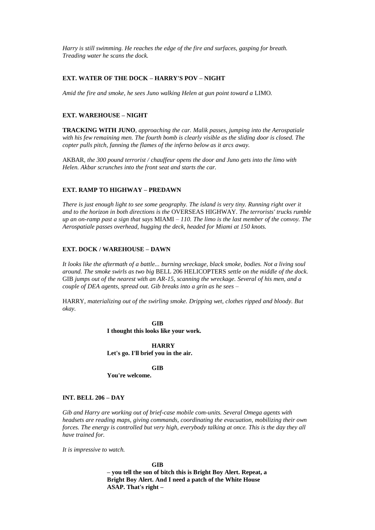*Harry is still swimming. He reaches the edge of the fire and surfaces, gasping for breath. Treading water he scans the dock.*

### **EXT. WATER OF THE DOCK – HARRY'S POV – NIGHT**

*Amid the fire and smoke, he sees Juno walking Helen at gun point toward a* LIMO*.*

#### **EXT. WAREHOUSE – NIGHT**

**TRACKING WITH JUNO***, approaching the car. Malik passes, jumping into the Aerospatiale with his few remaining men. The fourth bomb is clearly visible as the sliding door is closed. The copter pulls pitch, fanning the flames of the inferno below as it arcs away.*

AKBAR*, the 300 pound terrorist / chauffeur opens the door and Juno gets into the limo with Helen. Akbar scrunches into the front seat and starts the car.*

## **EXT. RAMP TO HIGHWAY – PREDAWN**

*There is just enough light to see some geography. The island is very tiny. Running right over it and to the horizon in both directions is the* OVERSEAS HIGHWAY*. The terrorists' trucks rumble up an on-ramp past a sign that says* MIAMI *– 110. The limo is the last member of the convoy. The Aerospatiale passes overhead, hugging the deck, headed for Miami at 150 knots.*

### **EXT. DOCK / WAREHOUSE – DAWN**

*It looks like the aftermath of a battle... burning wreckage, black smoke, bodies. Not a living soul around. The smoke swirls as two big* BELL 206 HELICOPTERS *settle on the middle of the dock.*  GIB *jumps out of the nearest with an AR-15, scanning the wreckage. Several of his men, and a couple of DEA agents, spread out. Gib breaks into a grin as he sees –*

HARRY*, materializing out of the swirling smoke. Dripping wet, clothes ripped and bloody. But okay.*

> **GIB I thought this looks like your work.**

**HARRY Let's go. I'll brief you in the air.**

**GIB**

**You're welcome.**

## **INT. BELL 206 – DAY**

*Gib and Harry are working out of brief-case mobile com-units. Several Omega agents with headsets are reading maps, giving commands, coordinating the evacuation, mobilizing their own forces. The energy is controlled but very high, everybody talking at once. This is the day they all have trained for.*

*It is impressive to watch.*

**GIB – you tell the son of bitch this is Bright Boy Alert. Repeat, a Bright Boy Alert. And I need a patch of the White House ASAP. That's right –**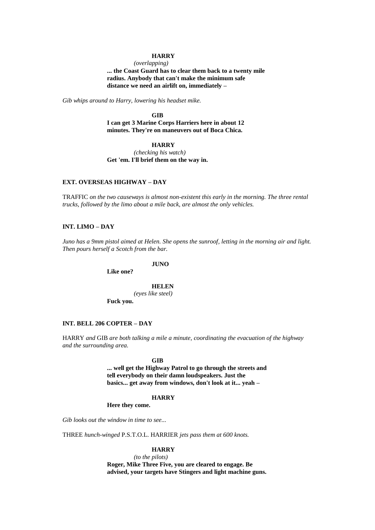#### **HARRY**

*(overlapping)* **... the Coast Guard has to clear them back to a twenty mile radius. Anybody that can't make the minimum safe distance we need an airlift on, immediately –**

*Gib whips around to Harry, lowering his headset mike.*

**GIB I can get 3 Marine Corps Harriers here in about 12 minutes. They're on maneuvers out of Boca Chica.**

## **HARRY**

*(checking his watch)* **Get 'em. I'll brief them on the way in.**

## **EXT. OVERSEAS HIGHWAY – DAY**

TRAFFIC *on the two causeways is almost non-existent this early in the morning. The three rental trucks, followed by the limo about a mile back, are almost the only vehicles.*

## **INT. LIMO – DAY**

*Juno has a 9mm pistol aimed at Helen. She opens the sunroof, letting in the morning air and light. Then pours herself a Scotch from the bar.*

**JUNO**

**Like one?**

**HELEN** *(eyes like steel)* **Fuck you.**

#### **INT. BELL 206 COPTER – DAY**

HARRY *and* GIB *are both talking a mile a minute, coordinating the evacuation of the highway and the surrounding area.*

#### **GIB**

**... well get the Highway Patrol to go through the streets and tell everybody on their damn loudspeakers. Just the basics... get away from windows, don't look at it... yeah –**

## **HARRY**

**Here they come.**

*Gib looks out the window in time to see...*

THREE *hunch-winged* P.S.T.O.L. HARRIER *jets pass them at 600 knots.*

### **HARRY**

*(to the pilots)* **Roger, Mike Three Five, you are cleared to engage. Be advised, your targets have Stingers and light machine guns.**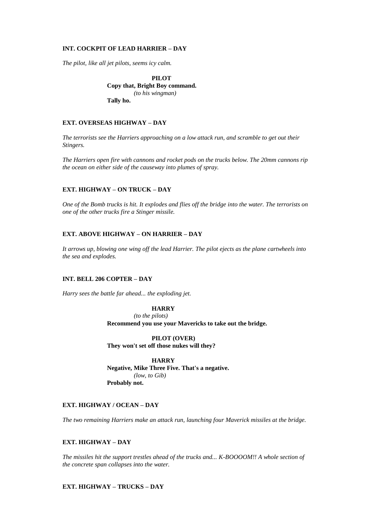## **INT. COCKPIT OF LEAD HARRIER – DAY**

*The pilot, like all jet pilots, seems icy calm.*

**PILOT Copy that, Bright Boy command.** *(to his wingman)* **Tally ho.**

## **EXT. OVERSEAS HIGHWAY – DAY**

*The terrorists see the Harriers approaching on a low attack run, and scramble to get out their Stingers.*

*The Harriers open fire with cannons and rocket pods on the trucks below. The 20mm cannons rip the ocean on either side of the causeway into plumes of spray.*

## **EXT. HIGHWAY – ON TRUCK – DAY**

*One of the Bomb trucks is hit. It explodes and flies off the bridge into the water. The terrorists on one of the other trucks fire a Stinger missile.*

## **EXT. ABOVE HIGHWAY – ON HARRIER – DAY**

*It arrows up, blowing one wing off the lead Harrier. The pilot ejects as the plane cartwheels into the sea and explodes.*

### **INT. BELL 206 COPTER – DAY**

*Harry sees the battle far ahead... the exploding jet.*

**HARRY** *(to the pilots)* **Recommend you use your Mavericks to take out the bridge.** 

**PILOT (OVER) They won't set off those nukes will they?**

**HARRY Negative, Mike Three Five. That's a negative.** *(low, to Gib)* **Probably not.**

## **EXT. HIGHWAY / OCEAN – DAY**

*The two remaining Harriers make an attack run, launching four Maverick missiles at the bridge.* 

### **EXT. HIGHWAY – DAY**

*The missiles hit the support trestles ahead of the trucks and... K-BOOOOM!! A whole section of the concrete span collapses into the water.*

## **EXT. HIGHWAY – TRUCKS – DAY**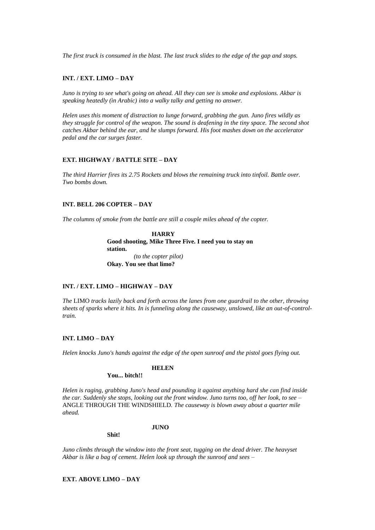*The first truck is consumed in the blast. The last truck slides to the edge of the gap and stops.*

### **INT. / EXT. LIMO – DAY**

*Juno is trying to see what's going on ahead. All they can see is smoke and explosions. Akbar is speaking heatedly (in Arabic) into a walky talky and getting no answer.*

*Helen uses this moment of distraction to lunge forward, grabbing the gun. Juno fires wildly as they struggle for control of the weapon. The sound is deafening in the tiny space. The second shot catches Akbar behind the ear, and he slumps forward. His foot mashes down on the accelerator pedal and the car surges faster.*

### **EXT. HIGHWAY / BATTLE SITE – DAY**

*The third Harrier fires its 2.75 Rockets and blows the remaining truck into tinfoil. Battle over. Two bombs down.*

## **INT. BELL 206 COPTER – DAY**

*The columns of smoke from the battle are still a couple miles ahead of the copter.*

**HARRY Good shooting, Mike Three Five. I need you to stay on station.** *(to the copter pilot)*  **Okay. You see that limo?**

## **INT. / EXT. LIMO – HIGHWAY – DAY**

*The* LIMO *tracks lazily back and forth across the lanes from one guardrail to the other, throwing sheets of sparks where it hits. In is funneling along the causeway, unslowed, like an out-of-controltrain.*

## **INT. LIMO – DAY**

*Helen knocks Juno's hands against the edge of the open sunroof and the pistol goes flying out.*

## **HELEN**

## **You... bitch!!**

*Helen is raging, grabbing Juno's head and pounding it against anything hard she can find inside the car. Suddenly she stops, looking out the front window. Juno turns too, off her look, to see –* ANGLE THROUGH THE WINDSHIELD*. The causeway is blown away about a quarter mile ahead.*

#### **JUNO**

**Shit!**

*Juno climbs through the window into the front seat, tugging on the dead driver. The heavyset Akbar is like a bag of cement. Helen look up through the sunroof and sees –*

## **EXT. ABOVE LIMO – DAY**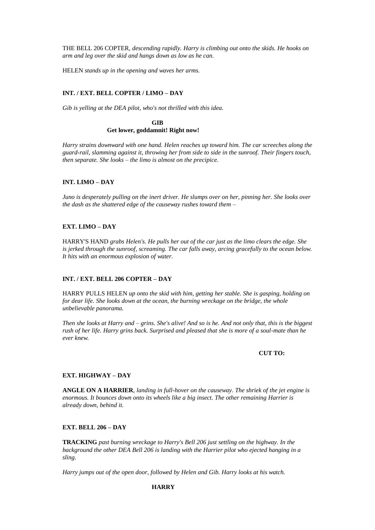THE BELL 206 COPTER*, descending rapidly. Harry is climbing out onto the skids. He hooks on arm and leg over the skid and hangs down as low as he can.*

HELEN *stands up in the opening and waves her arms.*

#### **INT. / EXT. BELL COPTER / LIMO – DAY**

*Gib is yelling at the DEA pilot, who's not thrilled with this idea.*

**GIB Get lower, goddamnit! Right now!**

*Harry strains downward with one hand. Helen reaches up toward him. The car screeches along the guard-rail, slamming against it, throwing her from side to side in the sunroof. Their fingers touch, then separate. She looks – the limo is almost on the precipice.*

#### **INT. LIMO – DAY**

*Juno is desperately pulling on the inert driver. He slumps over on her, pinning her. She looks over the dash as the shattered edge of the causeway rushes toward them –*

## **EXT. LIMO – DAY**

HARRY'S HAND *grabs Helen's. He pulls her out of the car just as the limo clears the edge. She is jerked through the sunroof, screaming. The car falls away, arcing gracefully to the ocean below. It hits with an enormous explosion of water.*

#### **INT. / EXT. BELL 206 COPTER – DAY**

HARRY PULLS HELEN *up onto the skid with him, getting her stable. She is gasping, holding on for dear life. She looks down at the ocean, the burning wreckage on the bridge, the whole unbelievable panorama.*

*Then she looks at Harry and – grins. She's alive! And so is he. And not only that, this is the biggest rush of her life. Harry grins back. Surprised and pleased that she is more of a soul-mate than he ever knew.*

#### **CUT TO:**

#### **EXT. HIGHWAY – DAY**

**ANGLE ON A HARRIER***, landing in full-hover on the causeway. The shriek of the jet engine is enormous. It bounces down onto its wheels like a big insect. The other remaining Harrier is already down, behind it.*

#### **EXT. BELL 206 – DAY**

**TRACKING** *past burning wreckage to Harry's Bell 206 just settling on the highway. In the background the other DEA Bell 206 is landing with the Harrier pilot who ejected hanging in a sling.*

*Harry jumps out of the open door, followed by Helen and Gib. Harry looks at his watch.*

#### **HARRY**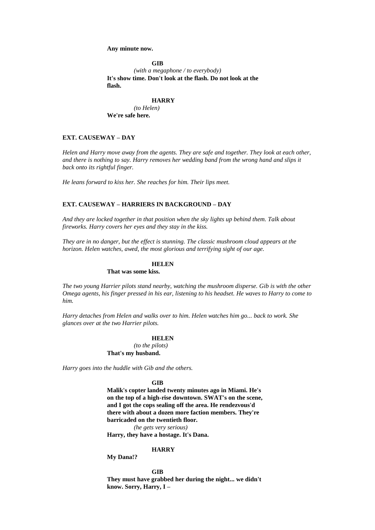#### **Any minute now.**

#### **GIB**

*(with a megaphone / to everybody)* **It's show time. Don't look at the flash. Do not look at the flash.**

#### **HARRY**

*(to Helen)* **We're safe here.** 

## **EXT. CAUSEWAY – DAY**

*Helen and Harry move away from the agents. They are safe and together. They look at each other, and there is nothing to say. Harry removes her wedding band from the wrong hand and slips it back onto its rightful finger.*

*He leans forward to kiss her. She reaches for him. Their lips meet.*

## **EXT. CAUSEWAY – HARRIERS IN BACKGROUND – DAY**

*And they are locked together in that position when the sky lights up behind them. Talk about fireworks. Harry covers her eyes and they stay in the kiss.* 

*They are in no danger, but the effect is stunning. The classic mushroom cloud appears at the horizon. Helen watches, awed, the most glorious and terrifying sight of our age.*

## **HELEN**

**That was some kiss.**

*The two young Harrier pilots stand nearby, watching the mushroom disperse. Gib is with the other Omega agents, his finger pressed in his ear, listening to his headset. He waves to Harry to come to him.*

*Harry detaches from Helen and walks over to him. Helen watches him go... back to work. She glances over at the two Harrier pilots.*

## **HELEN**

*(to the pilots)* **That's my husband.**

*Harry goes into the huddle with Gib and the others.*

#### **GIB**

**Malik's copter landed twenty minutes ago in Miami. He's on the top of a high-rise downtown. SWAT's on the scene, and I got the cops sealing off the area. He rendezvous'd there with about a dozen more faction members. They're barricaded on the twentieth floor.**

*(he gets very serious)* 

**Harry, they have a hostage. It's Dana.**

#### **HARRY**

**My Dana!?**

## **GIB**

**They must have grabbed her during the night... we didn't know. Sorry, Harry, I –**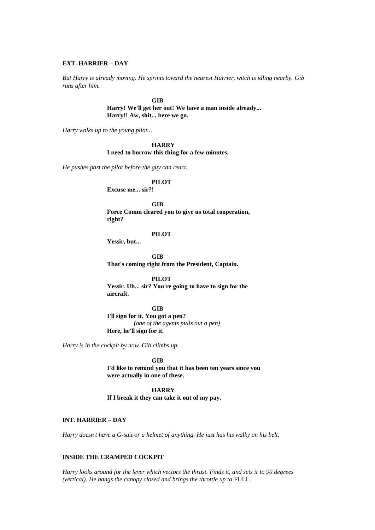#### **EXT. HARRIER – DAY**

*But Harry is already moving. He sprints toward the nearest Harrier, witch is idling nearby. Gib runs after him.*

> **GIB Harry! We'll get her out! We have a man inside already... Harry!! Aw, shit... here we go.**

*Harry walks up to the young pilot...*

**HARRY I need to borrow this thing for a few minutes.**

*He pushes past the pilot before the guy can react.*

## **PILOT**

**Excuse me... sir?!** 

**GIB Force Comm cleared you to give us total cooperation, right?**

## **PILOT**

**Yessir, but...**

**GIB That's coming right from the President, Captain.**

**PILOT Yessir. Uh... sir? You're going to have to sign for the** 

**GIB** 

**I'll sign for it. You got a pen?**  *(one of the agents pulls out a pen)*  **Here, he'll sign for it.** 

*Harry is in the cockpit by now. Gib climbs up.* 

**aircraft.**

**GIB**

**I'd like to remind you that it has been ten years since you were actually in one of these.**

**HARRY**

**If I break it they can take it out of my pay.**

## **INT. HARRIER – DAY**

*Harry doesn't have a G-suit or a helmet of anything. He just has his walky on his belt.*

## **INSIDE THE CRAMPED COCKPIT**

*Harry looks around for the lever which vectors the thrust. Finds it, and sets it to 90 degrees (vertical). He bangs the canopy closed and brings the throttle up to* FULL*.*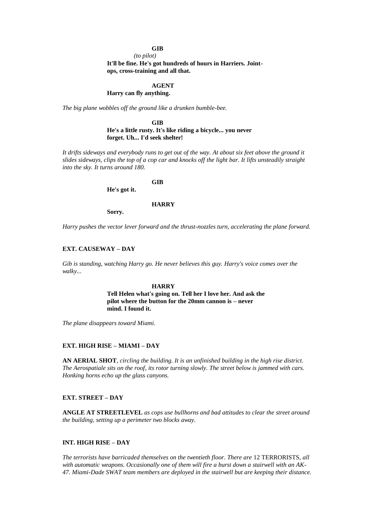## **GIB**

*(to pilot)*

**It'll be fine. He's got hundreds of hours in Harriers. Jointops, cross-training and all that.**

## **AGENT**

## **Harry can fly anything.**

*The big plane wobbles off the ground like a drunken bumble-bee.*

**GIB He's a little rusty. It's like riding a bicycle... you never forget. Uh... I'd seek shelter!**

It drifts sideways and everybody runs to get out of the way. At about six feet above the ground it *slides sideways, clips the top of a cop car and knocks off the light bar. It lifts unsteadily straight into the sky. It turns around 180.*

**GIB**

**He's got it.**

#### **HARRY**

**Sorry.**

*Harry pushes the vector lever forward and the thrust-nozzles turn, accelerating the plane forward.*

#### **EXT. CAUSEWAY – DAY**

*Gib is standing, watching Harry go. He never believes this guy. Harry's voice comes over the walky...*

#### **HARRY**

**Tell Helen what's going on. Tell her I love her. And ask the pilot where the button for the 20mm cannon is – never mind. I found it.**

*The plane disappears toward Miami.*

### **EXT. HIGH RISE – MIAMI – DAY**

**AN AERIAL SHOT***, circling the building. It is an unfinished building in the high rise district. The Aerospatiale sits on the roof, its rotor turning slowly. The street below is jammed with cars. Honking horns echo up the glass canyons.*

## **EXT. STREET – DAY**

**ANGLE AT STREETLEVEL** *as cops use bullhorns and bad attitudes to clear the street around the building, setting up a perimeter two blocks away.*

### **INT. HIGH RISE – DAY**

*The terrorists have barricaded themselves on the twentieth floor. There are* 12 TERRORISTS*, all with automatic weapons. Occasionally one of them will fire a burst down a stairwell with an AK-47. Miami-Dade SWAT team members are deployed in the stairwell but are keeping their distance.*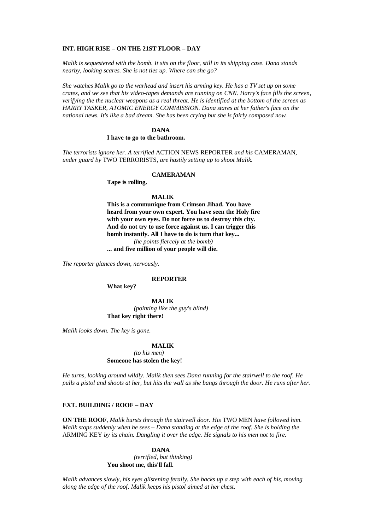#### **INT. HIGH RISE – ON THE 21ST FLOOR – DAY**

*Malik is sequestered with the bomb. It sits on the floor, still in its shipping case. Dana stands nearby, looking scares. She is not ties up. Where can she go?*

*She watches Malik go to the warhead and insert his arming key. He has a TV set up on some crates, and we see that his video-tapes demands are running on CNN. Harry's face fills the screen, verifying the the nuclear weapons as a real threat. He is identified at the bottom of the screen as HARRY TASKER, ATOMIC ENERGY COMMISSION. Dana stares at her father's face on the national news. It's like a bad dream. She has been crying but she is fairly composed now.*

## **DANA**

#### **I have to go to the bathroom.**

*The terrorists ignore her. A terrified* ACTION NEWS REPORTER *and his* CAMERAMAN*, under guard by* TWO TERRORISTS*, are hastily setting up to shoot Malik.*

## **CAMERAMAN**

**Tape is rolling.**

## **MALIK**

**This is a communique from Crimson Jihad. You have heard from your own expert. You have seen the Holy fire with your own eyes. Do not force us to destroy this city. And do not try to use force against us. I can trigger this bomb instantly. All I have to do is turn that key...** *(he points fiercely at the bomb)* **... and five million of your people will die.**

*The reporter glances down, nervously.*

#### **REPORTER**

**What key?**

**MALIK** *(pointing like the guy's blind)* **That key right there!**

*Malik looks down. The key is gone.*

#### **MALIK**

*(to his men)* **Someone has stolen the key!**

*He turns, looking around wildly. Malik then sees Dana running for the stairwell to the roof. He pulls a pistol and shoots at her, but hits the wall as she bangs through the door. He runs after her.*

#### **EXT. BUILDING / ROOF – DAY**

**ON THE ROOF***, Malik bursts through the stairwell door. His* TWO MEN *have followed him. Malik stops suddenly when he sees – Dana standing at the edge of the roof. She is holding the*  ARMING KEY *by its chain. Dangling it over the edge. He signals to his men not to fire.*

> **DANA** *(terrified, but thinking)* **You shoot me, this'll fall.**

*Malik advances slowly, his eyes glistening ferally. She backs up a step with each of his, moving along the edge of the roof. Malik keeps his pistol aimed at her chest.*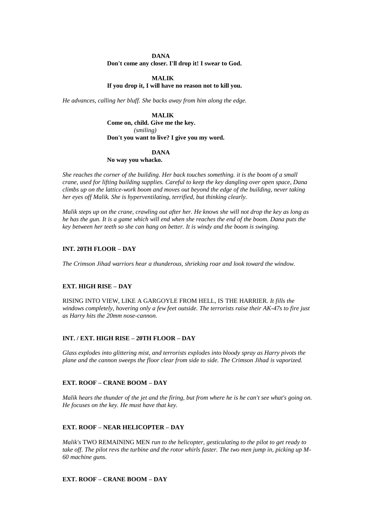## **DANA Don't come any closer. I'll drop it! I swear to God.**

## **MALIK**

## **If you drop it, I will have no reason not to kill you.**

*He advances, calling her bluff. She backs away from him along the edge.*

**MALIK Come on, child. Give me the key.** *(smiling)* **Don't you want to live? I give you my word.**

#### **DANA**

#### **No way you whacko.**

*She reaches the corner of the building. Her back touches something. it is the boom of a small crane, used for lifting building supplies. Careful to keep the key dangling over open space, Dana climbs up on the lattice-work boom and moves out beyond the edge of the building, never taking her eyes off Malik. She is hyperventilating, terrified, but thinking clearly.*

*Malik steps up on the crane, crawling out after her. He knows she will not drop the key as long as he has the gun. It is a game which will end when she reaches the end of the boom. Dana puts the key between her teeth so she can hang on better. It is windy and the boom is swinging.*

#### **INT. 20TH FLOOR – DAY**

*The Crimson Jihad warriors hear a thunderous, shrieking roar and look toward the window.*

### **EXT. HIGH RISE – DAY**

RISING INTO VIEW, LIKE A GARGOYLE FROM HELL, IS THE HARRIER. *It fills the windows completely, hovering only a few feet outside. The terrorists raise their AK-47s to fire just as Harry hits the 20mm nose-cannon.*

### **INT. / EXT. HIGH RISE – 20TH FLOOR – DAY**

*Glass explodes into glittering mist, and terrorists explodes into bloody spray as Harry pivots the plane and the cannon sweeps the floor clear from side to side. The Crimson Jihad is vaporized.*

### **EXT. ROOF – CRANE BOOM – DAY**

*Malik hears the thunder of the jet and the firing, but from where he is he can't see what's going on. He focuses on the key. He must have that key.*

#### **EXT. ROOF – NEAR HELICOPTER – DAY**

*Malik's* TWO REMAINING MEN *run to the helicopter, gesticulating to the pilot to get ready to take off. The pilot revs the turbine and the rotor whirls faster. The two men jump in, picking up M-60 machine guns.*

## **EXT. ROOF – CRANE BOOM – DAY**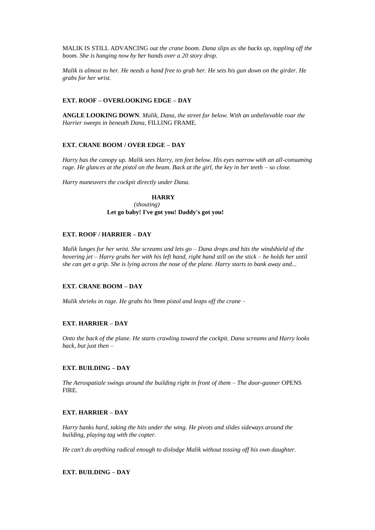MALIK IS STILL ADVANCING *out the crane boom. Dana slips as she backs up, toppling off the boom. She is hanging now by her hands over a 20 story drop.*

*Malik is almost to her. He needs a hand free to grab her. He sets his gun down on the girder. He grabs for her wrist.*

### **EXT. ROOF – OVERLOOKING EDGE – DAY**

**ANGLE LOOKING DOWN***. Malik, Dana, the street far below. With an unbelievable roar the Harrier sweeps in beneath Dana,* FILLING FRAME*.*

### **EXT. CRANE BOOM / OVER EDGE – DAY**

*Harry has the canopy up. Malik sees Harry, ten feet below. His eyes narrow with an all-consuming rage. He glances at the pistol on the beam. Back at the girl, the key in her teeth – so close.*

*Harry maneuvers the cockpit directly under Dana.*

## **HARRY**

*(shouting)* **Let go baby! I've got you! Daddy's got you!**

## **EXT. ROOF / HARRIER – DAY**

*Malik lunges for her wrist. She screams and lets go – Dana drops and hits the windshield of the hovering jet – Harry grabs her with his left hand, right hand still on the stick – he holds her until she can get a grip. She is lying across the nose of the plane. Harry starts to bank away and...*

### **EXT. CRANE BOOM – DAY**

*Malik shrieks in rage. He grabs his 9mm pistol and leaps off the crane –*

#### **EXT. HARRIER – DAY**

*Onto the back of the plane. He starts crawling toward the cockpit. Dana screams and Harry looks back, but just then –*

## **EXT. BUILDING – DAY**

*The Aerospatiale swings around the building right in front of them – The door-gunner* OPENS FIRE*.*

## **EXT. HARRIER – DAY**

*Harry banks hard, taking the hits under the wing. He pivots and slides sideways around the building, playing tag with the copter.*

*He can't do anything radical enough to dislodge Malik without tossing off his own daughter.*

## **EXT. BUILDING – DAY**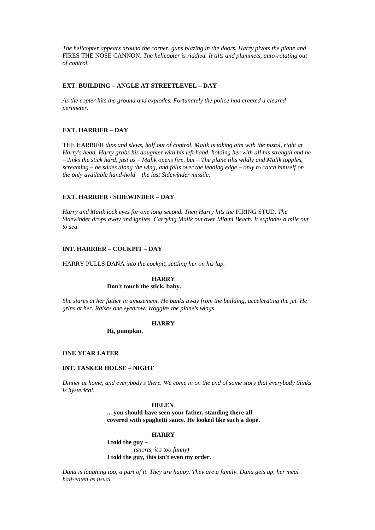*The helicopter appears around the corner, guns blazing in the doors. Harry pivots the plane and*  FIRES THE NOSE CANNON*. The helicopter is riddled. It tilts and plummets, auto-rotating out of control.*

### **EXT. BUILDING – ANGLE AT STREETLEVEL – DAY**

*As the copter hits the ground and explodes. Fortunately the police had created a cleared perimeter.*

## **EXT. HARRIER – DAY**

THE HARRIER *dips and slews, half out of control. Malik is taking aim with the pistol, right at Harry's head. Harry grabs his daughter with his left hand, holding her with all his strength and he – Jinks the stick hard, just as – Malik opens fire, but – The plane tilts wildly and Malik topples, screaming – he slides along the wing, and falls over the leading edge – only to catch himself on the only available hand-hold – the last Sidewinder missile.*

## **EXT. HARRIER / SIDEWINDER – DAY**

*Harry and Malik lock eyes for one long second. Then Harry hits the* FIRING STUD*. The Sidewinder drops away and ignites. Carrying Malik out over Miami Beach. It explodes a mile out to sea.*

### **INT. HARRIER – COCKPIT – DAY**

HARRY PULLS DANA *into the cockpit, settling her on his lap.*

# **HARRY**

**Don't touch the stick, baby.**

*She stares at her father in amazement. He banks away from the building, accelerating the jet. He grins at her. Raises one eyebrow. Woggles the plane's wings.*

## **HARRY**

**Hi, pumpkin.**

#### **ONE YEAR LATER**

## **INT. TASKER HOUSE – NIGHT**

*Dinner at home, and everybody's there. We come in on the end of some story that everybody thinks is hysterical.*

### **HELEN**

**... you should have seen your father, standing there all covered with spaghetti sauce. He looked like such a dope.**

#### **HARRY**

**I told the guy –** *(snorts, it's too funny)* **I told the guy, this isn't even my order.**

*Dana is laughing too, a part of it. They are happy. They are a family. Dana gets up, her meal half-eaten as usual.*